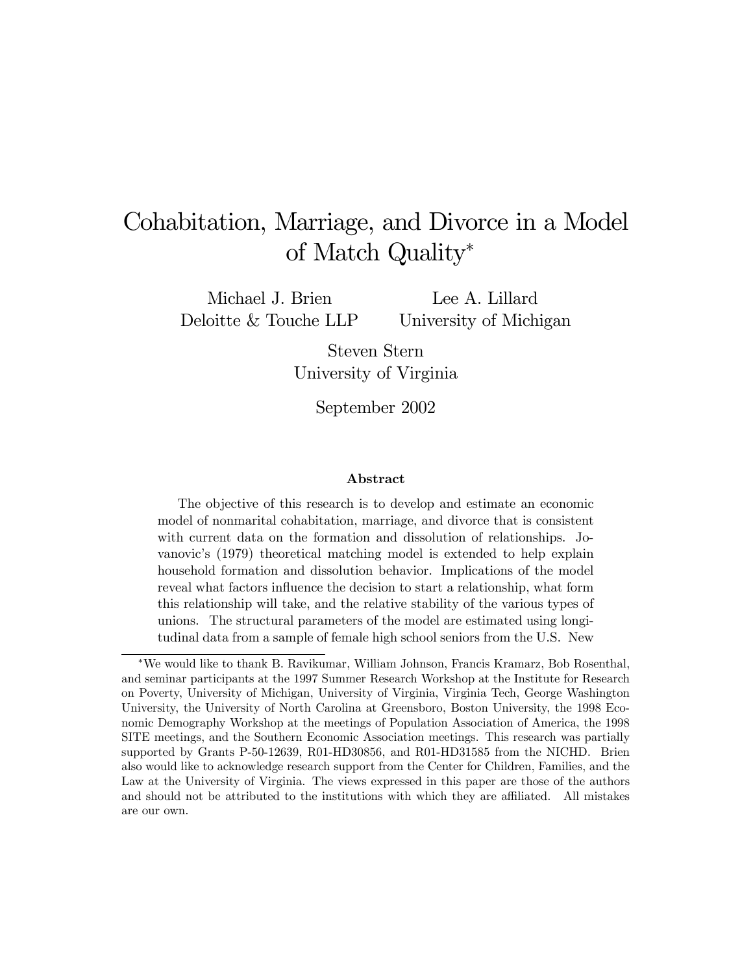# Cohabitation, Marriage, and Divorce in a Model of Match Quality<sup>∗</sup>

Michael J. Brien Deloitte & Touche LLP

Lee A. Lillard University of Michigan

Steven Stern University of Virginia

September 2002

#### Abstract

The objective of this research is to develop and estimate an economic model of nonmarital cohabitation, marriage, and divorce that is consistent with current data on the formation and dissolution of relationships. Jovanovic's (1979) theoretical matching model is extended to help explain household formation and dissolution behavior. Implications of the model reveal what factors influence the decision to start a relationship, what form this relationship will take, and the relative stability of the various types of unions. The structural parameters of the model are estimated using longitudinal data from a sample of female high school seniors from the U.S. New

<sup>∗</sup>We would like to thank B. Ravikumar, William Johnson, Francis Kramarz, Bob Rosenthal, and seminar participants at the 1997 Summer Research Workshop at the Institute for Research on Poverty, University of Michigan, University of Virginia, Virginia Tech, George Washington University, the University of North Carolina at Greensboro, Boston University, the 1998 Economic Demography Workshop at the meetings of Population Association of America, the 1998 SITE meetings, and the Southern Economic Association meetings. This research was partially supported by Grants P-50-12639, R01-HD30856, and R01-HD31585 from the NICHD. Brien also would like to acknowledge research support from the Center for Children, Families, and the Law at the University of Virginia. The views expressed in this paper are those of the authors and should not be attributed to the institutions with which they are affiliated. All mistakes are our own.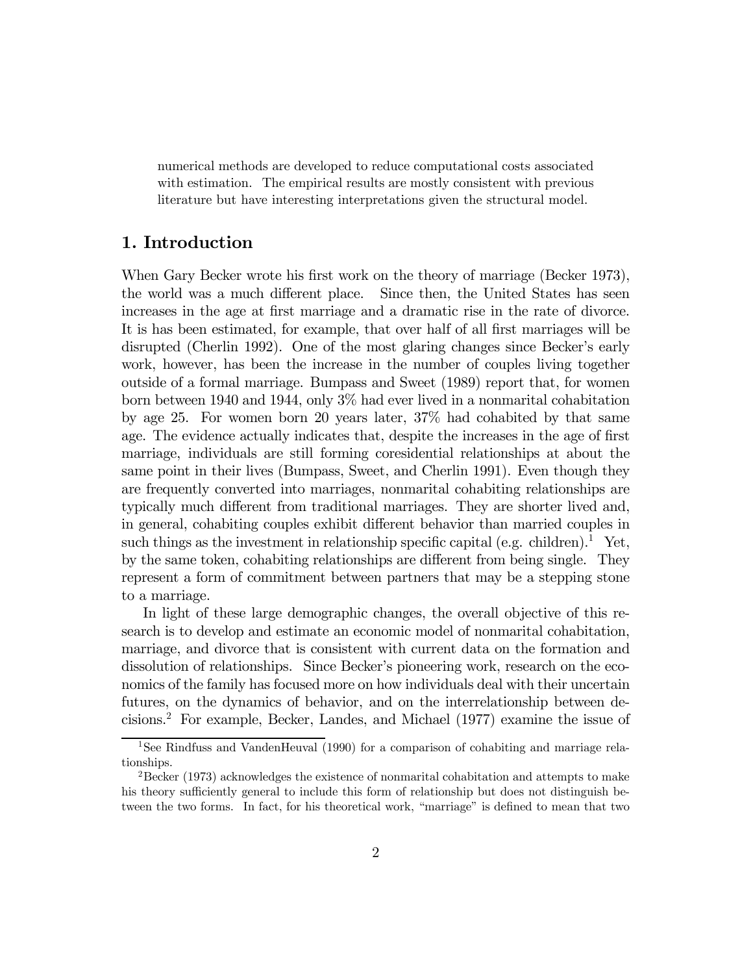numerical methods are developed to reduce computational costs associated with estimation. The empirical results are mostly consistent with previous literature but have interesting interpretations given the structural model.

# 1. Introduction

When Gary Becker wrote his first work on the theory of marriage (Becker 1973), the world was a much different place. Since then, the United States has seen increases in the age at first marriage and a dramatic rise in the rate of divorce. It is has been estimated, for example, that over half of all first marriages will be disrupted (Cherlin 1992). One of the most glaring changes since Becker's early work, however, has been the increase in the number of couples living together outside of a formal marriage. Bumpass and Sweet (1989) report that, for women born between 1940 and 1944, only 3% had ever lived in a nonmarital cohabitation by age 25. For women born 20 years later, 37% had cohabited by that same age. The evidence actually indicates that, despite the increases in the age of first marriage, individuals are still forming coresidential relationships at about the same point in their lives (Bumpass, Sweet, and Cherlin 1991). Even though they are frequently converted into marriages, nonmarital cohabiting relationships are typically much different from traditional marriages. They are shorter lived and, in general, cohabiting couples exhibit different behavior than married couples in such things as the investment in relationship specific capital (e.g. children).<sup>1</sup> Yet, by the same token, cohabiting relationships are different from being single. They represent a form of commitment between partners that may be a stepping stone to a marriage.

In light of these large demographic changes, the overall objective of this research is to develop and estimate an economic model of nonmarital cohabitation, marriage, and divorce that is consistent with current data on the formation and dissolution of relationships. Since Becker's pioneering work, research on the economics of the family has focused more on how individuals deal with their uncertain futures, on the dynamics of behavior, and on the interrelationship between decisions.2 For example, Becker, Landes, and Michael (1977) examine the issue of

<sup>1</sup>See Rindfuss and VandenHeuval (1990) for a comparison of cohabiting and marriage relationships.

 $2$ Becker (1973) acknowledges the existence of nonmarital cohabitation and attempts to make his theory sufficiently general to include this form of relationship but does not distinguish between the two forms. In fact, for his theoretical work, "marriage" is defined to mean that two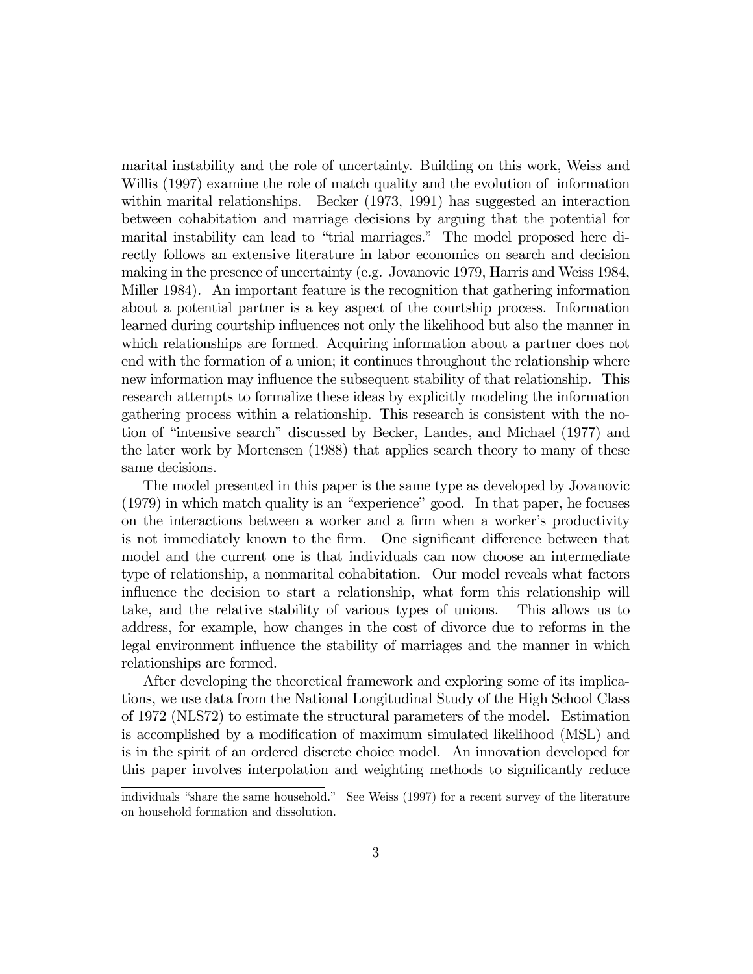marital instability and the role of uncertainty. Building on this work, Weiss and Willis (1997) examine the role of match quality and the evolution of information within marital relationships. Becker (1973, 1991) has suggested an interaction between cohabitation and marriage decisions by arguing that the potential for marital instability can lead to "trial marriages." The model proposed here directly follows an extensive literature in labor economics on search and decision making in the presence of uncertainty (e.g. Jovanovic 1979, Harris and Weiss 1984, Miller 1984). An important feature is the recognition that gathering information about a potential partner is a key aspect of the courtship process. Information learned during courtship influences not only the likelihood but also the manner in which relationships are formed. Acquiring information about a partner does not end with the formation of a union; it continues throughout the relationship where new information may influence the subsequent stability of that relationship. This research attempts to formalize these ideas by explicitly modeling the information gathering process within a relationship. This research is consistent with the notion of "intensive search" discussed by Becker, Landes, and Michael (1977) and the later work by Mortensen (1988) that applies search theory to many of these same decisions.

The model presented in this paper is the same type as developed by Jovanovic  $(1979)$  in which match quality is an "experience" good. In that paper, he focuses on the interactions between a worker and a firm when a worker's productivity is not immediately known to the firm. One significant difference between that model and the current one is that individuals can now choose an intermediate type of relationship, a nonmarital cohabitation. Our model reveals what factors influence the decision to start a relationship, what form this relationship will take, and the relative stability of various types of unions. This allows us to address, for example, how changes in the cost of divorce due to reforms in the legal environment influence the stability of marriages and the manner in which relationships are formed.

After developing the theoretical framework and exploring some of its implications, we use data from the National Longitudinal Study of the High School Class of 1972 (NLS72) to estimate the structural parameters of the model. Estimation is accomplished by a modification of maximum simulated likelihood (MSL) and is in the spirit of an ordered discrete choice model. An innovation developed for this paper involves interpolation and weighting methods to significantly reduce

individuals "share the same household." See Weiss (1997) for a recent survey of the literature on household formation and dissolution.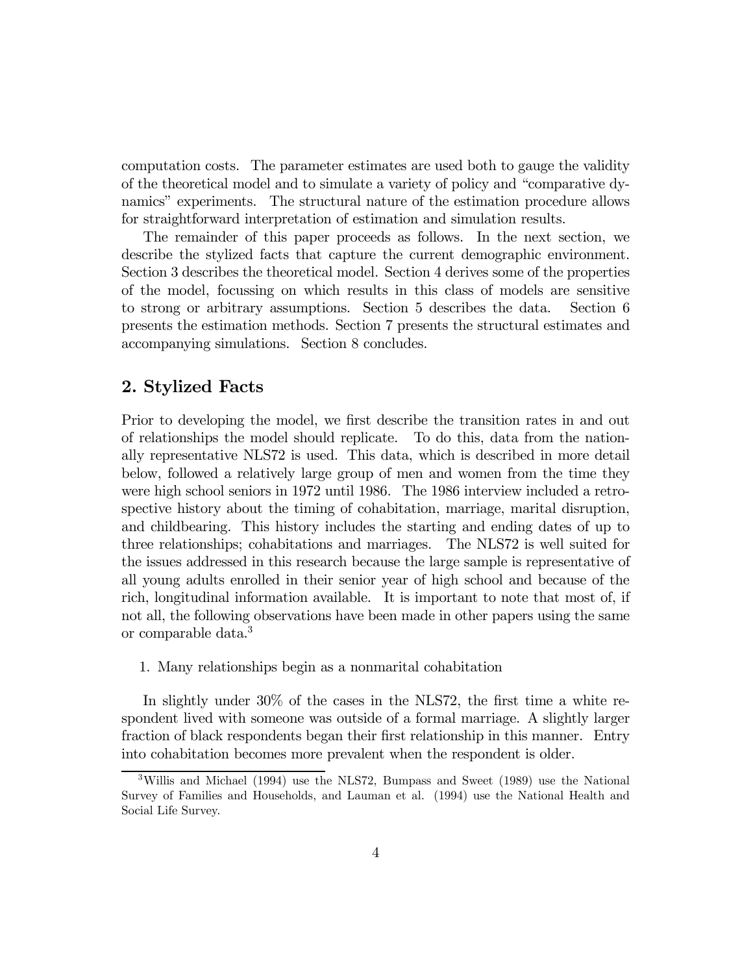computation costs. The parameter estimates are used both to gauge the validity of the theoretical model and to simulate a variety of policy and "comparative dynamics" experiments. The structural nature of the estimation procedure allows for straightforward interpretation of estimation and simulation results.

The remainder of this paper proceeds as follows. In the next section, we describe the stylized facts that capture the current demographic environment. Section 3 describes the theoretical model. Section 4 derives some of the properties of the model, focussing on which results in this class of models are sensitive to strong or arbitrary assumptions. Section 5 describes the data. Section 6 presents the estimation methods. Section 7 presents the structural estimates and accompanying simulations. Section 8 concludes.

# 2. Stylized Facts

Prior to developing the model, we first describe the transition rates in and out of relationships the model should replicate. To do this, data from the nationally representative NLS72 is used. This data, which is described in more detail below, followed a relatively large group of men and women from the time they were high school seniors in 1972 until 1986. The 1986 interview included a retrospective history about the timing of cohabitation, marriage, marital disruption, and childbearing. This history includes the starting and ending dates of up to three relationships; cohabitations and marriages. The NLS72 is well suited for the issues addressed in this research because the large sample is representative of all young adults enrolled in their senior year of high school and because of the rich, longitudinal information available. It is important to note that most of, if not all, the following observations have been made in other papers using the same or comparable data.3

1. Many relationships begin as a nonmarital cohabitation

In slightly under 30% of the cases in the NLS72, the first time a white respondent lived with someone was outside of a formal marriage. A slightly larger fraction of black respondents began their first relationship in this manner. Entry into cohabitation becomes more prevalent when the respondent is older.

<sup>3</sup>Willis and Michael (1994) use the NLS72, Bumpass and Sweet (1989) use the National Survey of Families and Households, and Lauman et al. (1994) use the National Health and Social Life Survey.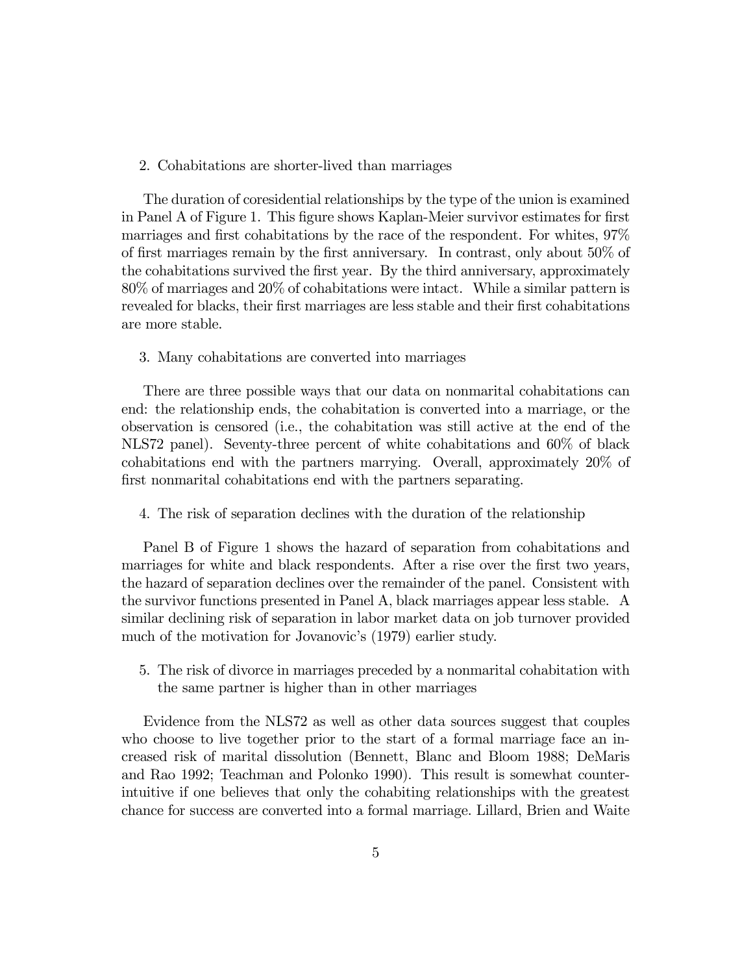#### 2. Cohabitations are shorter-lived than marriages

The duration of coresidential relationships by the type of the union is examined in Panel A of Figure 1. This figure shows Kaplan-Meier survivor estimates for first marriages and first cohabitations by the race of the respondent. For whites, 97% of first marriages remain by the first anniversary. In contrast, only about 50% of the cohabitations survived the first year. By the third anniversary, approximately 80% of marriages and 20% of cohabitations were intact. While a similar pattern is revealed for blacks, their first marriages are less stable and their first cohabitations are more stable.

#### 3. Many cohabitations are converted into marriages

There are three possible ways that our data on nonmarital cohabitations can end: the relationship ends, the cohabitation is converted into a marriage, or the observation is censored (i.e., the cohabitation was still active at the end of the NLS72 panel). Seventy-three percent of white cohabitations and 60% of black cohabitations end with the partners marrying. Overall, approximately 20% of first nonmarital cohabitations end with the partners separating.

4. The risk of separation declines with the duration of the relationship

Panel B of Figure 1 shows the hazard of separation from cohabitations and marriages for white and black respondents. After a rise over the first two years, the hazard of separation declines over the remainder of the panel. Consistent with the survivor functions presented in Panel A, black marriages appear less stable. A similar declining risk of separation in labor market data on job turnover provided much of the motivation for Jovanovic's (1979) earlier study.

5. The risk of divorce in marriages preceded by a nonmarital cohabitation with the same partner is higher than in other marriages

Evidence from the NLS72 as well as other data sources suggest that couples who choose to live together prior to the start of a formal marriage face an increased risk of marital dissolution (Bennett, Blanc and Bloom 1988; DeMaris and Rao 1992; Teachman and Polonko 1990). This result is somewhat counterintuitive if one believes that only the cohabiting relationships with the greatest chance for success are converted into a formal marriage. Lillard, Brien and Waite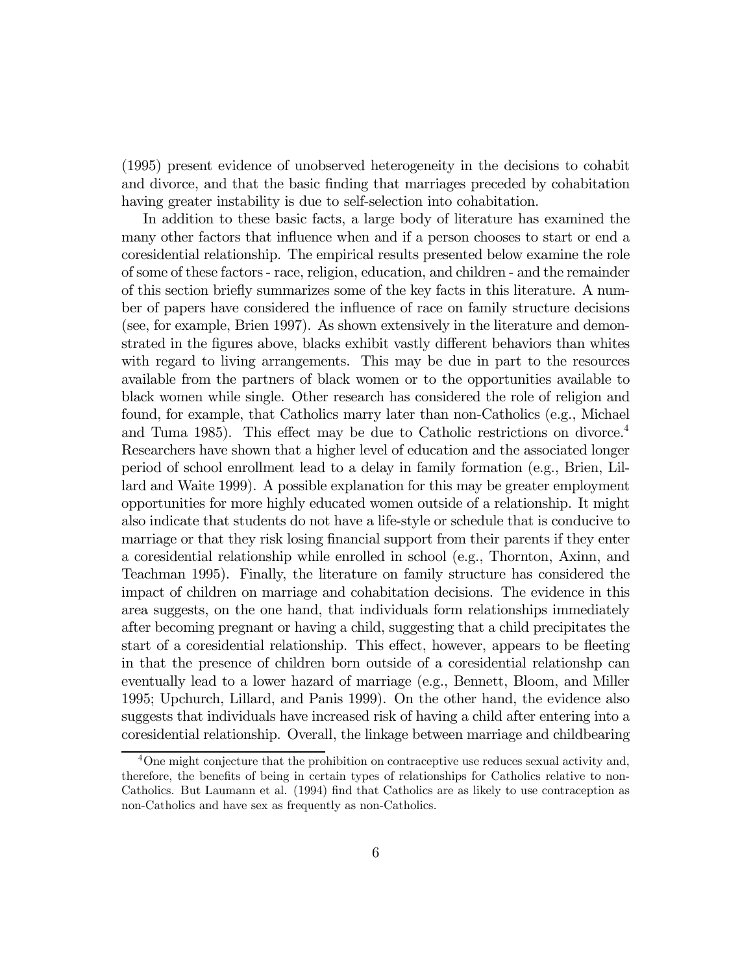(1995) present evidence of unobserved heterogeneity in the decisions to cohabit and divorce, and that the basic finding that marriages preceded by cohabitation having greater instability is due to self-selection into cohabitation.

In addition to these basic facts, a large body of literature has examined the many other factors that influence when and if a person chooses to start or end a coresidential relationship. The empirical results presented below examine the role of some of these factors - race, religion, education, and children - and the remainder of this section briefly summarizes some of the key facts in this literature. A number of papers have considered the influence of race on family structure decisions (see, for example, Brien 1997). As shown extensively in the literature and demonstrated in the figures above, blacks exhibit vastly different behaviors than whites with regard to living arrangements. This may be due in part to the resources available from the partners of black women or to the opportunities available to black women while single. Other research has considered the role of religion and found, for example, that Catholics marry later than non-Catholics (e.g., Michael and Tuma 1985). This effect may be due to Catholic restrictions on divorce.<sup>4</sup> Researchers have shown that a higher level of education and the associated longer period of school enrollment lead to a delay in family formation (e.g., Brien, Lillard and Waite 1999). A possible explanation for this may be greater employment opportunities for more highly educated women outside of a relationship. It might also indicate that students do not have a life-style or schedule that is conducive to marriage or that they risk losing financial support from their parents if they enter a coresidential relationship while enrolled in school (e.g., Thornton, Axinn, and Teachman 1995). Finally, the literature on family structure has considered the impact of children on marriage and cohabitation decisions. The evidence in this area suggests, on the one hand, that individuals form relationships immediately after becoming pregnant or having a child, suggesting that a child precipitates the start of a coresidential relationship. This effect, however, appears to be fleeting in that the presence of children born outside of a coresidential relationshp can eventually lead to a lower hazard of marriage (e.g., Bennett, Bloom, and Miller 1995; Upchurch, Lillard, and Panis 1999). On the other hand, the evidence also suggests that individuals have increased risk of having a child after entering into a coresidential relationship. Overall, the linkage between marriage and childbearing

<sup>4</sup>One might conjecture that the prohibition on contraceptive use reduces sexual activity and, therefore, the benefits of being in certain types of relationships for Catholics relative to non-Catholics. But Laumann et al. (1994) find that Catholics are as likely to use contraception as non-Catholics and have sex as frequently as non-Catholics.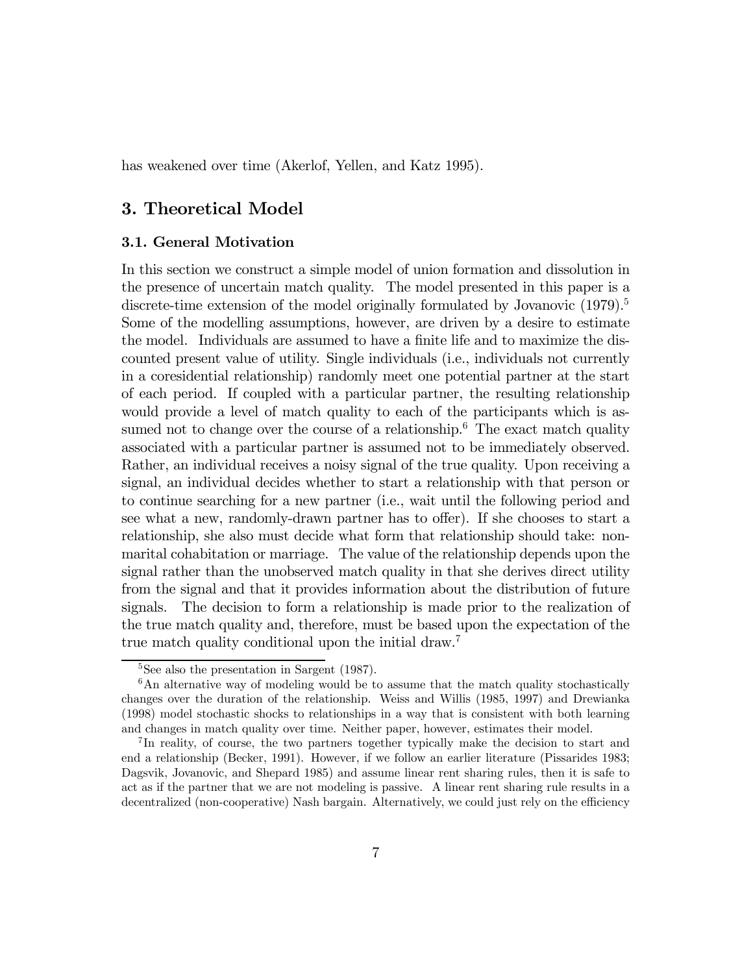has weakened over time (Akerlof, Yellen, and Katz 1995).

# 3. Theoretical Model

### 3.1. General Motivation

In this section we construct a simple model of union formation and dissolution in the presence of uncertain match quality. The model presented in this paper is a discrete-time extension of the model originally formulated by Jovanovic  $(1979)^5$ Some of the modelling assumptions, however, are driven by a desire to estimate the model. Individuals are assumed to have a finite life and to maximize the discounted present value of utility. Single individuals (i.e., individuals not currently in a coresidential relationship) randomly meet one potential partner at the start of each period. If coupled with a particular partner, the resulting relationship would provide a level of match quality to each of the participants which is assumed not to change over the course of a relationship.<sup>6</sup> The exact match quality associated with a particular partner is assumed not to be immediately observed. Rather, an individual receives a noisy signal of the true quality. Upon receiving a signal, an individual decides whether to start a relationship with that person or to continue searching for a new partner (i.e., wait until the following period and see what a new, randomly-drawn partner has to offer). If she chooses to start a relationship, she also must decide what form that relationship should take: nonmarital cohabitation or marriage. The value of the relationship depends upon the signal rather than the unobserved match quality in that she derives direct utility from the signal and that it provides information about the distribution of future signals. The decision to form a relationship is made prior to the realization of the true match quality and, therefore, must be based upon the expectation of the true match quality conditional upon the initial draw.<sup>7</sup>

<sup>&</sup>lt;sup>5</sup>See also the presentation in Sargent (1987).

 $6$ An alternative way of modeling would be to assume that the match quality stochastically changes over the duration of the relationship. Weiss and Willis (1985, 1997) and Drewianka (1998) model stochastic shocks to relationships in a way that is consistent with both learning and changes in match quality over time. Neither paper, however, estimates their model.

<sup>7</sup> In reality, of course, the two partners together typically make the decision to start and end a relationship (Becker, 1991). However, if we follow an earlier literature (Pissarides 1983; Dagsvik, Jovanovic, and Shepard 1985) and assume linear rent sharing rules, then it is safe to act as if the partner that we are not modeling is passive. A linear rent sharing rule results in a decentralized (non-cooperative) Nash bargain. Alternatively, we could just rely on the efficiency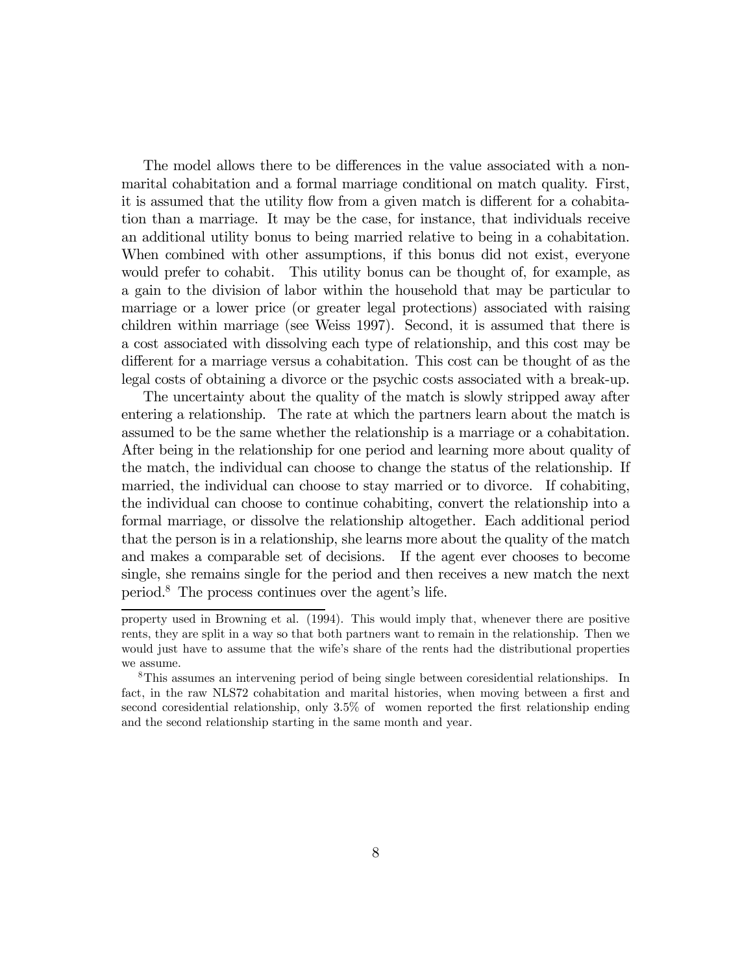The model allows there to be differences in the value associated with a nonmarital cohabitation and a formal marriage conditional on match quality. First, it is assumed that the utility flow from a given match is different for a cohabitation than a marriage. It may be the case, for instance, that individuals receive an additional utility bonus to being married relative to being in a cohabitation. When combined with other assumptions, if this bonus did not exist, everyone would prefer to cohabit. This utility bonus can be thought of, for example, as a gain to the division of labor within the household that may be particular to marriage or a lower price (or greater legal protections) associated with raising children within marriage (see Weiss 1997). Second, it is assumed that there is a cost associated with dissolving each type of relationship, and this cost may be different for a marriage versus a cohabitation. This cost can be thought of as the legal costs of obtaining a divorce or the psychic costs associated with a break-up.

The uncertainty about the quality of the match is slowly stripped away after entering a relationship. The rate at which the partners learn about the match is assumed to be the same whether the relationship is a marriage or a cohabitation. After being in the relationship for one period and learning more about quality of the match, the individual can choose to change the status of the relationship. If married, the individual can choose to stay married or to divorce. If cohabiting, the individual can choose to continue cohabiting, convert the relationship into a formal marriage, or dissolve the relationship altogether. Each additional period that the person is in a relationship, she learns more about the quality of the match and makes a comparable set of decisions. If the agent ever chooses to become single, she remains single for the period and then receives a new match the next period. $8$  The process continues over the agent's life.

property used in Browning et al. (1994). This would imply that, whenever there are positive rents, they are split in a way so that both partners want to remain in the relationship. Then we would just have to assume that the wife's share of the rents had the distributional properties we assume.

<sup>8</sup>This assumes an intervening period of being single between coresidential relationships. In fact, in the raw NLS72 cohabitation and marital histories, when moving between a first and second coresidential relationship, only 3.5% of women reported the first relationship ending and the second relationship starting in the same month and year.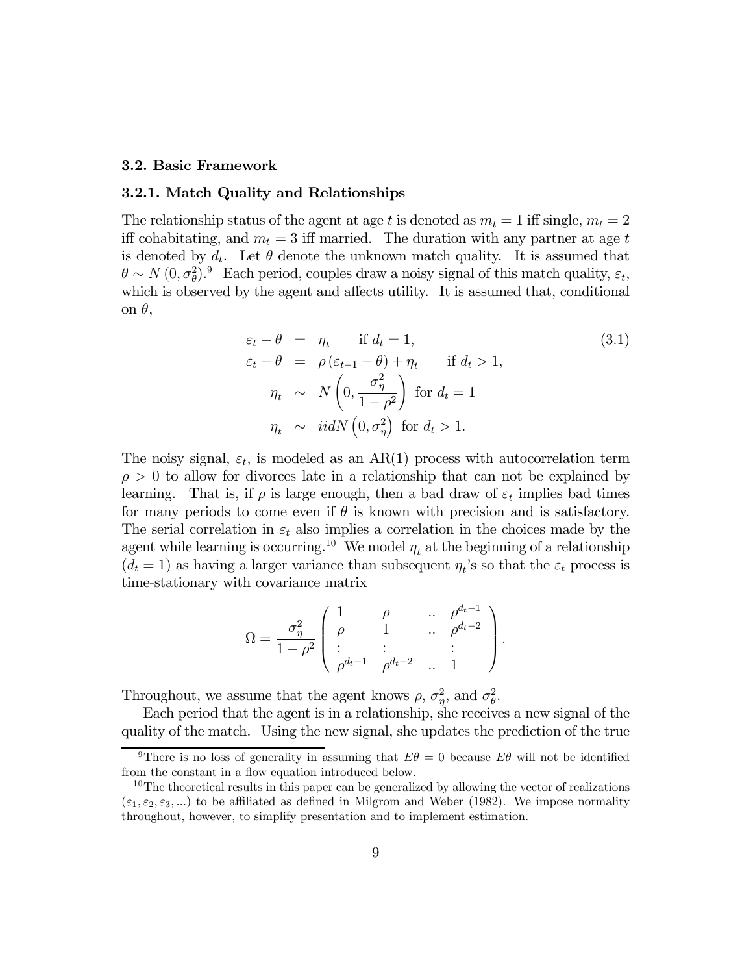#### 3.2. Basic Framework

#### 3.2.1. Match Quality and Relationships

The relationship status of the agent at age t is denoted as  $m_t = 1$  iff single,  $m_t = 2$ iff cohabitating, and  $m_t = 3$  iff married. The duration with any partner at age t is denoted by  $d_t$ . Let  $\theta$  denote the unknown match quality. It is assumed that  $\theta \sim N(0, \sigma_{\theta}^2)$ . Each period, couples draw a noisy signal of this match quality,  $\varepsilon_t$ , which is observed by the agent and affects utility. It is assumed that, conditional on θ,

$$
\varepsilon_t - \theta = \eta_t \quad \text{if } d_t = 1,
$$
  
\n
$$
\varepsilon_t - \theta = \rho (\varepsilon_{t-1} - \theta) + \eta_t \quad \text{if } d_t > 1,
$$
  
\n
$$
\eta_t \sim N \left( 0, \frac{\sigma_\eta^2}{1 - \rho^2} \right) \quad \text{for } d_t = 1
$$
  
\n
$$
\eta_t \sim \text{iid} N \left( 0, \sigma_\eta^2 \right) \quad \text{for } d_t > 1.
$$
\n(3.1)

The noisy signal,  $\varepsilon_t$ , is modeled as an AR(1) process with autocorrelation term  $\rho > 0$  to allow for divorces late in a relationship that can not be explained by learning. That is, if  $\rho$  is large enough, then a bad draw of  $\varepsilon_t$  implies bad times for many periods to come even if  $\theta$  is known with precision and is satisfactory. The serial correlation in  $\varepsilon_t$  also implies a correlation in the choices made by the agent while learning is occurring.<sup>10</sup> We model  $\eta_t$  at the beginning of a relationship  $(d_t = 1)$  as having a larger variance than subsequent  $\eta_t$ 's so that the  $\varepsilon_t$  process is time-stationary with covariance matrix

$$
\Omega = \frac{\sigma_{\eta}^2}{1 - \rho^2} \begin{pmatrix} 1 & \rho & \cdots & \rho^{d_t - 1} \\ \rho & 1 & \cdots & \rho^{d_t - 2} \\ \vdots & \vdots & & \vdots \\ \rho^{d_t - 1} & \rho^{d_t - 2} & \cdots & 1 \end{pmatrix}.
$$

Throughout, we assume that the agent knows  $\rho$ ,  $\sigma_{\eta}^2$ , and  $\sigma_{\theta}^2$ .

Each period that the agent is in a relationship, she receives a new signal of the quality of the match. Using the new signal, she updates the prediction of the true

<sup>&</sup>lt;sup>9</sup>There is no loss of generality in assuming that  $E\theta = 0$  because  $E\theta$  will not be identified from the constant in a flow equation introduced below.

 $10$ The theoretical results in this paper can be generalized by allowing the vector of realizations  $(\epsilon_1, \epsilon_2, \epsilon_3, ...)$  to be affiliated as defined in Milgrom and Weber (1982). We impose normality throughout, however, to simplify presentation and to implement estimation.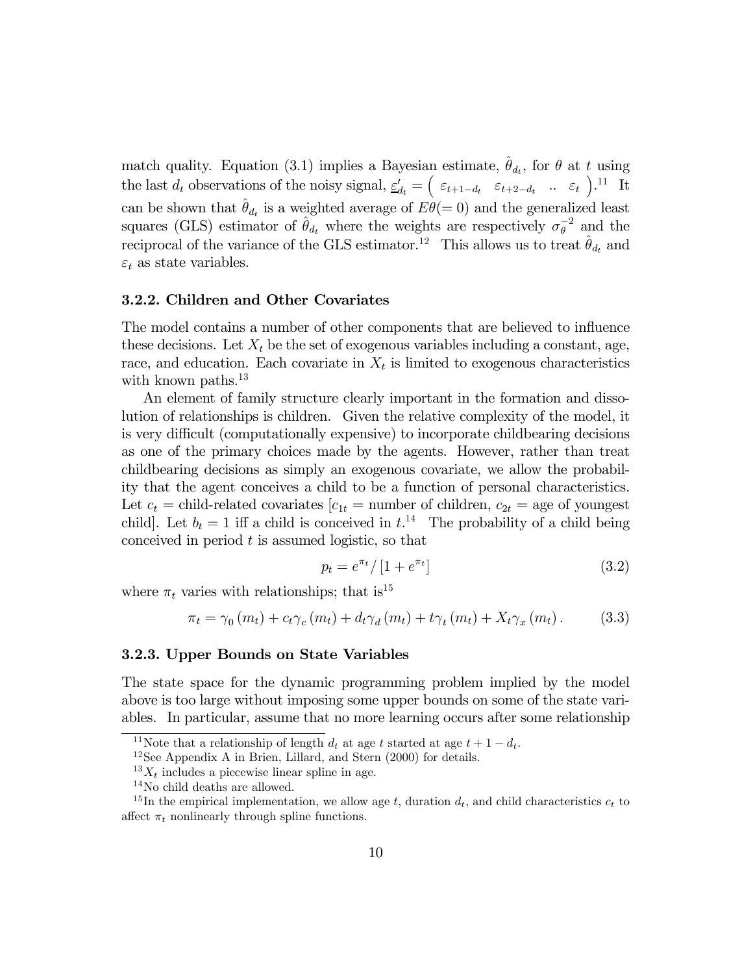match quality. Equation (3.1) implies a Bayesian estimate,  $\hat{\theta}_{d_t}$ , for  $\theta$  at t using the last  $d_t$  observations of the noisy signal,  $\underline{\varepsilon}'_{d_t} = \begin{pmatrix} \varepsilon_{t+1-d_t} & \varepsilon_{t+2-d_t} & \dots & \varepsilon_t \end{pmatrix}$ .<sup>11</sup> It can be shown that  $\hat{\theta}_{d_t}$  is a weighted average of  $E\theta(= 0)$  and the generalized least squares (GLS) estimator of  $\hat{\theta}_{d_t}$  where the weights are respectively  $\sigma_{\theta}^{-2}$  and the reciprocal of the variance of the GLS estimator.<sup>12</sup> This allows us to treat  $\hat{\theta}_{d_t}$  and  $\varepsilon_t$  as state variables.

#### 3.2.2. Children and Other Covariates

The model contains a number of other components that are believed to influence these decisions. Let  $X_t$  be the set of exogenous variables including a constant, age, race, and education. Each covariate in  $X_t$  is limited to exogenous characteristics with known paths.<sup>13</sup>

An element of family structure clearly important in the formation and dissolution of relationships is children. Given the relative complexity of the model, it is very difficult (computationally expensive) to incorporate childbearing decisions as one of the primary choices made by the agents. However, rather than treat childbearing decisions as simply an exogenous covariate, we allow the probability that the agent conceives a child to be a function of personal characteristics. Let  $c_t$  = child-related covariates  $[c_{1t} =$  number of children,  $c_{2t}$  = age of youngest child]. Let  $b_t = 1$  iff a child is conceived in  $t^{14}$ . The probability of a child being conceived in period  $t$  is assumed logistic, so that

$$
p_t = e^{\pi_t} / \left[1 + e^{\pi_t}\right] \tag{3.2}
$$

where  $\pi_t$  varies with relationships; that is<sup>15</sup>

$$
\pi_t = \gamma_0(m_t) + c_t \gamma_c(m_t) + d_t \gamma_d(m_t) + t \gamma_t(m_t) + X_t \gamma_x(m_t). \tag{3.3}
$$

#### 3.2.3. Upper Bounds on State Variables

The state space for the dynamic programming problem implied by the model above is too large without imposing some upper bounds on some of the state variables. In particular, assume that no more learning occurs after some relationship

<sup>&</sup>lt;sup>11</sup>Note that a relationship of length  $d_t$  at age t started at age  $t + 1 - d_t$ .<br><sup>12</sup>See Appendix A in Brien, Lillard, and Stern (2000) for details.

 $^{13}X_t$  includes a piecewise linear spline in age.

<sup>14</sup>No child deaths are allowed.

<sup>&</sup>lt;sup>15</sup>In the empirical implementation, we allow age t, duration  $d_t$ , and child characteristics  $c_t$  to affect  $\pi_t$  nonlinearly through spline functions.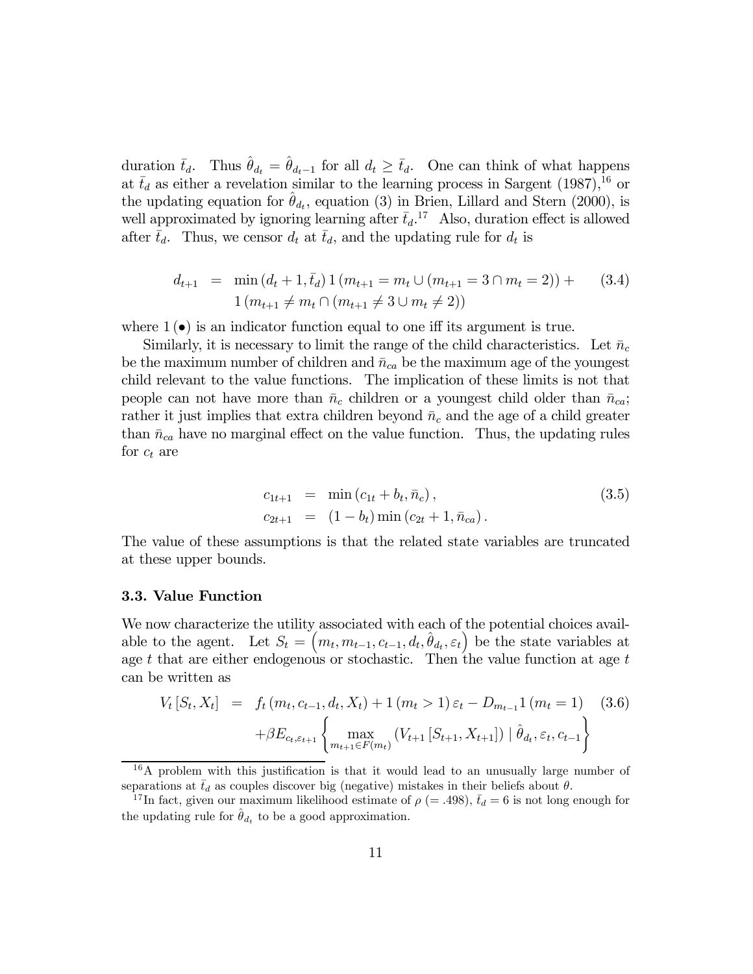duration  $\bar{t}_d$ . Thus  $\hat{\theta}_{d_t} = \hat{\theta}_{d_t-1}$  for all  $d_t \geq \bar{t}_d$ . One can think of what happens at  $\bar{t}_d$  as either a revelation similar to the learning process in Sargent (1987),<sup>16</sup> or the updating equation for  $\hat{\theta}_{d_t}$ , equation (3) in Brien, Lillard and Stern (2000), is well approximated by ignoring learning after  $\bar{t}_d$ .<sup>17</sup> Also, duration effect is allowed after  $\bar{t}_d$ . Thus, we censor  $d_t$  at  $\bar{t}_d$ , and the updating rule for  $d_t$  is

$$
d_{t+1} = \min(d_t + 1, \bar{t}_d) 1 (m_{t+1} = m_t \cup (m_{t+1} = 3 \cap m_t = 2)) + (3.4)
$$
  

$$
1 (m_{t+1} \neq m_t \cap (m_{t+1} \neq 3 \cup m_t \neq 2))
$$

where  $1(\bullet)$  is an indicator function equal to one iff its argument is true.

Similarly, it is necessary to limit the range of the child characteristics. Let  $\bar{n}_c$ be the maximum number of children and  $\bar{n}_{ca}$  be the maximum age of the youngest child relevant to the value functions. The implication of these limits is not that people can not have more than  $\bar{n}_c$  children or a youngest child older than  $\bar{n}_{ca}$ ; rather it just implies that extra children beyond  $\bar{n}_c$  and the age of a child greater than  $\bar{n}_{ca}$  have no marginal effect on the value function. Thus, the updating rules for  $c_t$  are

$$
c_{1t+1} = \min(c_{1t} + b_t, \bar{n}_c),
$$
  
\n
$$
c_{2t+1} = (1 - b_t) \min(c_{2t} + 1, \bar{n}_{ca}).
$$
\n(3.5)

The value of these assumptions is that the related state variables are truncated at these upper bounds.

#### 3.3. Value Function

We now characterize the utility associated with each of the potential choices available to the agent. Let  $S_t = (m_t, m_{t-1}, c_{t-1}, d_t, \hat{\theta}_{d_t}, \varepsilon_t)$  be the state variables at age t that are either endogenous or stochastic. Then the value function at age  $t$ can be written as

$$
V_t[S_t, X_t] = f_t(m_t, c_{t-1}, d_t, X_t) + 1(m_t > 1) \varepsilon_t - D_{m_{t-1}} 1(m_t = 1)
$$
(3.6)  

$$
+ \beta E_{c_t, \varepsilon_{t+1}} \left\{ \max_{m_{t+1} \in F(m_t)} (V_{t+1}[S_{t+1}, X_{t+1}]) \mid \hat{\theta}_{d_t}, \varepsilon_t, c_{t-1} \right\}
$$

<sup>&</sup>lt;sup>16</sup>A problem with this justification is that it would lead to an unusually large number of separations at  $\bar{t}_d$  as couples discover big (negative) mistakes in their beliefs about  $\theta$ .<br><sup>17</sup>In fact, given our maximum likelihood estimate of  $\rho$  (= .498),  $\bar{t}_d$  = 6 is not long

<sup>&</sup>lt;sup>17</sup>In fact, given our maximum likelihood estimate of  $\rho$  (= .498),  $\bar{t}_d$  = 6 is not long enough for the updating rule for  $\theta_{d_t}$  to be a good approximation.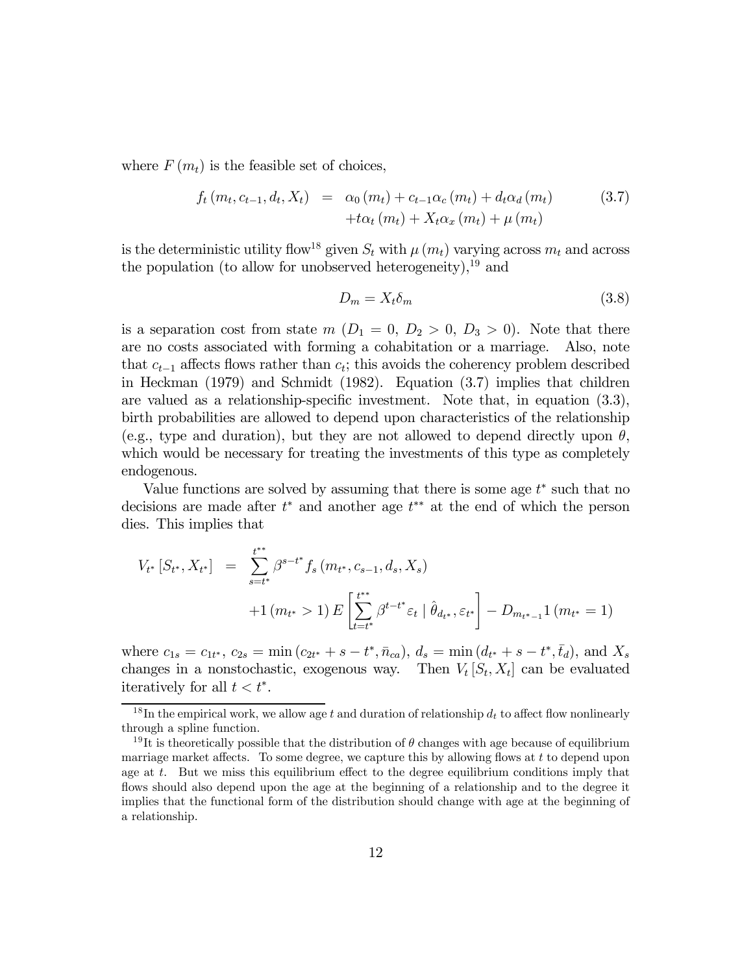where  $F(m_t)$  is the feasible set of choices,

$$
f_t(m_t, c_{t-1}, d_t, X_t) = \alpha_0(m_t) + c_{t-1}\alpha_c(m_t) + d_t\alpha_d(m_t)
$$
(3.7)  

$$
+ t\alpha_t(m_t) + X_t\alpha_x(m_t) + \mu(m_t)
$$

is the deterministic utility flow<sup>18</sup> given  $S_t$  with  $\mu(m_t)$  varying across  $m_t$  and across the population (to allow for unobserved heterogeneity), $19$  and

$$
D_m = X_t \delta_m \tag{3.8}
$$

is a separation cost from state  $m(D_1 = 0, D_2 > 0, D_3 > 0)$ . Note that there are no costs associated with forming a cohabitation or a marriage. Also, note that  $c_{t-1}$  affects flows rather than  $c_t$ ; this avoids the coherency problem described in Heckman (1979) and Schmidt (1982). Equation (3.7) implies that children are valued as a relationship-specific investment. Note that, in equation (3.3), birth probabilities are allowed to depend upon characteristics of the relationship (e.g., type and duration), but they are not allowed to depend directly upon  $\theta$ , which would be necessary for treating the investments of this type as completely endogenous.

Value functions are solved by assuming that there is some age  $t^*$  such that no decisions are made after  $t^*$  and another age  $t^{**}$  at the end of which the person dies. This implies that

$$
V_{t*}[S_{t*}, X_{t*}] = \sum_{s=t^{*}}^{t^{**}} \beta^{s-t^{*}} f_s(m_{t*}, c_{s-1}, d_s, X_s)
$$
  
+1  $(m_{t*} > 1) E\left[\sum_{t=t^{*}}^{t^{**}} \beta^{t-t^{*}} \varepsilon_t | \hat{\theta}_{d_{t*}}, \varepsilon_{t*}\right] - D_{m_{t^{*}-1}} 1 (m_{t*} = 1)$ 

where  $c_{1s} = c_{1t^*}, c_{2s} = \min(c_{2t^*} + s - t^*, \bar{n}_{ca}), d_s = \min(d_{t^*} + s - t^*, \bar{t}_d), \text{ and } X_s$ changes in a nonstochastic, exogenous way. Then  $V_t[S_t, X_t]$  can be evaluated iteratively for all  $t < t^*$ .

 $18$  In the empirical work, we allow age t and duration of relationship  $d_t$  to affect flow nonlinearly through a spline function.

<sup>&</sup>lt;sup>19</sup>It is theoretically possible that the distribution of  $\theta$  changes with age because of equilibrium marriage market affects. To some degree, we capture this by allowing flows at  $t$  to depend upon age at t. But we miss this equilibrium effect to the degree equilibrium conditions imply that flows should also depend upon the age at the beginning of a relationship and to the degree it implies that the functional form of the distribution should change with age at the beginning of a relationship.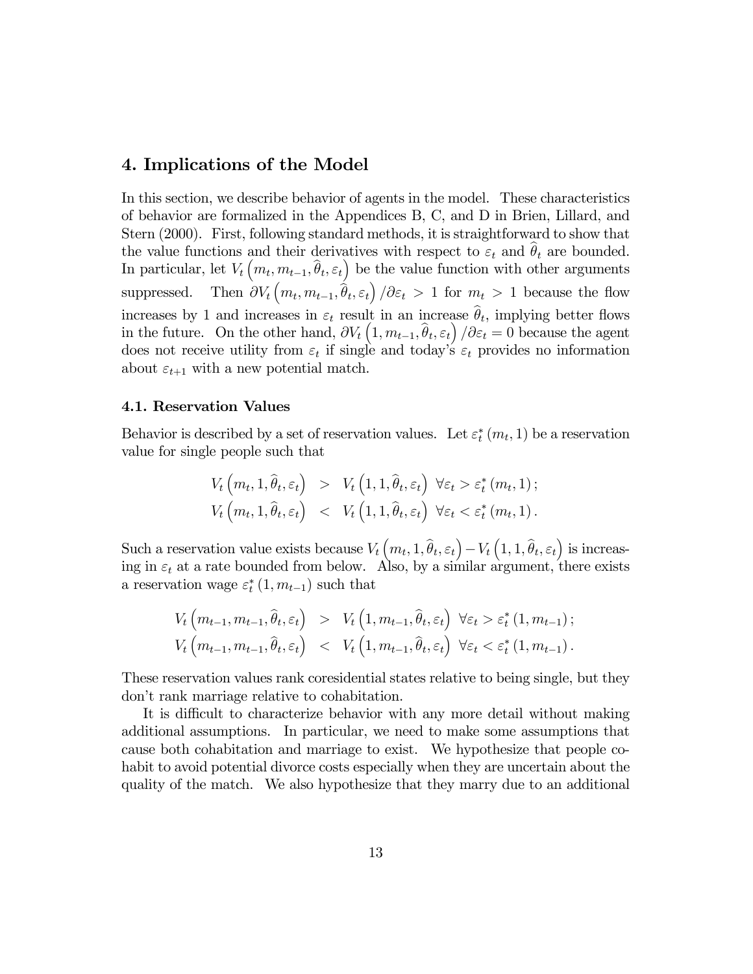# 4. Implications of the Model

In this section, we describe behavior of agents in the model. These characteristics of behavior are formalized in the Appendices B, C, and D in Brien, Lillard, and Stern (2000). First, following standard methods, it is straightforward to show that the value functions and their derivatives with respect to  $\varepsilon_t$  and  $\theta_t$  are bounded. In particular, let  $V_t(m_t, m_{t-1}, \hat{\theta}_t, \varepsilon_t)$  be the value function with other arguments suppressed.  $(m_t, m_{t-1}, \hat{\theta}_t, \varepsilon_t) / \partial \varepsilon_t > 1$  for  $m_t > 1$  because the flow increases by 1 and increases in  $\varepsilon_t$  result in an increase  $\hat{\theta}_t$ , implying better flows in the future. On the other hand,  $\partial V_t\left(1, m_{t-1}, \hat{\theta}_t, \varepsilon_t\right) / \partial \varepsilon_t = 0$  because the agent does not receive utility from  $\varepsilon_t$  if single and today's  $\varepsilon_t$  provides no information about  $\varepsilon_{t+1}$  with a new potential match.

#### 4.1. Reservation Values

Behavior is described by a set of reservation values. Let  $\varepsilon_t^*(m_t, 1)$  be a reservation value for single people such that

$$
V_t\left(m_t, 1, \hat{\theta}_t, \varepsilon_t\right) > V_t\left(1, 1, \hat{\theta}_t, \varepsilon_t\right) \ \forall \varepsilon_t > \varepsilon_t^* \left(m_t, 1\right);
$$
  

$$
V_t\left(m_t, 1, \hat{\theta}_t, \varepsilon_t\right) < V_t\left(1, 1, \hat{\theta}_t, \varepsilon_t\right) \ \forall \varepsilon_t < \varepsilon_t^* \left(m_t, 1\right).
$$

Such a reservation value exists because  $V_t(m_t, 1, \hat{\theta}_t, \varepsilon_t) - V_t(1, 1, \hat{\theta}_t, \varepsilon_t)$  is increasing in  $\varepsilon_t$  at a rate bounded from below. Also, by a similar argument, there exists a reservation wage  $\varepsilon_t^*$   $(1, m_{t-1})$  such that

$$
V_t\left(m_{t-1}, m_{t-1}, \hat{\theta}_t, \varepsilon_t\right) > V_t\left(1, m_{t-1}, \hat{\theta}_t, \varepsilon_t\right) \ \forall \varepsilon_t > \varepsilon_t^* \left(1, m_{t-1}\right);
$$
  

$$
V_t\left(m_{t-1}, m_{t-1}, \hat{\theta}_t, \varepsilon_t\right) < V_t\left(1, m_{t-1}, \hat{\theta}_t, \varepsilon_t\right) \ \forall \varepsilon_t < \varepsilon_t^* \left(1, m_{t-1}\right).
$$

These reservation values rank coresidential states relative to being single, but they don't rank marriage relative to cohabitation.

It is difficult to characterize behavior with any more detail without making additional assumptions. In particular, we need to make some assumptions that cause both cohabitation and marriage to exist. We hypothesize that people cohabit to avoid potential divorce costs especially when they are uncertain about the quality of the match. We also hypothesize that they marry due to an additional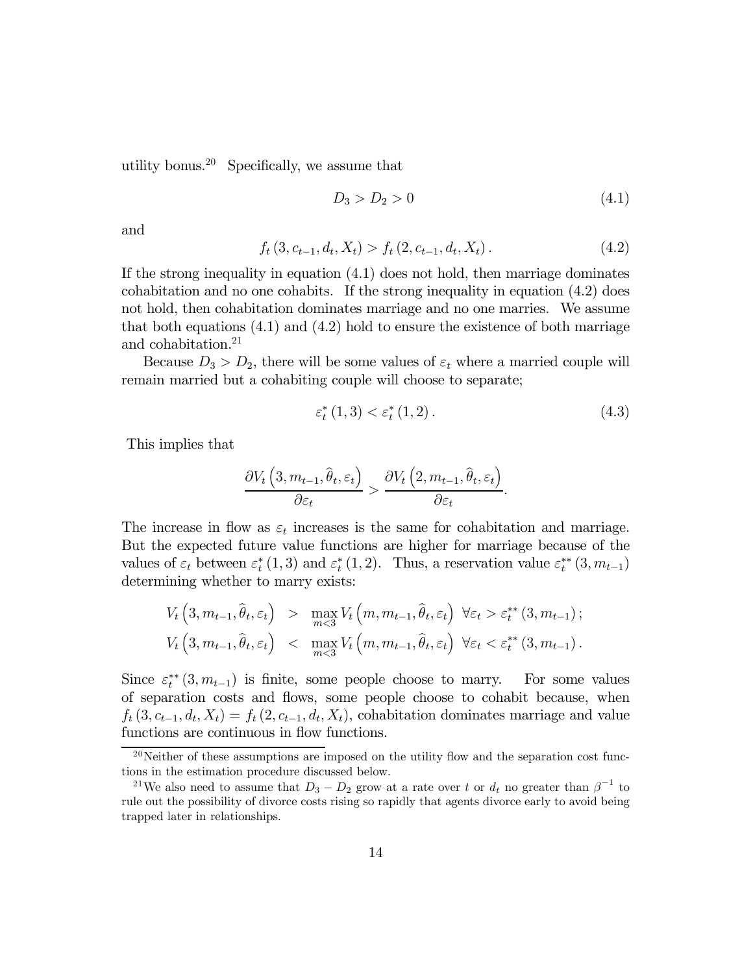utility bonus.<sup>20</sup> Specifically, we assume that

$$
D_3 > D_2 > 0 \tag{4.1}
$$

and

$$
f_t(3, c_{t-1}, d_t, X_t) > f_t(2, c_{t-1}, d_t, X_t).
$$
\n(4.2)

If the strong inequality in equation (4.1) does not hold, then marriage dominates cohabitation and no one cohabits. If the strong inequality in equation (4.2) does not hold, then cohabitation dominates marriage and no one marries. We assume that both equations (4.1) and (4.2) hold to ensure the existence of both marriage and cohabitation.<sup>21</sup>

Because  $D_3 > D_2$ , there will be some values of  $\varepsilon_t$  where a married couple will remain married but a cohabiting couple will choose to separate;

$$
\varepsilon_t^*(1,3) < \varepsilon_t^*(1,2) \,. \tag{4.3}
$$

This implies that

$$
\frac{\partial V_t\left(3, m_{t-1}, \hat{\theta}_t, \varepsilon_t\right)}{\partial \varepsilon_t} > \frac{\partial V_t\left(2, m_{t-1}, \hat{\theta}_t, \varepsilon_t\right)}{\partial \varepsilon_t}.
$$

The increase in flow as  $\varepsilon_t$  increases is the same for cohabitation and marriage. But the expected future value functions are higher for marriage because of the values of  $\varepsilon_t$  between  $\varepsilon_t^*(1,3)$  and  $\varepsilon_t^*(1,2)$ . Thus, a reservation value  $\varepsilon_t^{**}(3,m_{t-1})$ determining whether to marry exists:

$$
V_t\left(3, m_{t-1}, \hat{\theta}_t, \varepsilon_t\right) > \max_{m < 3} V_t\left(m, m_{t-1}, \hat{\theta}_t, \varepsilon_t\right) \ \forall \varepsilon_t > \varepsilon_t^{**}\left(3, m_{t-1}\right);
$$
\n
$$
V_t\left(3, m_{t-1}, \hat{\theta}_t, \varepsilon_t\right) < \max_{m < 3} V_t\left(m, m_{t-1}, \hat{\theta}_t, \varepsilon_t\right) \ \forall \varepsilon_t < \varepsilon_t^{**}\left(3, m_{t-1}\right).
$$

Since  $\varepsilon_t^{**}(3, m_{t-1})$  is finite, some people choose to marry. For some values of separation costs and flows, some people choose to cohabit because, when  $f_t(3, c_{t-1}, d_t, X_t) = f_t(2, c_{t-1}, d_t, X_t)$ , cohabitation dominates marriage and value functions are continuous in flow functions.

<sup>&</sup>lt;sup>20</sup>Neither of these assumptions are imposed on the utility flow and the separation cost functions in the estimation procedure discussed below.

<sup>&</sup>lt;sup>21</sup>We also need to assume that  $D_3 - D_2$  grow at a rate over t or  $d_t$  no greater than  $\beta^{-1}$  to rule out the possibility of divorce costs rising so rapidly that agents divorce early to avoid being trapped later in relationships.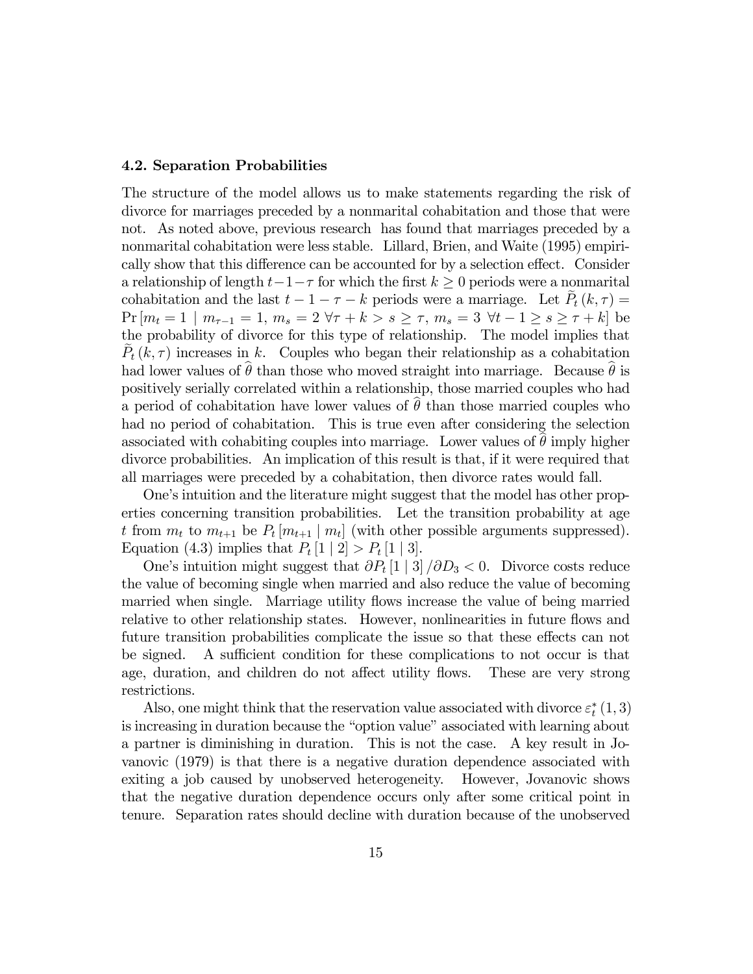#### 4.2. Separation Probabilities

The structure of the model allows us to make statements regarding the risk of divorce for marriages preceded by a nonmarital cohabitation and those that were not. As noted above, previous research has found that marriages preceded by a nonmarital cohabitation were less stable. Lillard, Brien, and Waite (1995) empirically show that this difference can be accounted for by a selection effect. Consider a relationship of length  $t-1-\tau$  for which the first  $k \geq 0$  periods were a nonmarital cohabitation and the last  $t - 1 - \tau - k$  periods were a marriage. Let  $P_t(k, \tau) =$  $Pr[m_t = 1 \mid m_{\tau-1} = 1, m_s = 2 \forall \tau + k > s \geq \tau, m_s = 3 \forall t - 1 \geq s \geq \tau + k]$  be the probability of divorce for this type of relationship. The model implies that  $P_t(k,\tau)$  increases in k. Couples who began their relationship as a cohabitation had lower values of  $\hat{\theta}$  than those who moved straight into marriage. Because  $\hat{\theta}$  is positively serially correlated within a relationship, those married couples who had a period of cohabitation have lower values of  $\hat{\theta}$  than those married couples who had no period of cohabitation. This is true even after considering the selection associated with cohabiting couples into marriage. Lower values of  $\theta$  imply higher divorce probabilities. An implication of this result is that, if it were required that all marriages were preceded by a cohabitation, then divorce rates would fall.

One's intuition and the literature might suggest that the model has other properties concerning transition probabilities. Let the transition probability at age t from  $m_t$  to  $m_{t+1}$  be  $P_t[m_{t+1} | m_t]$  (with other possible arguments suppressed). Equation (4.3) implies that  $P_t[1 \mid 2] > P_t[1 \mid 3]$ .

One's intuition might suggest that  $\partial P_t[1 \mid 3]/\partial D_3 < 0$ . Divorce costs reduce the value of becoming single when married and also reduce the value of becoming married when single. Marriage utility flows increase the value of being married relative to other relationship states. However, nonlinearities in future flows and future transition probabilities complicate the issue so that these effects can not be signed. A sufficient condition for these complications to not occur is that age, duration, and children do not affect utility flows. These are very strong restrictions.

Also, one might think that the reservation value associated with divorce  $\varepsilon_t^*(1,3)$ is increasing in duration because the "option value" associated with learning about a partner is diminishing in duration. This is not the case. A key result in Jovanovic (1979) is that there is a negative duration dependence associated with exiting a job caused by unobserved heterogeneity. However, Jovanovic shows that the negative duration dependence occurs only after some critical point in tenure. Separation rates should decline with duration because of the unobserved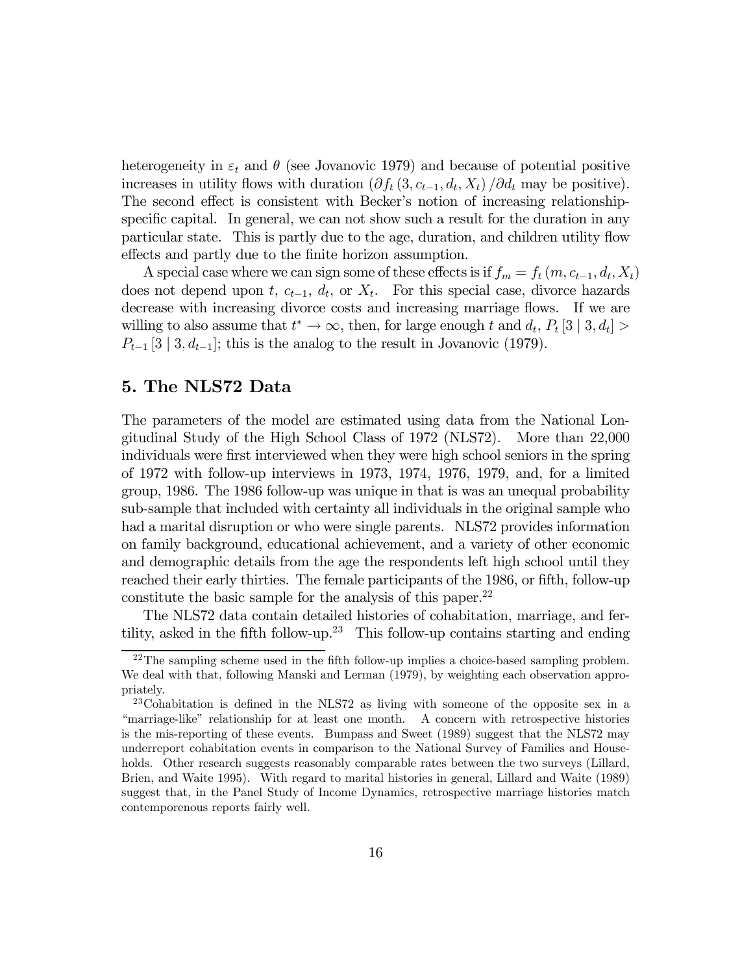heterogeneity in  $\varepsilon_t$  and  $\theta$  (see Jovanovic 1979) and because of potential positive increases in utility flows with duration  $(\partial f_t(3, c_{t-1}, d_t, X_t) / \partial d_t$  may be positive). The second effect is consistent with Becker's notion of increasing relationshipspecific capital. In general, we can not show such a result for the duration in any particular state. This is partly due to the age, duration, and children utility flow effects and partly due to the finite horizon assumption.

A special case where we can sign some of these effects is if  $f_m = f_t (m, c_{t-1}, d_t, X_t)$ does not depend upon t,  $c_{t-1}$ ,  $d_t$ , or  $X_t$ . For this special case, divorce hazards decrease with increasing divorce costs and increasing marriage flows. If we are willing to also assume that  $t^* \to \infty$ , then, for large enough t and  $d_t$ ,  $P_t$  [3 | 3,  $d_t$ ] >  $P_{t-1}$  [3 | 3,  $d_{t-1}$ ]; this is the analog to the result in Jovanovic (1979).

### 5. The NLS72 Data

The parameters of the model are estimated using data from the National Longitudinal Study of the High School Class of 1972 (NLS72). More than 22,000 individuals were first interviewed when they were high school seniors in the spring of 1972 with follow-up interviews in 1973, 1974, 1976, 1979, and, for a limited group, 1986. The 1986 follow-up was unique in that is was an unequal probability sub-sample that included with certainty all individuals in the original sample who had a marital disruption or who were single parents. NLS72 provides information on family background, educational achievement, and a variety of other economic and demographic details from the age the respondents left high school until they reached their early thirties. The female participants of the 1986, or fifth, follow-up constitute the basic sample for the analysis of this paper.22

The NLS72 data contain detailed histories of cohabitation, marriage, and fertility, asked in the fifth follow-up.<sup>23</sup> This follow-up contains starting and ending

 $22$ The sampling scheme used in the fifth follow-up implies a choice-based sampling problem. We deal with that, following Manski and Lerman (1979), by weighting each observation appropriately.

 $^{23}$ Cohabitation is defined in the NLS72 as living with someone of the opposite sex in a ìmarriage-likeî relationship for at least one month. A concern with retrospective histories is the mis-reporting of these events. Bumpass and Sweet (1989) suggest that the NLS72 may underreport cohabitation events in comparison to the National Survey of Families and Households. Other research suggests reasonably comparable rates between the two surveys (Lillard, Brien, and Waite 1995). With regard to marital histories in general, Lillard and Waite (1989) suggest that, in the Panel Study of Income Dynamics, retrospective marriage histories match contemporenous reports fairly well.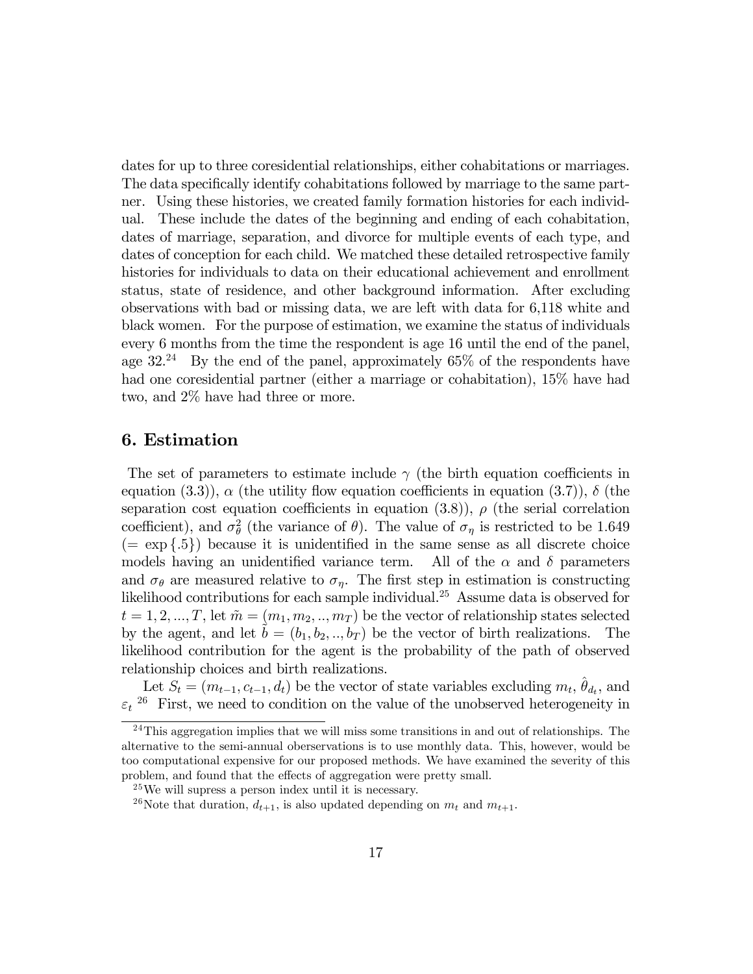dates for up to three coresidential relationships, either cohabitations or marriages. The data specifically identify cohabitations followed by marriage to the same partner. Using these histories, we created family formation histories for each individual. These include the dates of the beginning and ending of each cohabitation, dates of marriage, separation, and divorce for multiple events of each type, and dates of conception for each child. We matched these detailed retrospective family histories for individuals to data on their educational achievement and enrollment status, state of residence, and other background information. After excluding observations with bad or missing data, we are left with data for 6,118 white and black women. For the purpose of estimation, we examine the status of individuals every 6 months from the time the respondent is age 16 until the end of the panel, age  $32.^{24}$  By the end of the panel, approximately 65% of the respondents have had one coresidential partner (either a marriage or cohabitation), 15% have had two, and 2% have had three or more.

### 6. Estimation

The set of parameters to estimate include  $\gamma$  (the birth equation coefficients in equation (3.3)),  $\alpha$  (the utility flow equation coefficients in equation (3.7)),  $\delta$  (the separation cost equation coefficients in equation (3.8)),  $\rho$  (the serial correlation coefficient), and  $\sigma_{\theta}^2$  (the variance of  $\theta$ ). The value of  $\sigma_{\eta}$  is restricted to be 1.649  $(= \exp\{.5\})$  because it is unidentified in the same sense as all discrete choice models having an unidentified variance term. All of the  $\alpha$  and  $\delta$  parameters and  $\sigma_{\theta}$  are measured relative to  $\sigma_{\eta}$ . The first step in estimation is constructing likelihood contributions for each sample individual.25 Assume data is observed for  $t = 1, 2, ..., T$ , let  $\tilde{m} = (m_1, m_2, ..., m_T)$  be the vector of relationship states selected by the agent, and let  $b = (b_1, b_2, ..., b_T)$  be the vector of birth realizations. The likelihood contribution for the agent is the probability of the path of observed relationship choices and birth realizations.

Let  $S_t = (m_{t-1}, c_{t-1}, d_t)$  be the vector of state variables excluding  $m_t$ ,  $\hat{\theta}_{d_t}$ , and  $\varepsilon_t$ <sup>26</sup> First, we need to condition on the value of the unobserved heterogeneity in

 $24$ This aggregation implies that we will miss some transitions in and out of relationships. The alternative to the semi-annual oberservations is to use monthly data. This, however, would be too computational expensive for our proposed methods. We have examined the severity of this problem, and found that the effects of aggregation were pretty small.

 $^{25}$ We will supress a person index until it is necessary.

<sup>&</sup>lt;sup>26</sup>Note that duration,  $d_{t+1}$ , is also updated depending on  $m_t$  and  $m_{t+1}$ .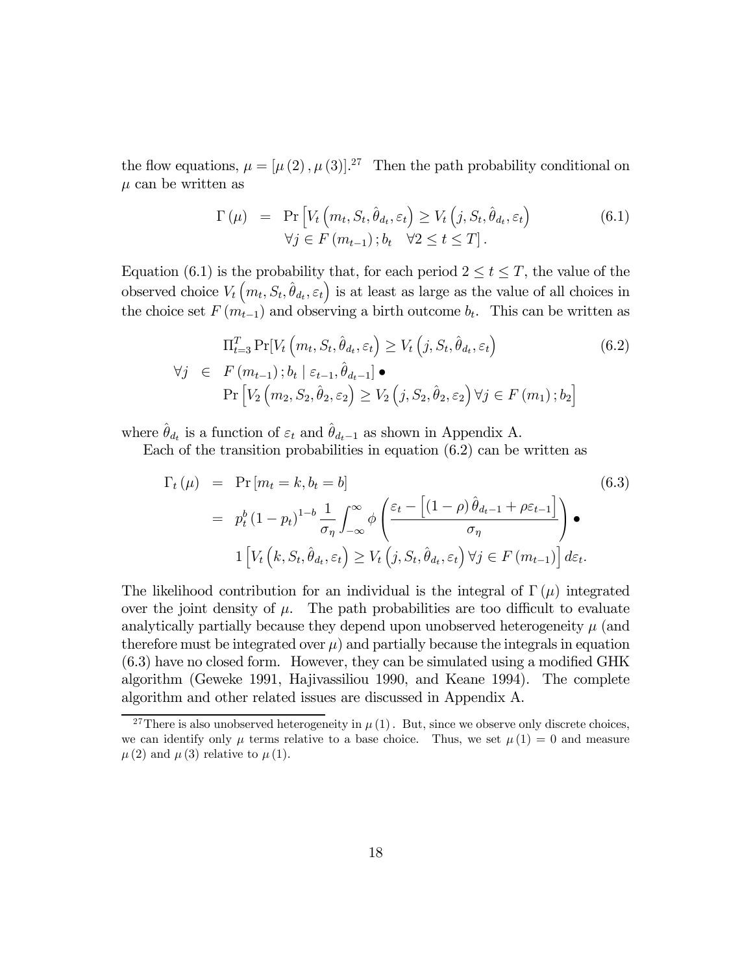the flow equations,  $\mu = [\mu(2), \mu(3)]^{27}$  Then the path probability conditional on  $\mu$  can be written as

$$
\Gamma(\mu) = \Pr \left[ V_t \left( m_t, S_t, \hat{\theta}_{d_t}, \varepsilon_t \right) \ge V_t \left( j, S_t, \hat{\theta}_{d_t}, \varepsilon_t \right) \right]
$$
\n
$$
\forall j \in F \left( m_{t-1} \right); b_t \quad \forall 2 \le t \le T \right]. \tag{6.1}
$$

Equation (6.1) is the probability that, for each period  $2 \le t \le T$ , the value of the observed choice  $V_t(m_t, S_t, \hat{\theta}_{d_t}, \varepsilon_t)$  is at least as large as the value of all choices in the choice set  $F(m_{t-1})$  and observing a birth outcome  $b_t$ . This can be written as

$$
\Pi_{t=3}^{T} \Pr[V_t(m_t, S_t, \hat{\theta}_{d_t}, \varepsilon_t) \ge V_t(j, S_t, \hat{\theta}_{d_t}, \varepsilon_t)]
$$
\n
$$
\forall j \in F(m_{t-1}); b_t \mid \varepsilon_{t-1}, \hat{\theta}_{d_t-1}] \bullet
$$
\n
$$
\Pr[V_2(m_2, S_2, \hat{\theta}_2, \varepsilon_2) \ge V_2(j, S_2, \hat{\theta}_2, \varepsilon_2) \forall j \in F(m_1); b_2]
$$
\n(6.2)

where  $\hat{\theta}_{d_t}$  is a function of  $\varepsilon_t$  and  $\hat{\theta}_{d_t-1}$  as shown in Appendix A.

Each of the transition probabilities in equation (6.2) can be written as

$$
\Gamma_{t}(\mu) = \Pr[m_{t} = k, b_{t} = b]
$$
\n
$$
= p_{t}^{b} (1 - p_{t})^{1 - b} \frac{1}{\sigma_{\eta}} \int_{-\infty}^{\infty} \phi \left( \frac{\varepsilon_{t} - \left[ (1 - \rho) \hat{\theta}_{d_{t-1}} + \rho \varepsilon_{t-1} \right]}{\sigma_{\eta}} \right) \bullet
$$
\n
$$
1 \left[ V_{t} \left( k, S_{t}, \hat{\theta}_{d_{t}}, \varepsilon_{t} \right) \geq V_{t} \left( j, S_{t}, \hat{\theta}_{d_{t}}, \varepsilon_{t} \right) \forall j \in F(m_{t-1}) \right] d\varepsilon_{t}.
$$
\n(6.3)

The likelihood contribution for an individual is the integral of  $\Gamma(\mu)$  integrated over the joint density of  $\mu$ . The path probabilities are too difficult to evaluate analytically partially because they depend upon unobserved heterogeneity  $\mu$  (and therefore must be integrated over  $\mu$ ) and partially because the integrals in equation (6.3) have no closed form. However, they can be simulated using a modified GHK algorithm (Geweke 1991, Hajivassiliou 1990, and Keane 1994). The complete algorithm and other related issues are discussed in Appendix A.

<sup>&</sup>lt;sup>27</sup>There is also unobserved heterogeneity in  $\mu(1)$ . But, since we observe only discrete choices, we can identify only  $\mu$  terms relative to a base choice. Thus, we set  $\mu(1) = 0$  and measure  $\mu(2)$  and  $\mu(3)$  relative to  $\mu(1)$ .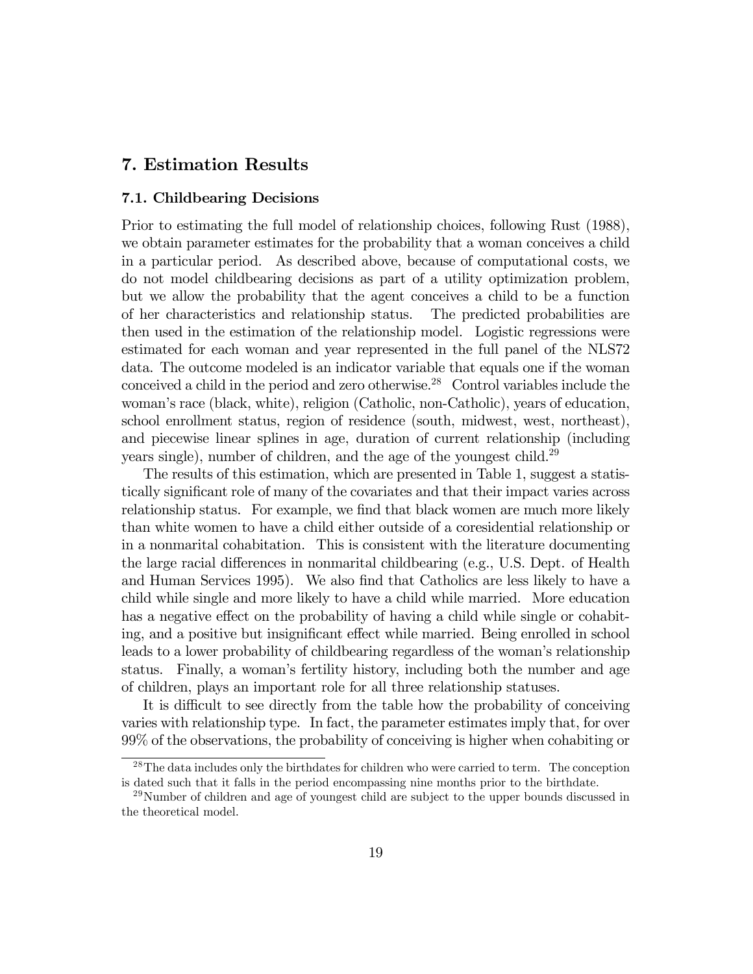# 7. Estimation Results

#### 7.1. Childbearing Decisions

Prior to estimating the full model of relationship choices, following Rust (1988), we obtain parameter estimates for the probability that a woman conceives a child in a particular period. As described above, because of computational costs, we do not model childbearing decisions as part of a utility optimization problem, but we allow the probability that the agent conceives a child to be a function of her characteristics and relationship status. The predicted probabilities are then used in the estimation of the relationship model. Logistic regressions were estimated for each woman and year represented in the full panel of the NLS72 data. The outcome modeled is an indicator variable that equals one if the woman conceived a child in the period and zero otherwise.28 Control variables include the woman's race (black, white), religion (Catholic, non-Catholic), years of education, school enrollment status, region of residence (south, midwest, west, northeast), and piecewise linear splines in age, duration of current relationship (including years single), number of children, and the age of the youngest child.<sup>29</sup>

The results of this estimation, which are presented in Table 1, suggest a statistically significant role of many of the covariates and that their impact varies across relationship status. For example, we find that black women are much more likely than white women to have a child either outside of a coresidential relationship or in a nonmarital cohabitation. This is consistent with the literature documenting the large racial differences in nonmarital childbearing (e.g., U.S. Dept. of Health and Human Services 1995). We also find that Catholics are less likely to have a child while single and more likely to have a child while married. More education has a negative effect on the probability of having a child while single or cohabiting, and a positive but insignificant effect while married. Being enrolled in school leads to a lower probability of childbearing regardless of the womanís relationship status. Finally, a womanís fertility history, including both the number and age of children, plays an important role for all three relationship statuses.

It is difficult to see directly from the table how the probability of conceiving varies with relationship type. In fact, the parameter estimates imply that, for over 99% of the observations, the probability of conceiving is higher when cohabiting or

<sup>&</sup>lt;sup>28</sup>The data includes only the birthdates for children who were carried to term. The conception is dated such that it falls in the period encompassing nine months prior to the birthdate.

 $^{29}$ Number of children and age of youngest child are subject to the upper bounds discussed in the theoretical model.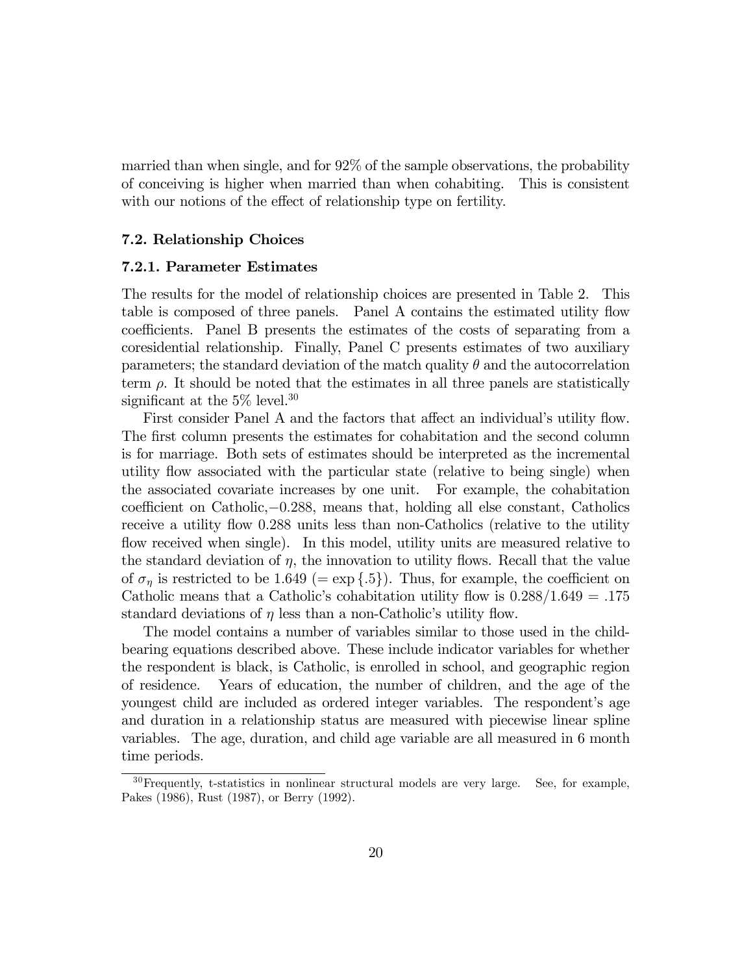married than when single, and for 92% of the sample observations, the probability of conceiving is higher when married than when cohabiting. This is consistent with our notions of the effect of relationship type on fertility.

#### 7.2. Relationship Choices

#### 7.2.1. Parameter Estimates

The results for the model of relationship choices are presented in Table 2. This table is composed of three panels. Panel A contains the estimated utility flow coefficients. Panel B presents the estimates of the costs of separating from a coresidential relationship. Finally, Panel C presents estimates of two auxiliary parameters; the standard deviation of the match quality  $\theta$  and the autocorrelation term  $\rho$ . It should be noted that the estimates in all three panels are statistically significant at the  $5\%$  level.<sup>30</sup>

First consider Panel A and the factors that affect an individual's utility flow. The first column presents the estimates for cohabitation and the second column is for marriage. Both sets of estimates should be interpreted as the incremental utility flow associated with the particular state (relative to being single) when the associated covariate increases by one unit. For example, the cohabitation coefficient on Catholic,−0.288, means that, holding all else constant, Catholics receive a utility flow 0.288 units less than non-Catholics (relative to the utility flow received when single). In this model, utility units are measured relative to the standard deviation of  $\eta$ , the innovation to utility flows. Recall that the value of  $\sigma_n$  is restricted to be 1.649 (= exp {.5}). Thus, for example, the coefficient on Catholic means that a Catholic's cohabitation utility flow is  $0.288/1.649 = .175$ standard deviations of  $\eta$  less than a non-Catholic's utility flow.

The model contains a number of variables similar to those used in the childbearing equations described above. These include indicator variables for whether the respondent is black, is Catholic, is enrolled in school, and geographic region of residence. Years of education, the number of children, and the age of the youngest child are included as ordered integer variables. The respondent's age and duration in a relationship status are measured with piecewise linear spline variables. The age, duration, and child age variable are all measured in 6 month time periods.

<sup>30</sup>Frequently, t-statistics in nonlinear structural models are very large. See, for example, Pakes (1986), Rust (1987), or Berry (1992).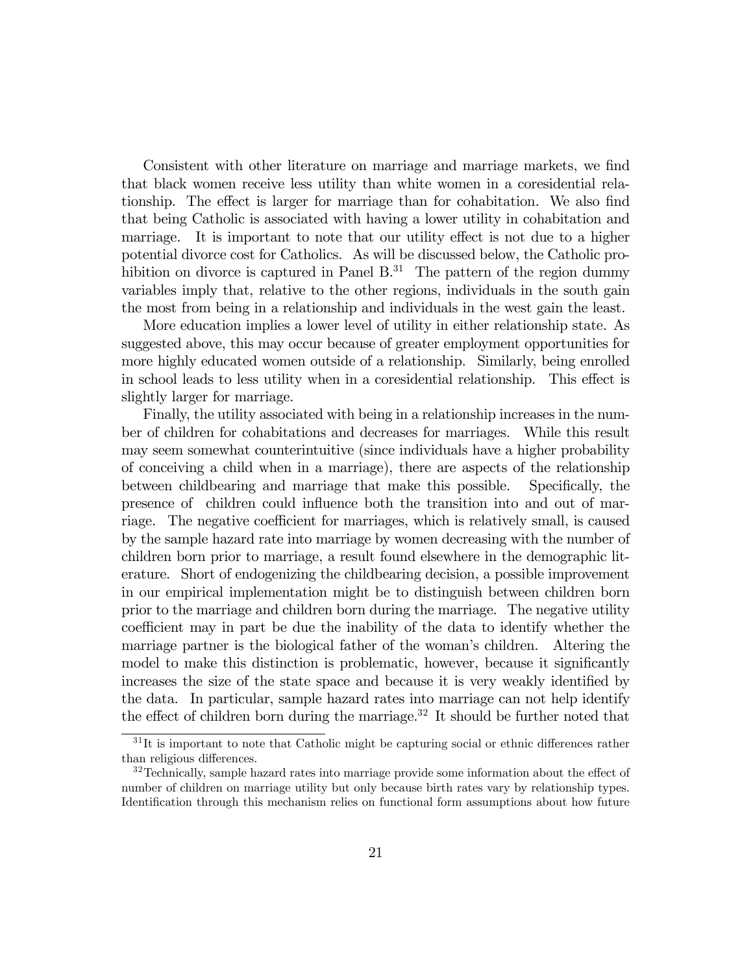Consistent with other literature on marriage and marriage markets, we find that black women receive less utility than white women in a coresidential relationship. The effect is larger for marriage than for cohabitation. We also find that being Catholic is associated with having a lower utility in cohabitation and marriage. It is important to note that our utility effect is not due to a higher potential divorce cost for Catholics. As will be discussed below, the Catholic prohibition on divorce is captured in Panel  $B<sup>31</sup>$ . The pattern of the region dummy variables imply that, relative to the other regions, individuals in the south gain the most from being in a relationship and individuals in the west gain the least.

More education implies a lower level of utility in either relationship state. As suggested above, this may occur because of greater employment opportunities for more highly educated women outside of a relationship. Similarly, being enrolled in school leads to less utility when in a coresidential relationship. This effect is slightly larger for marriage.

Finally, the utility associated with being in a relationship increases in the number of children for cohabitations and decreases for marriages. While this result may seem somewhat counterintuitive (since individuals have a higher probability of conceiving a child when in a marriage), there are aspects of the relationship between childbearing and marriage that make this possible. Specifically, the presence of children could influence both the transition into and out of marriage. The negative coefficient for marriages, which is relatively small, is caused by the sample hazard rate into marriage by women decreasing with the number of children born prior to marriage, a result found elsewhere in the demographic literature. Short of endogenizing the childbearing decision, a possible improvement in our empirical implementation might be to distinguish between children born prior to the marriage and children born during the marriage. The negative utility coefficient may in part be due the inability of the data to identify whether the marriage partner is the biological father of the woman's children. Altering the model to make this distinction is problematic, however, because it significantly increases the size of the state space and because it is very weakly identified by the data. In particular, sample hazard rates into marriage can not help identify the effect of children born during the marriage.<sup>32</sup> It should be further noted that

 $31$ It is important to note that Catholic might be capturing social or ethnic differences rather than religious differences.

 $32$ Technically, sample hazard rates into marriage provide some information about the effect of number of children on marriage utility but only because birth rates vary by relationship types. Identification through this mechanism relies on functional form assumptions about how future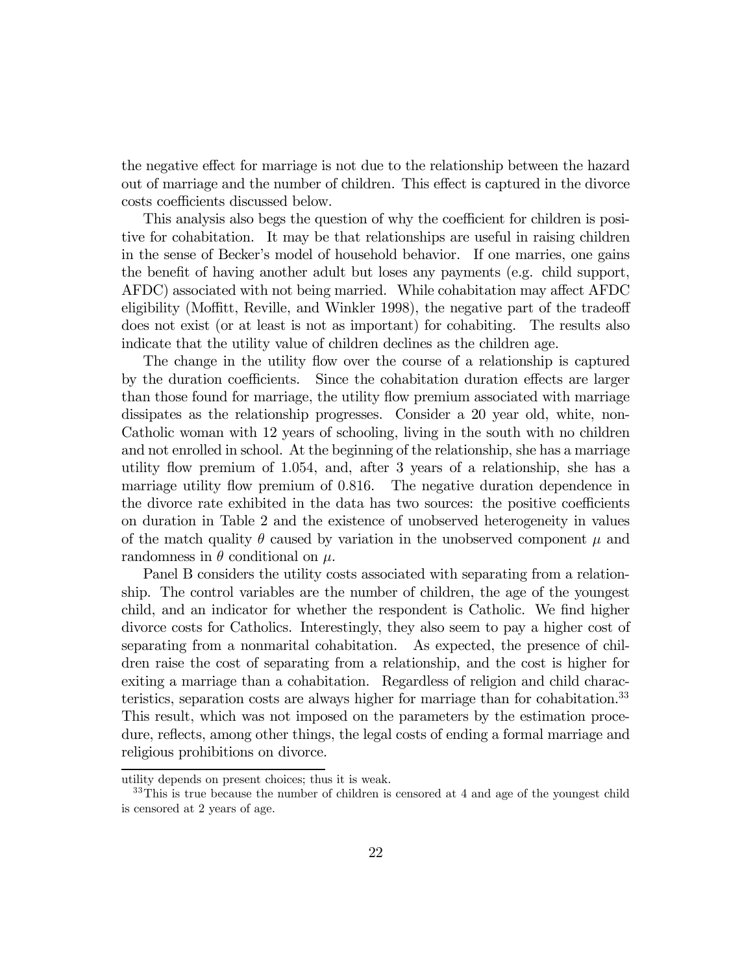the negative effect for marriage is not due to the relationship between the hazard out of marriage and the number of children. This effect is captured in the divorce costs coefficients discussed below.

This analysis also begs the question of why the coefficient for children is positive for cohabitation. It may be that relationships are useful in raising children in the sense of Becker's model of household behavior. If one marries, one gains the benefit of having another adult but loses any payments (e.g. child support, AFDC) associated with not being married. While cohabitation may affect AFDC eligibility (Moffitt, Reville, and Winkler 1998), the negative part of the tradeoff does not exist (or at least is not as important) for cohabiting. The results also indicate that the utility value of children declines as the children age.

The change in the utility flow over the course of a relationship is captured by the duration coefficients. Since the cohabitation duration effects are larger than those found for marriage, the utility flow premium associated with marriage dissipates as the relationship progresses. Consider a 20 year old, white, non-Catholic woman with 12 years of schooling, living in the south with no children and not enrolled in school. At the beginning of the relationship, she has a marriage utility flow premium of 1.054, and, after 3 years of a relationship, she has a marriage utility flow premium of 0.816. The negative duration dependence in the divorce rate exhibited in the data has two sources: the positive coefficients on duration in Table 2 and the existence of unobserved heterogeneity in values of the match quality  $\theta$  caused by variation in the unobserved component  $\mu$  and randomness in  $\theta$  conditional on  $\mu$ .

Panel B considers the utility costs associated with separating from a relationship. The control variables are the number of children, the age of the youngest child, and an indicator for whether the respondent is Catholic. We find higher divorce costs for Catholics. Interestingly, they also seem to pay a higher cost of separating from a nonmarital cohabitation. As expected, the presence of children raise the cost of separating from a relationship, and the cost is higher for exiting a marriage than a cohabitation. Regardless of religion and child characteristics, separation costs are always higher for marriage than for cohabitation.<sup>33</sup> This result, which was not imposed on the parameters by the estimation procedure, reflects, among other things, the legal costs of ending a formal marriage and religious prohibitions on divorce.

utility depends on present choices; thus it is weak.

 $33$ This is true because the number of children is censored at 4 and age of the youngest child is censored at 2 years of age.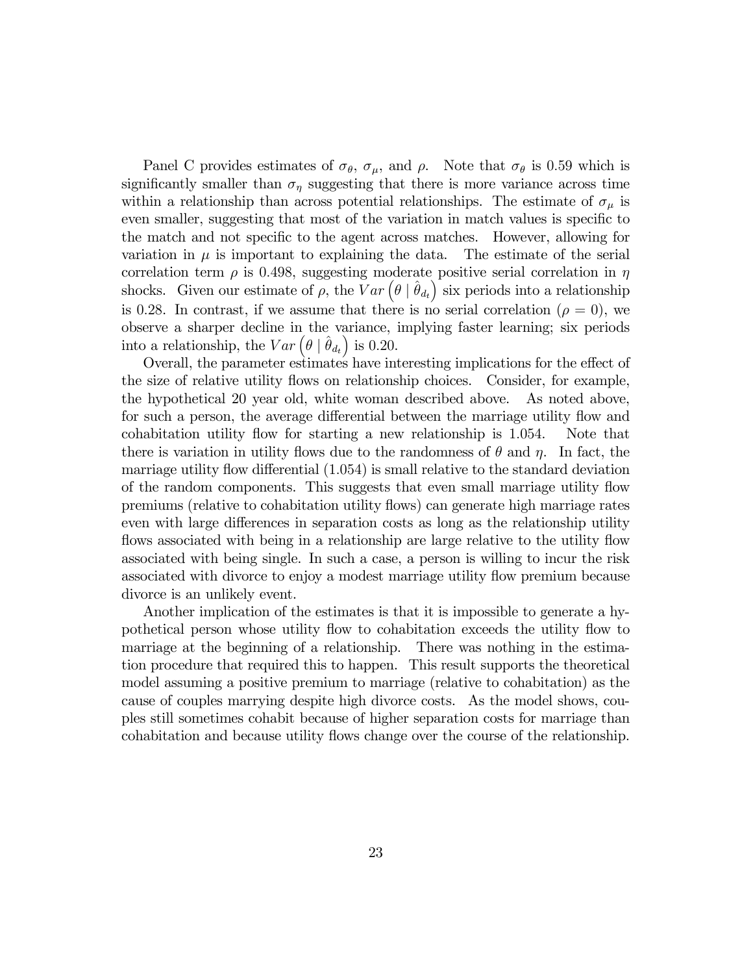Panel C provides estimates of  $\sigma_{\theta}$ ,  $\sigma_{\mu}$ , and  $\rho$ . Note that  $\sigma_{\theta}$  is 0.59 which is significantly smaller than  $\sigma_{\eta}$  suggesting that there is more variance across time within a relationship than across potential relationships. The estimate of  $\sigma_{\mu}$  is even smaller, suggesting that most of the variation in match values is specific to the match and not specific to the agent across matches. However, allowing for variation in  $\mu$  is important to explaining the data. The estimate of the serial correlation term  $\rho$  is 0.498, suggesting moderate positive serial correlation in  $\eta$ shocks. Given our estimate of  $\rho$ , the  $Var\left(\theta \mid \hat{\theta}_{d_t}\right)$  six periods into a relationship is 0.28. In contrast, if we assume that there is no serial correlation ( $\rho = 0$ ), we observe a sharper decline in the variance, implying faster learning; six periods into a relationship, the  $Var\left(\theta \mid \hat{\theta}_{d_t}\right)$  is 0.20.

Overall, the parameter estimates have interesting implications for the effect of the size of relative utility flows on relationship choices. Consider, for example, the hypothetical 20 year old, white woman described above. As noted above, for such a person, the average differential between the marriage utility flow and cohabitation utility flow for starting a new relationship is 1.054. Note that there is variation in utility flows due to the randomness of  $\theta$  and  $\eta$ . In fact, the marriage utility flow differential (1.054) is small relative to the standard deviation of the random components. This suggests that even small marriage utility flow premiums (relative to cohabitation utility flows) can generate high marriage rates even with large differences in separation costs as long as the relationship utility flows associated with being in a relationship are large relative to the utility flow associated with being single. In such a case, a person is willing to incur the risk associated with divorce to enjoy a modest marriage utility flow premium because divorce is an unlikely event.

Another implication of the estimates is that it is impossible to generate a hypothetical person whose utility flow to cohabitation exceeds the utility flow to marriage at the beginning of a relationship. There was nothing in the estimation procedure that required this to happen. This result supports the theoretical model assuming a positive premium to marriage (relative to cohabitation) as the cause of couples marrying despite high divorce costs. As the model shows, couples still sometimes cohabit because of higher separation costs for marriage than cohabitation and because utility flows change over the course of the relationship.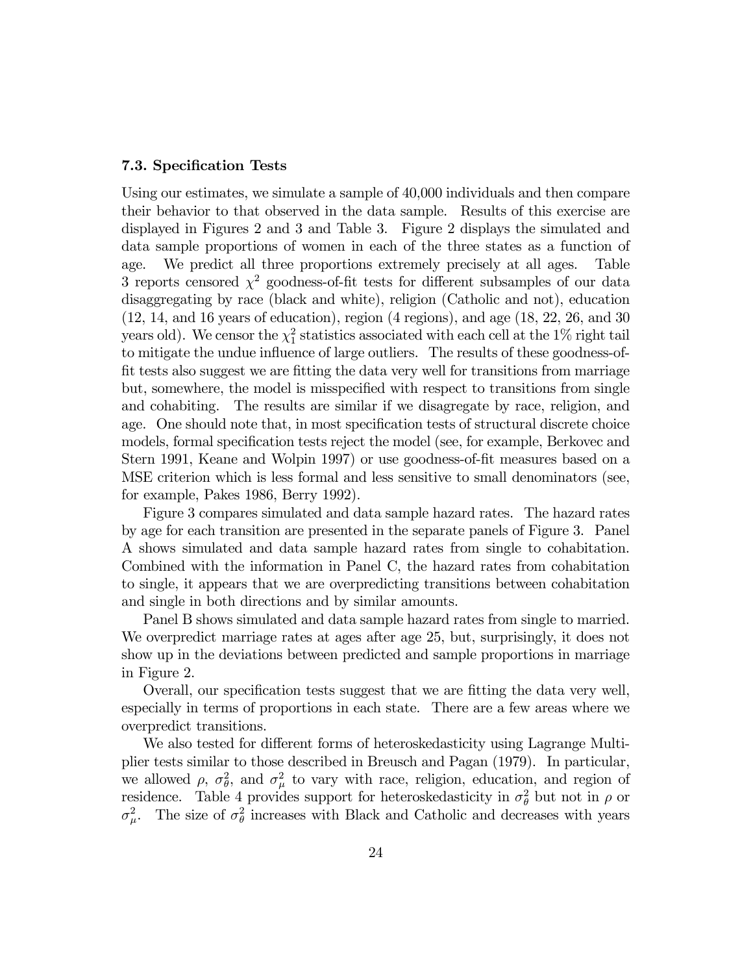#### 7.3. Specification Tests

Using our estimates, we simulate a sample of 40,000 individuals and then compare their behavior to that observed in the data sample. Results of this exercise are displayed in Figures 2 and 3 and Table 3. Figure 2 displays the simulated and data sample proportions of women in each of the three states as a function of age. We predict all three proportions extremely precisely at all ages. Table 3 reports censored  $\chi^2$  goodness-of-fit tests for different subsamples of our data disaggregating by race (black and white), religion (Catholic and not), education (12, 14, and 16 years of education), region (4 regions), and age (18, 22, 26, and 30 years old). We censor the  $\chi^2_1$  statistics associated with each cell at the 1% right tail to mitigate the undue influence of large outliers. The results of these goodness-offit tests also suggest we are fitting the data very well for transitions from marriage but, somewhere, the model is misspecified with respect to transitions from single and cohabiting. The results are similar if we disagregate by race, religion, and age. One should note that, in most specification tests of structural discrete choice models, formal specification tests reject the model (see, for example, Berkovec and Stern 1991, Keane and Wolpin 1997) or use goodness-of-fit measures based on a MSE criterion which is less formal and less sensitive to small denominators (see, for example, Pakes 1986, Berry 1992).

Figure 3 compares simulated and data sample hazard rates. The hazard rates by age for each transition are presented in the separate panels of Figure 3. Panel A shows simulated and data sample hazard rates from single to cohabitation. Combined with the information in Panel C, the hazard rates from cohabitation to single, it appears that we are overpredicting transitions between cohabitation and single in both directions and by similar amounts.

Panel B shows simulated and data sample hazard rates from single to married. We overpredict marriage rates at ages after age 25, but, surprisingly, it does not show up in the deviations between predicted and sample proportions in marriage in Figure 2.

Overall, our specification tests suggest that we are fitting the data very well, especially in terms of proportions in each state. There are a few areas where we overpredict transitions.

We also tested for different forms of heteroskedasticity using Lagrange Multiplier tests similar to those described in Breusch and Pagan (1979). In particular, we allowed  $\rho$ ,  $\sigma_{\theta}^2$ , and  $\sigma_{\mu}^2$  to vary with race, religion, education, and region of residence. Table 4 provides support for heteroskedasticity in  $\sigma_{\theta}^2$  but not in  $\rho$  or  $\sigma_{\mu}^2$ . The size of  $\sigma_{\theta}^2$  increases with Black and Catholic and decreases with years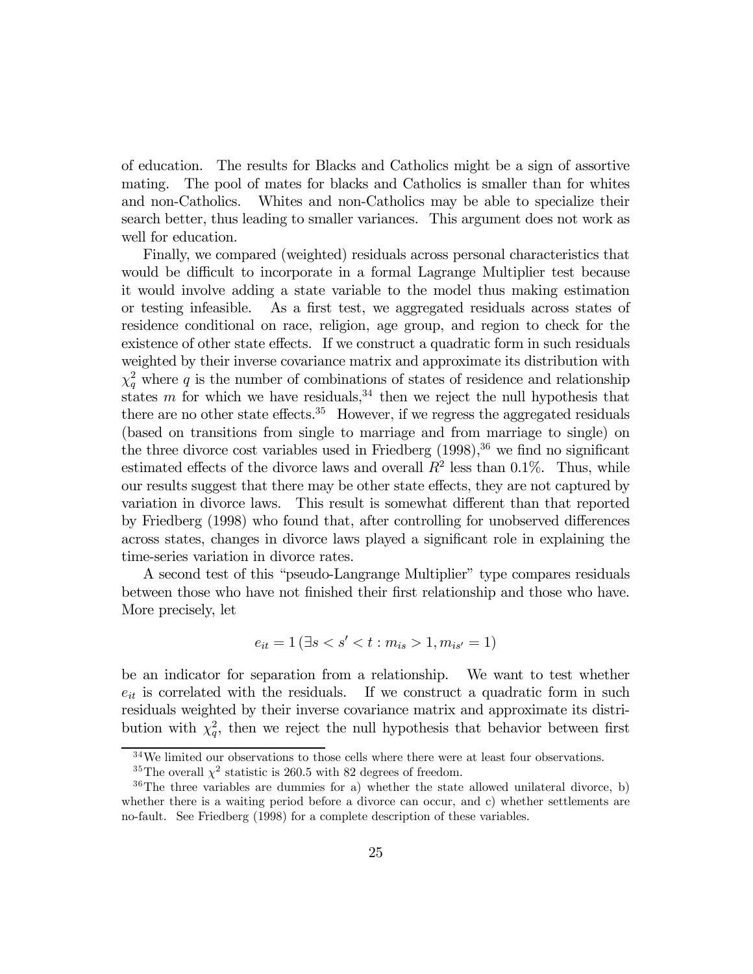of education. The results for Blacks and Catholics might be a sign of assortive mating. The pool of mates for blacks and Catholics is smaller than for whites and non-Catholics. Whites and non-Catholics may be able to specialize their search better, thus leading to smaller variances. This argument does not work as well for education.

Finally, we compared (weighted) residuals across personal characteristics that would be difficult to incorporate in a formal Lagrange Multiplier test because it would involve adding a state variable to the model thus making estimation or testing infeasible. As a first test, we aggregated residuals across states of residence conditional on race, religion, age group, and region to check for the existence of other state effects. If we construct a quadratic form in such residuals weighted by their inverse covariance matrix and approximate its distribution with  $\chi_q^2$  where q is the number of combinations of states of residence and relationship states m for which we have residuals,<sup>34</sup> then we reject the null hypothesis that there are no other state effects.<sup>35</sup> However, if we regress the aggregated residuals (based on transitions from single to marriage and from marriage to single) on the three divorce cost variables used in Friedberg  $(1998),<sup>36</sup>$  we find no significant estimated effects of the divorce laws and overall  $R^2$  less than 0.1%. Thus, while our results suggest that there may be other state effects, they are not captured by variation in divorce laws. This result is somewhat different than that reported by Friedberg (1998) who found that, after controlling for unobserved differences across states, changes in divorce laws played a significant role in explaining the time-series variation in divorce rates.

A second test of this "pseudo-Langrange Multiplier" type compares residuals between those who have not finished their first relationship and those who have. More precisely, let

$$
e_{it} = 1 \left( \exists s < s' < t : m_{is} > 1, m_{is'} = 1 \right)
$$

be an indicator for separation from a relationship. We want to test whether  $e_{it}$  is correlated with the residuals. If we construct a quadratic form in such residuals weighted by their inverse covariance matrix and approximate its distribution with  $\chi_q^2$ , then we reject the null hypothesis that behavior between first

<sup>34</sup>We limited our observations to those cells where there were at least four observations.

 $^{35}\mathrm{The}$  overall  $\chi^2$  statistic is 260.5 with 82 degrees of freedom.

 $36$ The three variables are dummies for a) whether the state allowed unilateral divorce, b) whether there is a waiting period before a divorce can occur, and c) whether settlements are no-fault. See Friedberg (1998) for a complete description of these variables.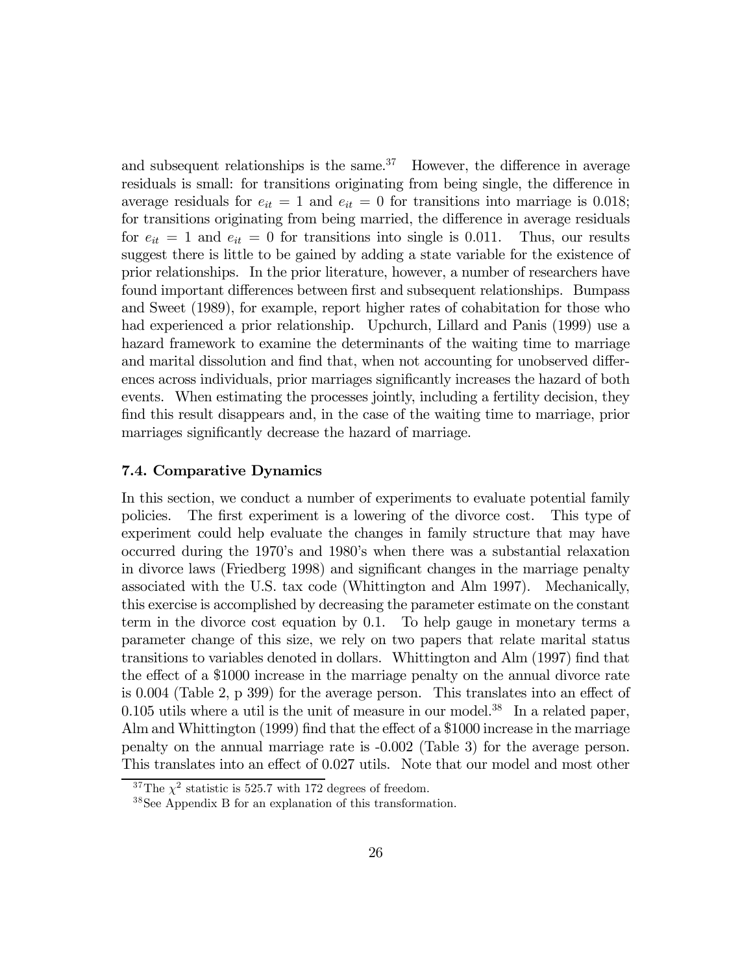and subsequent relationships is the same. $37$  However, the difference in average residuals is small: for transitions originating from being single, the difference in average residuals for  $e_{it} = 1$  and  $e_{it} = 0$  for transitions into marriage is 0.018; for transitions originating from being married, the difference in average residuals for  $e_{it} = 1$  and  $e_{it} = 0$  for transitions into single is 0.011. Thus, our results suggest there is little to be gained by adding a state variable for the existence of prior relationships. In the prior literature, however, a number of researchers have found important differences between first and subsequent relationships. Bumpass and Sweet (1989), for example, report higher rates of cohabitation for those who had experienced a prior relationship. Upchurch, Lillard and Panis (1999) use a hazard framework to examine the determinants of the waiting time to marriage and marital dissolution and find that, when not accounting for unobserved differences across individuals, prior marriages significantly increases the hazard of both events. When estimating the processes jointly, including a fertility decision, they find this result disappears and, in the case of the waiting time to marriage, prior marriages significantly decrease the hazard of marriage.

#### 7.4. Comparative Dynamics

In this section, we conduct a number of experiments to evaluate potential family policies. The first experiment is a lowering of the divorce cost. This type of experiment could help evaluate the changes in family structure that may have occurred during the 1970ís and 1980ís when there was a substantial relaxation in divorce laws (Friedberg 1998) and significant changes in the marriage penalty associated with the U.S. tax code (Whittington and Alm 1997). Mechanically, this exercise is accomplished by decreasing the parameter estimate on the constant term in the divorce cost equation by 0.1. To help gauge in monetary terms a parameter change of this size, we rely on two papers that relate marital status transitions to variables denoted in dollars. Whittington and Alm (1997) find that the effect of a \$1000 increase in the marriage penalty on the annual divorce rate is 0.004 (Table 2, p 399) for the average person. This translates into an effect of  $0.105$  utils where a util is the unit of measure in our model.<sup>38</sup> In a related paper, Alm and Whittington (1999) find that the effect of a \$1000 increase in the marriage penalty on the annual marriage rate is -0.002 (Table 3) for the average person. This translates into an effect of 0.027 utils. Note that our model and most other

 $37$ The  $\chi^2$  statistic is 525.7 with 172 degrees of freedom.

<sup>38</sup>See Appendix B for an explanation of this transformation.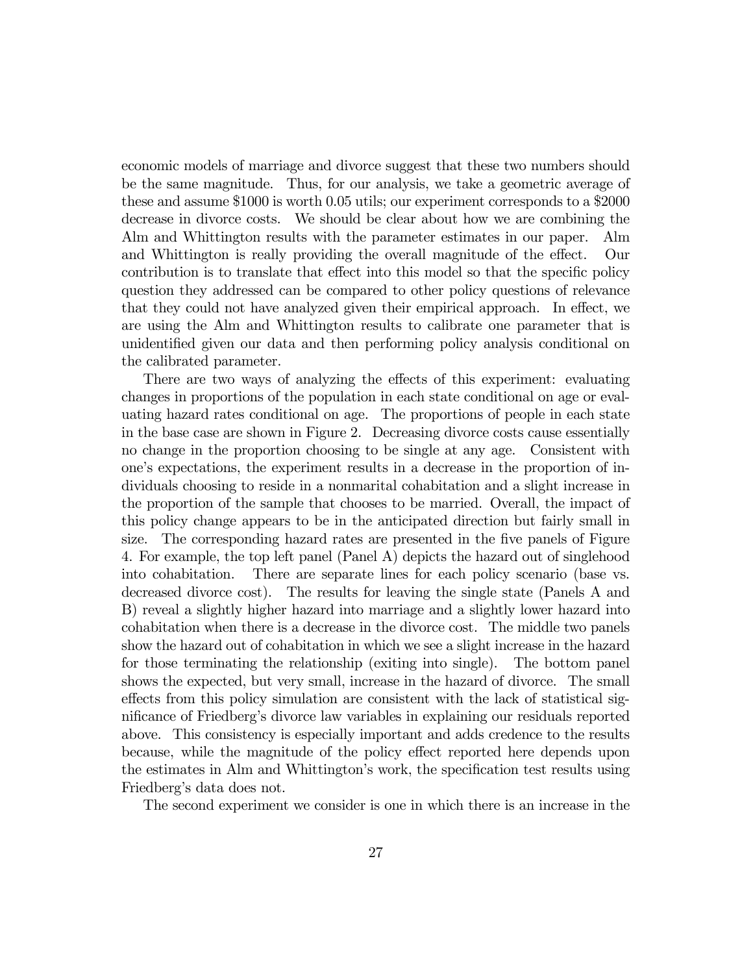economic models of marriage and divorce suggest that these two numbers should be the same magnitude. Thus, for our analysis, we take a geometric average of these and assume \$1000 is worth 0.05 utils; our experiment corresponds to a \$2000 decrease in divorce costs. We should be clear about how we are combining the Alm and Whittington results with the parameter estimates in our paper. Alm and Whittington is really providing the overall magnitude of the effect. Our contribution is to translate that effect into this model so that the specific policy question they addressed can be compared to other policy questions of relevance that they could not have analyzed given their empirical approach. In effect, we are using the Alm and Whittington results to calibrate one parameter that is unidentified given our data and then performing policy analysis conditional on the calibrated parameter.

There are two ways of analyzing the effects of this experiment: evaluating changes in proportions of the population in each state conditional on age or evaluating hazard rates conditional on age. The proportions of people in each state in the base case are shown in Figure 2. Decreasing divorce costs cause essentially no change in the proportion choosing to be single at any age. Consistent with oneís expectations, the experiment results in a decrease in the proportion of individuals choosing to reside in a nonmarital cohabitation and a slight increase in the proportion of the sample that chooses to be married. Overall, the impact of this policy change appears to be in the anticipated direction but fairly small in size. The corresponding hazard rates are presented in the five panels of Figure 4. For example, the top left panel (Panel A) depicts the hazard out of singlehood into cohabitation. There are separate lines for each policy scenario (base vs. decreased divorce cost). The results for leaving the single state (Panels A and B) reveal a slightly higher hazard into marriage and a slightly lower hazard into cohabitation when there is a decrease in the divorce cost. The middle two panels show the hazard out of cohabitation in which we see a slight increase in the hazard for those terminating the relationship (exiting into single). The bottom panel shows the expected, but very small, increase in the hazard of divorce. The small effects from this policy simulation are consistent with the lack of statistical significance of Friedbergís divorce law variables in explaining our residuals reported above. This consistency is especially important and adds credence to the results because, while the magnitude of the policy effect reported here depends upon the estimates in Alm and Whittington's work, the specification test results using Friedberg's data does not.

The second experiment we consider is one in which there is an increase in the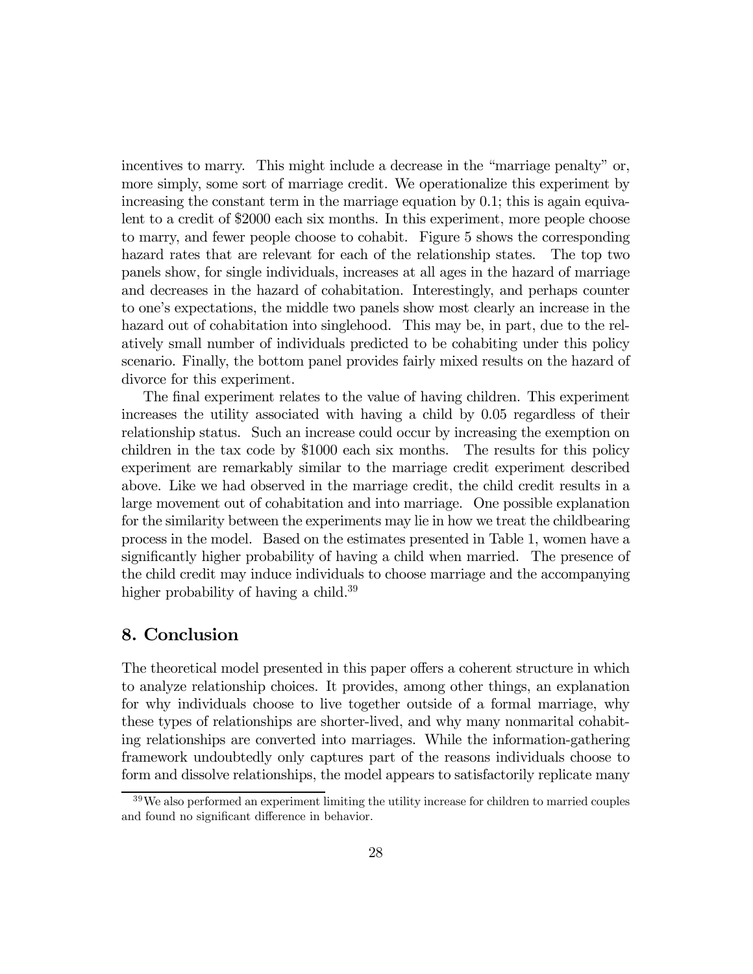incentives to marry. This might include a decrease in the "marriage penalty" or, more simply, some sort of marriage credit. We operationalize this experiment by increasing the constant term in the marriage equation by 0.1; this is again equivalent to a credit of \$2000 each six months. In this experiment, more people choose to marry, and fewer people choose to cohabit. Figure 5 shows the corresponding hazard rates that are relevant for each of the relationship states. The top two panels show, for single individuals, increases at all ages in the hazard of marriage and decreases in the hazard of cohabitation. Interestingly, and perhaps counter to oneís expectations, the middle two panels show most clearly an increase in the hazard out of cohabitation into singlehood. This may be, in part, due to the relatively small number of individuals predicted to be cohabiting under this policy scenario. Finally, the bottom panel provides fairly mixed results on the hazard of divorce for this experiment.

The final experiment relates to the value of having children. This experiment increases the utility associated with having a child by 0.05 regardless of their relationship status. Such an increase could occur by increasing the exemption on children in the tax code by \$1000 each six months. The results for this policy experiment are remarkably similar to the marriage credit experiment described above. Like we had observed in the marriage credit, the child credit results in a large movement out of cohabitation and into marriage. One possible explanation for the similarity between the experiments may lie in how we treat the childbearing process in the model. Based on the estimates presented in Table 1, women have a significantly higher probability of having a child when married. The presence of the child credit may induce individuals to choose marriage and the accompanying higher probability of having a child.<sup>39</sup>

# 8. Conclusion

The theoretical model presented in this paper offers a coherent structure in which to analyze relationship choices. It provides, among other things, an explanation for why individuals choose to live together outside of a formal marriage, why these types of relationships are shorter-lived, and why many nonmarital cohabiting relationships are converted into marriages. While the information-gathering framework undoubtedly only captures part of the reasons individuals choose to form and dissolve relationships, the model appears to satisfactorily replicate many

 $39\,\text{We}$  also performed an experiment limiting the utility increase for children to married couples and found no significant difference in behavior.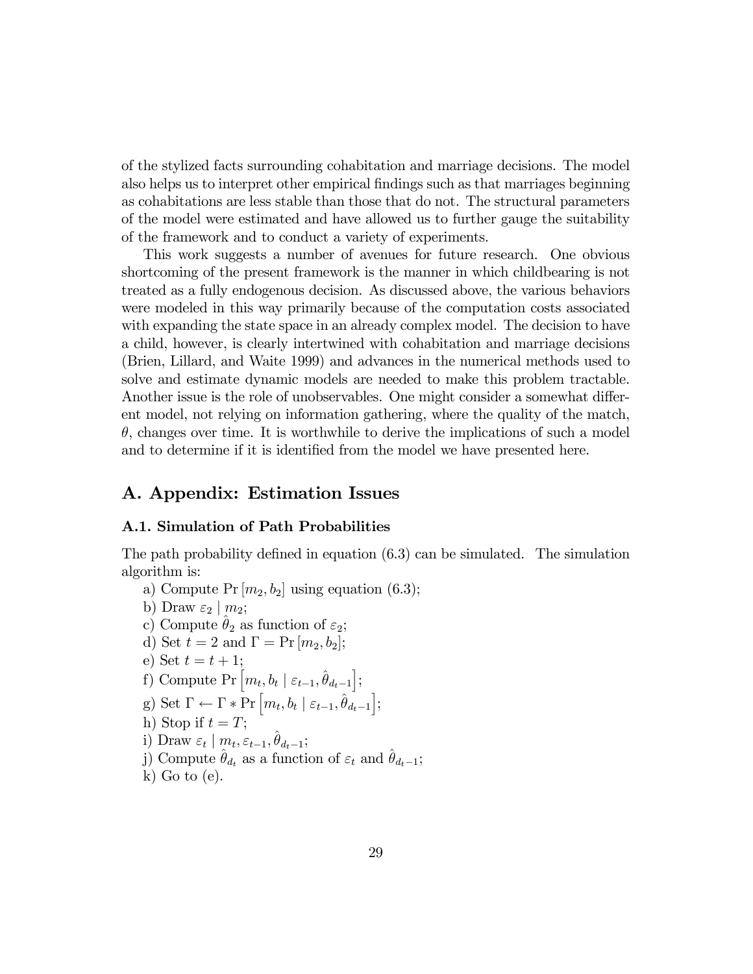of the stylized facts surrounding cohabitation and marriage decisions. The model also helps us to interpret other empirical findings such as that marriages beginning as cohabitations are less stable than those that do not. The structural parameters of the model were estimated and have allowed us to further gauge the suitability of the framework and to conduct a variety of experiments.

This work suggests a number of avenues for future research. One obvious shortcoming of the present framework is the manner in which childbearing is not treated as a fully endogenous decision. As discussed above, the various behaviors were modeled in this way primarily because of the computation costs associated with expanding the state space in an already complex model. The decision to have a child, however, is clearly intertwined with cohabitation and marriage decisions (Brien, Lillard, and Waite 1999) and advances in the numerical methods used to solve and estimate dynamic models are needed to make this problem tractable. Another issue is the role of unobservables. One might consider a somewhat different model, not relying on information gathering, where the quality of the match,  $\theta$ , changes over time. It is worthwhile to derive the implications of such a model and to determine if it is identified from the model we have presented here.

# A. Appendix: Estimation Issues

#### A.1. Simulation of Path Probabilities

The path probability defined in equation (6.3) can be simulated. The simulation algorithm is:

- a) Compute Pr  $[m_2, b_2]$  using equation (6.3);
- b) Draw  $\varepsilon_2 \mid m_2;$
- c) Compute  $\theta_2$  as function of  $\varepsilon_2$ ;
- d) Set  $t = 2$  and  $\Gamma = \Pr[m_2, b_2]$ ;
- e) Set  $t = t + 1$ ;
- f) Compute Pr  $\left[m_t, b_t \mid \varepsilon_{t-1}, \hat{\theta}_{d_t-1}\right]$ ;
- g) Set  $\Gamma \leftarrow \Gamma * \Pr \left[ m_t, b_t \mid \varepsilon_{t-1}, \hat{\theta}_{d_t-1} \right];$
- h) Stop if  $t = T$ ;
- i) Draw  $\varepsilon_t \mid m_t, \varepsilon_{t-1}, \hat{\theta}_{d_t-1};$
- j) Compute  $\hat{\theta}_{d_t}$  as a function of  $\varepsilon_t$  and  $\hat{\theta}_{d_t-1}$ ;
- $k)$  Go to  $(e)$ .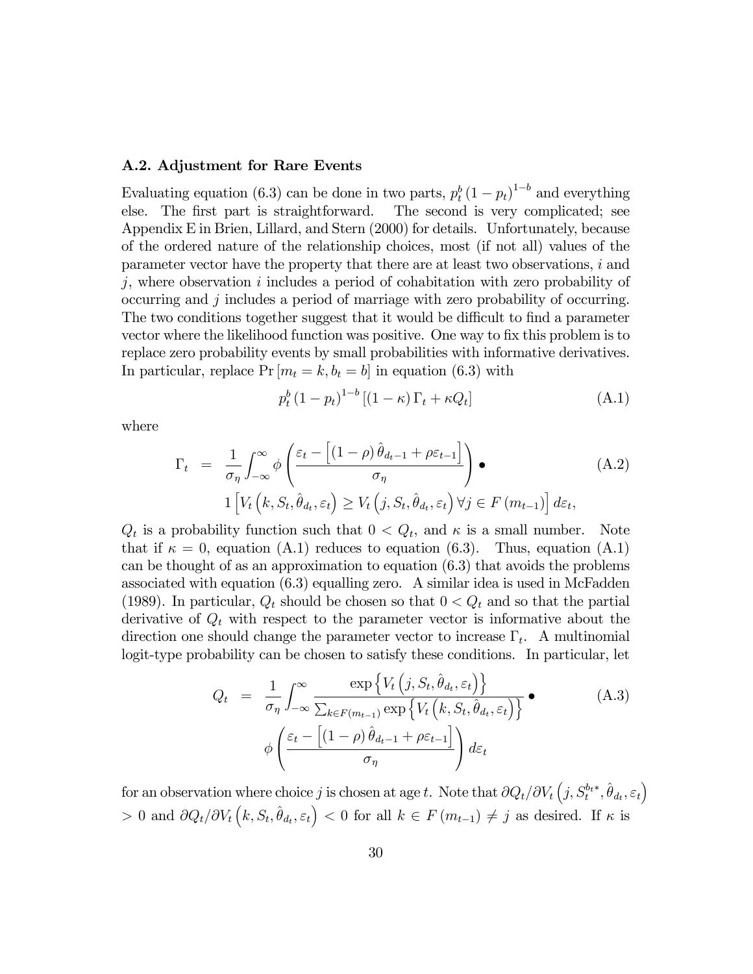#### A.2. Adjustment for Rare Events

Evaluating equation (6.3) can be done in two parts,  $p_t^b (1 - p_t)^{1-b}$  and everything else. The first part is straightforward. The second is very complicated; see Appendix E in Brien, Lillard, and Stern (2000) for details. Unfortunately, because of the ordered nature of the relationship choices, most (if not all) values of the parameter vector have the property that there are at least two observations, i and  $j$ , where observation  $i$  includes a period of cohabitation with zero probability of occurring and j includes a period of marriage with zero probability of occurring. The two conditions together suggest that it would be difficult to find a parameter vector where the likelihood function was positive. One way to fix this problem is to replace zero probability events by small probabilities with informative derivatives. In particular, replace  $Pr[m_t = k, b_t = b]$  in equation (6.3) with

$$
p_t^b \left(1 - p_t\right)^{1 - b} \left[ \left(1 - \kappa\right) \Gamma_t + \kappa Q_t \right] \tag{A.1}
$$

where

$$
\Gamma_{t} = \frac{1}{\sigma_{\eta}} \int_{-\infty}^{\infty} \phi \left( \frac{\varepsilon_{t} - \left[ (1 - \rho) \hat{\theta}_{d_{t-1}} + \rho \varepsilon_{t-1} \right]}{\sigma_{\eta}} \right) \bullet
$$
\n
$$
1 \left[ V_{t} \left( k, S_{t}, \hat{\theta}_{d_{t}}, \varepsilon_{t} \right) \geq V_{t} \left( j, S_{t}, \hat{\theta}_{d_{t}}, \varepsilon_{t} \right) \forall j \in F \left( m_{t-1} \right) \right] d\varepsilon_{t},
$$
\n(A.2)

 $Q_t$  is a probability function such that  $0 < Q_t$ , and  $\kappa$  is a small number. Note that if  $\kappa = 0$ , equation (A.1) reduces to equation (6.3). Thus, equation (A.1) can be thought of as an approximation to equation (6.3) that avoids the problems associated with equation (6.3) equalling zero. A similar idea is used in McFadden (1989). In particular,  $Q_t$  should be chosen so that  $0 < Q_t$  and so that the partial derivative of  $Q_t$  with respect to the parameter vector is informative about the direction one should change the parameter vector to increase  $\Gamma_t$ . A multinomial logit-type probability can be chosen to satisfy these conditions. In particular, let

$$
Q_{t} = \frac{1}{\sigma_{\eta}} \int_{-\infty}^{\infty} \frac{\exp\left\{V_{t}\left(j, S_{t}, \hat{\theta}_{d_{t}}, \varepsilon_{t}\right)\right\}}{\sum_{k \in F(m_{t-1})} \exp\left\{V_{t}\left(k, S_{t}, \hat{\theta}_{d_{t}}, \varepsilon_{t}\right)\right\}} \bullet
$$
\n
$$
\phi\left(\frac{\varepsilon_{t} - \left[(1-\rho)\hat{\theta}_{d_{t-1}} + \rho\varepsilon_{t-1}\right]}{\sigma_{\eta}}\right) d\varepsilon_{t}
$$
\n(A.3)

for an observation where choice j is chosen at age t. Note that  $\partial Q_t/\partial V_t(j, S_t^{b_{t}*}, \hat{\theta}_{d_t}, \varepsilon_t)$  $> 0$  and  $\partial Q_t/\partial V_t(k, S_t, \hat{\theta}_{d_t}, \varepsilon_t) < 0$  for all  $k \in F(m_{t-1}) \neq j$  as desired. If  $\kappa$  is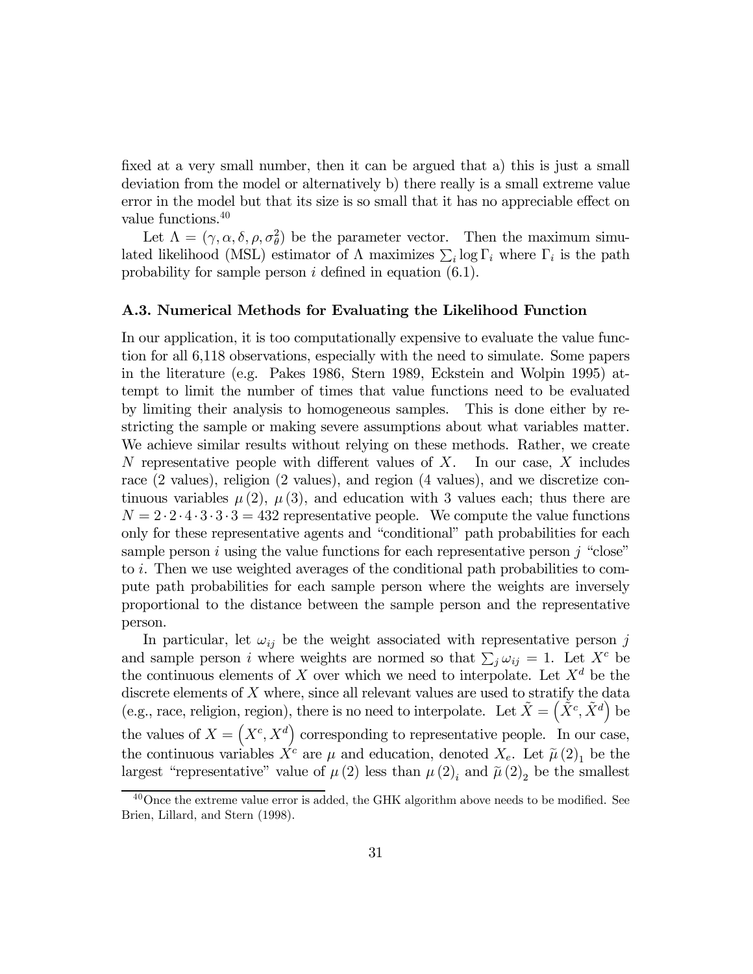fixed at a very small number, then it can be argued that a) this is just a small deviation from the model or alternatively b) there really is a small extreme value error in the model but that its size is so small that it has no appreciable effect on value functions.<sup>40</sup>

Let  $\Lambda = (\gamma, \alpha, \delta, \rho, \sigma_{\theta}^2)$  be the parameter vector. Then the maximum simulated likelihood (MSL) estimator of  $\Lambda$  maximizes  $\sum_i \log \Gamma_i$  where  $\Gamma_i$  is the path probability for sample person  $i$  defined in equation  $(6.1)$ .

#### A.3. Numerical Methods for Evaluating the Likelihood Function

In our application, it is too computationally expensive to evaluate the value function for all 6,118 observations, especially with the need to simulate. Some papers in the literature (e.g. Pakes 1986, Stern 1989, Eckstein and Wolpin 1995) attempt to limit the number of times that value functions need to be evaluated by limiting their analysis to homogeneous samples. This is done either by restricting the sample or making severe assumptions about what variables matter. We achieve similar results without relying on these methods. Rather, we create N representative people with different values of  $X$ . In our case,  $X$  includes race (2 values), religion (2 values), and region (4 values), and we discretize continuous variables  $\mu(2)$ ,  $\mu(3)$ , and education with 3 values each; thus there are  $N = 2 \cdot 2 \cdot 4 \cdot 3 \cdot 3 \cdot 3 = 432$  representative people. We compute the value functions only for these representative agents and "conditional" path probabilities for each sample person i using the value functions for each representative person j "close" to i. Then we use weighted averages of the conditional path probabilities to compute path probabilities for each sample person where the weights are inversely proportional to the distance between the sample person and the representative person.

In particular, let  $\omega_{ij}$  be the weight associated with representative person j and sample person *i* where weights are normed so that  $\sum_j \omega_{ij} = 1$ . Let  $X^c$  be the continuous elements of X over which we need to interpolate. Let  $X^d$  be the discrete elements of  $X$  where, since all relevant values are used to stratify the data (e.g., race, religion, region), there is no need to interpolate. Let  $\tilde{X} = (\tilde{X}^c, \tilde{X}^d)$  be the values of  $X = \left(X^c, X^d\right)$  corresponding to representative people. In our case, the continuous variables  $X^c$  are  $\mu$  and education, denoted  $X_e$ . Let  $\tilde{\mu}(2)_1$  be the largest "representative" value of  $\mu(2)$  less than  $\mu(2)_i$  and  $\tilde{\mu}(2)_2$  be the smallest

<sup>&</sup>lt;sup>40</sup>Once the extreme value error is added, the GHK algorithm above needs to be modified. See Brien, Lillard, and Stern (1998).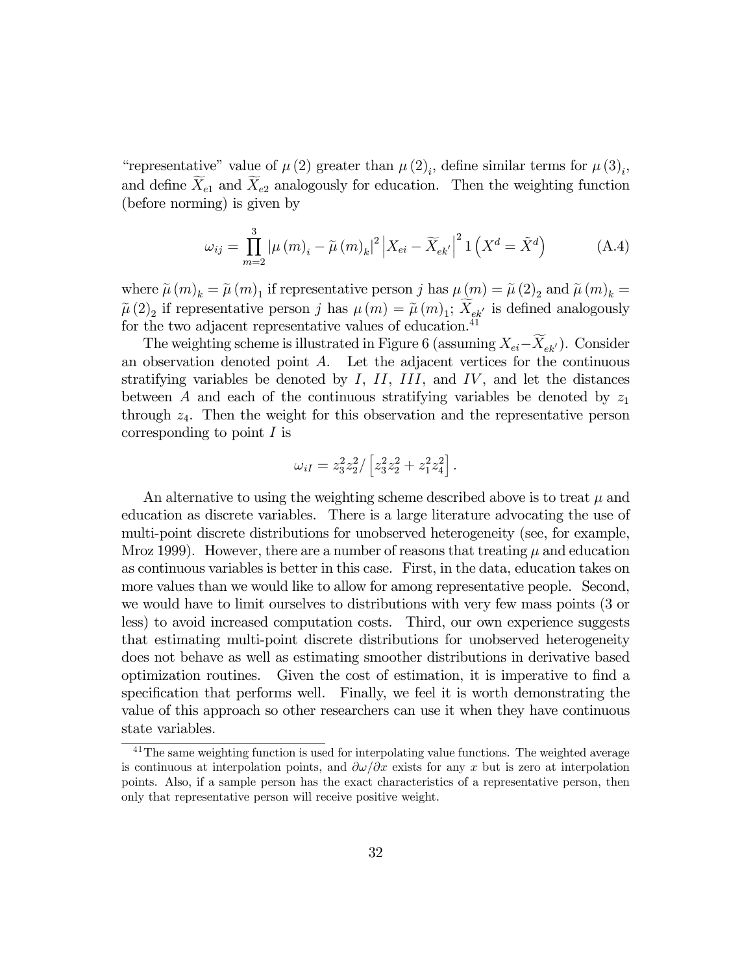"representative" value of  $\mu(2)$  greater than  $\mu(2)_i$ , define similar terms for  $\mu(3)_i$ , and define  $X_{e1}$  and  $X_{e2}$  analogously for education. Then the weighting function (before norming) is given by

$$
\omega_{ij} = \prod_{m=2}^{3} \left| \mu(m)_i - \tilde{\mu}(m)_k \right|^2 \left| X_{ei} - \widetilde{X}_{ek'} \right|^2 1 \left( X^d = \tilde{X}^d \right) \tag{A.4}
$$

where  $\tilde{\mu}(m)_k = \tilde{\mu}(m)_1$  if representative person j has  $\mu(m) = \tilde{\mu}(2)_2$  and  $\tilde{\mu}(m)_k =$  $\tilde{\mu}(2)_2$  if representative person j has  $\mu(m) = \tilde{\mu}(m)_1$ ;  $X_{ek'}$  is defined analogously for the two adjacent representative values of education.<sup>41</sup>

The weighting scheme is illustrated in Figure 6 (assuming  $X_{ei} - X_{ek'}$ ). Consider an observation denoted point  $A$ . Let the adjacent vertices for the continuous stratifying variables be denoted by  $I, II, III, and IV$ , and let the distances between A and each of the continuous stratifying variables be denoted by  $z_1$ through  $z_4$ . Then the weight for this observation and the representative person corresponding to point  $I$  is

$$
\omega_{iI} = z_3^2 z_2^2 / \left[ z_3^2 z_2^2 + z_1^2 z_4^2 \right].
$$

An alternative to using the weighting scheme described above is to treat  $\mu$  and education as discrete variables. There is a large literature advocating the use of multi-point discrete distributions for unobserved heterogeneity (see, for example, Mroz 1999). However, there are a number of reasons that treating  $\mu$  and education as continuous variables is better in this case. First, in the data, education takes on more values than we would like to allow for among representative people. Second, we would have to limit ourselves to distributions with very few mass points (3 or less) to avoid increased computation costs. Third, our own experience suggests that estimating multi-point discrete distributions for unobserved heterogeneity does not behave as well as estimating smoother distributions in derivative based optimization routines. Given the cost of estimation, it is imperative to find a specification that performs well. Finally, we feel it is worth demonstrating the value of this approach so other researchers can use it when they have continuous state variables.

 $41$ The same weighting function is used for interpolating value functions. The weighted average is continuous at interpolation points, and  $\partial \omega / \partial x$  exists for any x but is zero at interpolation points. Also, if a sample person has the exact characteristics of a representative person, then only that representative person will receive positive weight.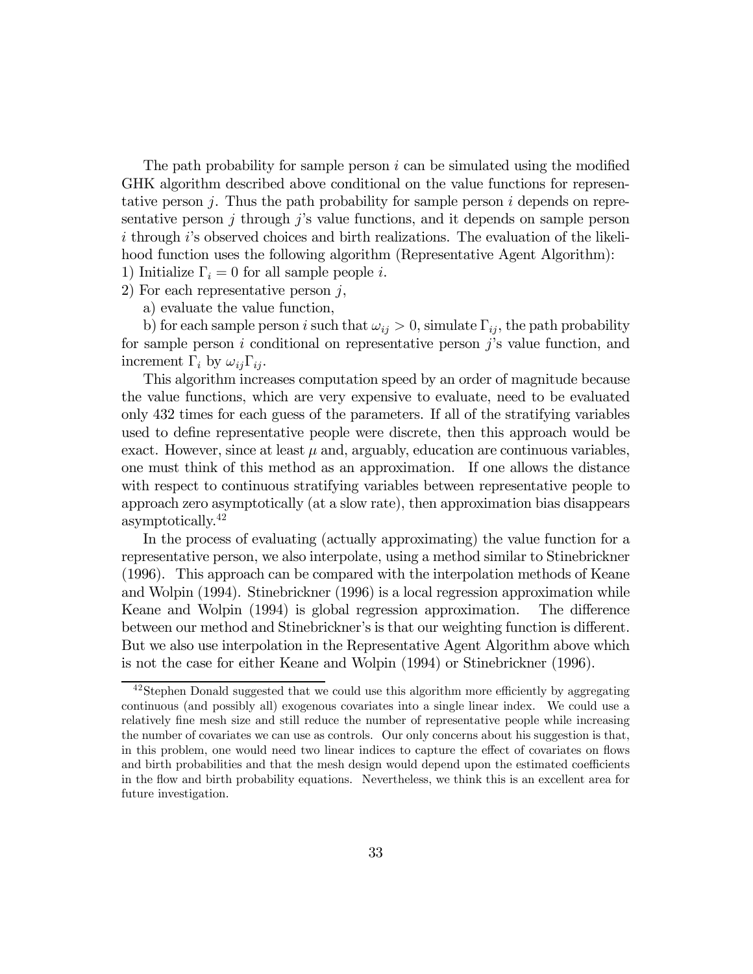The path probability for sample person  $i$  can be simulated using the modified GHK algorithm described above conditional on the value functions for representative person  $j$ . Thus the path probability for sample person  $i$  depends on representative person  $j$  through  $j$ 's value functions, and it depends on sample person i through is observed choices and birth realizations. The evaluation of the likelihood function uses the following algorithm (Representative Agent Algorithm):

1) Initialize  $\Gamma_i = 0$  for all sample people *i*.

- 2) For each representative person  $j$ ,
	- a) evaluate the value function,

b) for each sample person i such that  $\omega_{ij} > 0$ , simulate  $\Gamma_{ij}$ , the path probability for sample person  $i$  conditional on representative person  $j$ 's value function, and increment  $\Gamma_i$  by  $\omega_{ij}\Gamma_{ij}$ .

This algorithm increases computation speed by an order of magnitude because the value functions, which are very expensive to evaluate, need to be evaluated only 432 times for each guess of the parameters. If all of the stratifying variables used to define representative people were discrete, then this approach would be exact. However, since at least  $\mu$  and, arguably, education are continuous variables, one must think of this method as an approximation. If one allows the distance with respect to continuous stratifying variables between representative people to approach zero asymptotically (at a slow rate), then approximation bias disappears asymptotically.42

In the process of evaluating (actually approximating) the value function for a representative person, we also interpolate, using a method similar to Stinebrickner (1996). This approach can be compared with the interpolation methods of Keane and Wolpin (1994). Stinebrickner (1996) is a local regression approximation while Keane and Wolpin (1994) is global regression approximation. The difference between our method and Stinebrickner's is that our weighting function is different. But we also use interpolation in the Representative Agent Algorithm above which is not the case for either Keane and Wolpin (1994) or Stinebrickner (1996).

<sup>42</sup>Stephen Donald suggested that we could use this algorithm more efficiently by aggregating continuous (and possibly all) exogenous covariates into a single linear index. We could use a relatively fine mesh size and still reduce the number of representative people while increasing the number of covariates we can use as controls. Our only concerns about his suggestion is that, in this problem, one would need two linear indices to capture the effect of covariates on flows and birth probabilities and that the mesh design would depend upon the estimated coefficients in the flow and birth probability equations. Nevertheless, we think this is an excellent area for future investigation.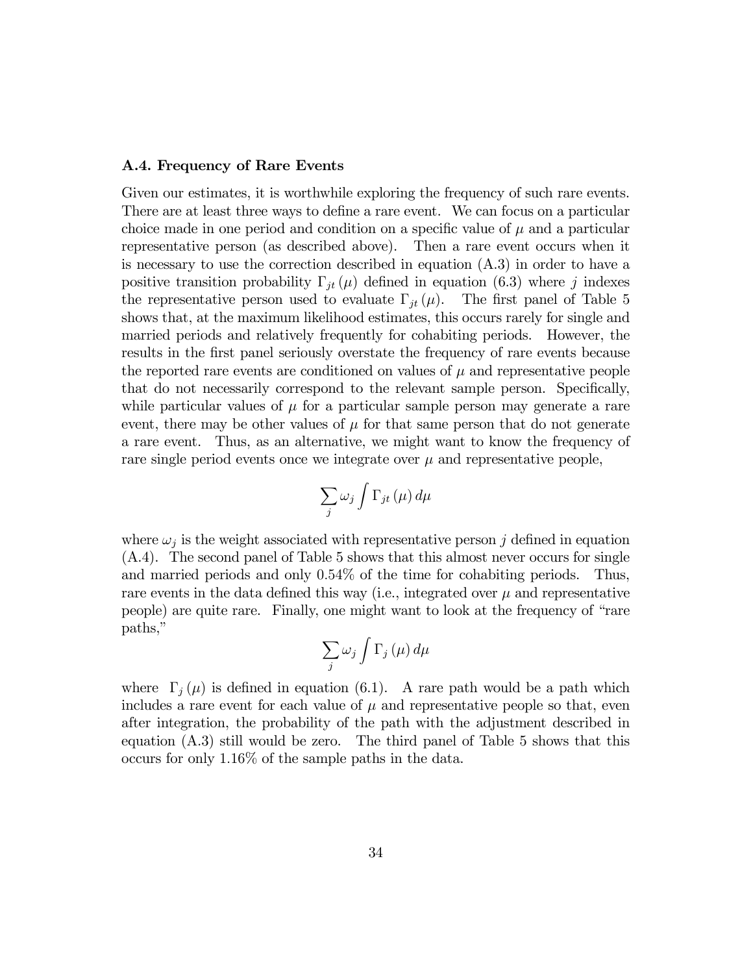#### A.4. Frequency of Rare Events

Given our estimates, it is worthwhile exploring the frequency of such rare events. There are at least three ways to define a rare event. We can focus on a particular choice made in one period and condition on a specific value of  $\mu$  and a particular representative person (as described above). Then a rare event occurs when it is necessary to use the correction described in equation (A.3) in order to have a positive transition probability  $\Gamma_{jt}(\mu)$  defined in equation (6.3) where j indexes the representative person used to evaluate  $\Gamma_{it}(\mu)$ . The first panel of Table 5 shows that, at the maximum likelihood estimates, this occurs rarely for single and married periods and relatively frequently for cohabiting periods. However, the results in the first panel seriously overstate the frequency of rare events because the reported rare events are conditioned on values of  $\mu$  and representative people that do not necessarily correspond to the relevant sample person. Specifically, while particular values of  $\mu$  for a particular sample person may generate a rare event, there may be other values of  $\mu$  for that same person that do not generate a rare event. Thus, as an alternative, we might want to know the frequency of rare single period events once we integrate over  $\mu$  and representative people,

$$
\sum_{j}\omega_{j}\int\Gamma_{jt}\left( \mu\right) d\mu
$$

where  $\omega_i$  is the weight associated with representative person j defined in equation (A.4). The second panel of Table 5 shows that this almost never occurs for single and married periods and only 0.54% of the time for cohabiting periods. Thus, rare events in the data defined this way (i.e., integrated over  $\mu$  and representative people) are quite rare. Finally, one might want to look at the frequency of "rare" paths,"

$$
\sum_{j}\omega_{j}\int\Gamma_{j}\left(\mu\right)d\mu
$$

where  $\Gamma_i(\mu)$  is defined in equation (6.1). A rare path would be a path which includes a rare event for each value of  $\mu$  and representative people so that, even after integration, the probability of the path with the adjustment described in equation (A.3) still would be zero. The third panel of Table 5 shows that this occurs for only 1.16% of the sample paths in the data.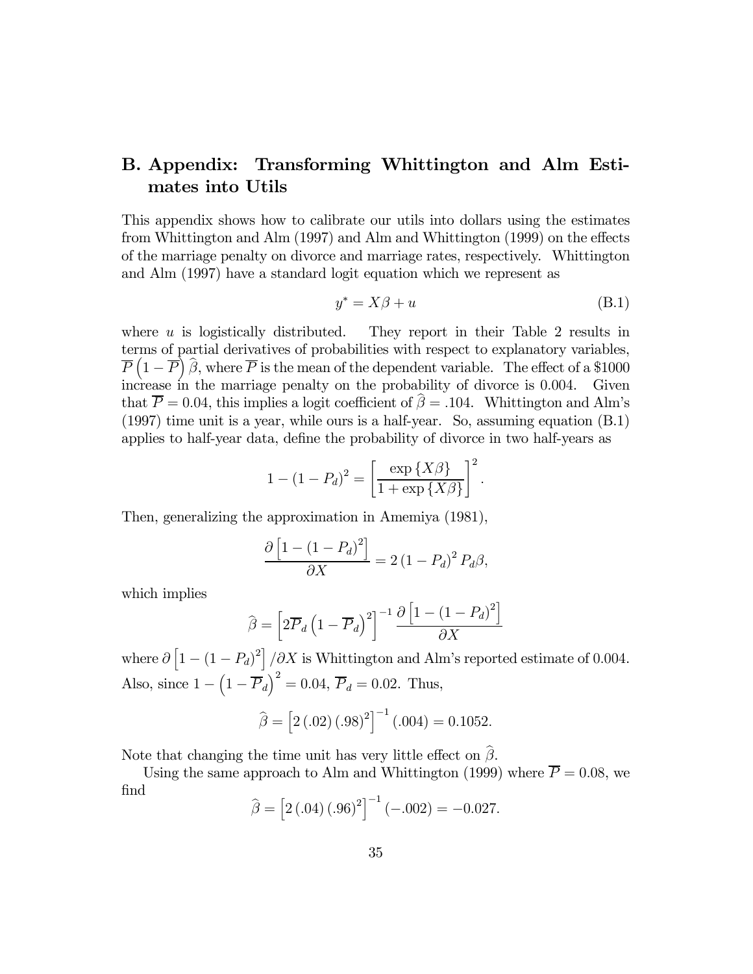# B. Appendix: Transforming Whittington and Alm Estimates into Utils

This appendix shows how to calibrate our utils into dollars using the estimates from Whittington and Alm (1997) and Alm and Whittington (1999) on the effects of the marriage penalty on divorce and marriage rates, respectively. Whittington and Alm (1997) have a standard logit equation which we represent as

$$
y^* = X\beta + u \tag{B.1}
$$

where  $u$  is logistically distributed. They report in their Table 2 results in terms of partial derivatives of probabilities with respect to explanatory variables,  $\overline{P}\left(1-\overline{P}\right)\widehat{\beta}$ , where  $\overline{P}$  is the mean of the dependent variable. The effect of a \$1000 increase in the marriage penalty on the probability of divorce is 0.004. Given that  $\overline{P} = 0.04$ , this implies a logit coefficient of  $\hat{\beta} = .104$ . Whittington and Alm's (1997) time unit is a year, while ours is a half-year. So, assuming equation (B.1) applies to half-year data, define the probability of divorce in two half-years as

$$
1 - (1 - P_d)^2 = \left[\frac{\exp\{X\beta\}}{1 + \exp\{X\beta\}}\right]^2.
$$

Then, generalizing the approximation in Amemiya (1981),

$$
\frac{\partial \left[1 - (1 - P_d)^2\right]}{\partial X} = 2\left(1 - P_d\right)^2 P_d \beta,
$$

which implies

$$
\widehat{\beta} = \left[2\overline{P}_d\left(1-\overline{P}_d\right)^2\right]^{-1} \frac{\partial \left[1-\left(1-P_d\right)^2\right]}{\partial X}
$$

where  $\partial \left[1 - (1 - P_d)^2\right] / \partial X$  is Whittington and Alm's reported estimate of 0.004. Also, since  $1 - (1 - \overline{P}_d)^2 = 0.04$ ,  $\overline{P}_d = 0.02$ . Thus,

$$
\widehat{\beta} = [2(.02)(.98)^{2}]^{-1}(.004) = 0.1052.
$$

Note that changing the time unit has very little effect on  $\hat{\beta}$ .

Using the same approach to Alm and Whittington (1999) where  $\overline{P} = 0.08$ , we find

$$
\hat{\beta} = [2(.04)(.96)^{2}]^{-1} (-.002) = -0.027.
$$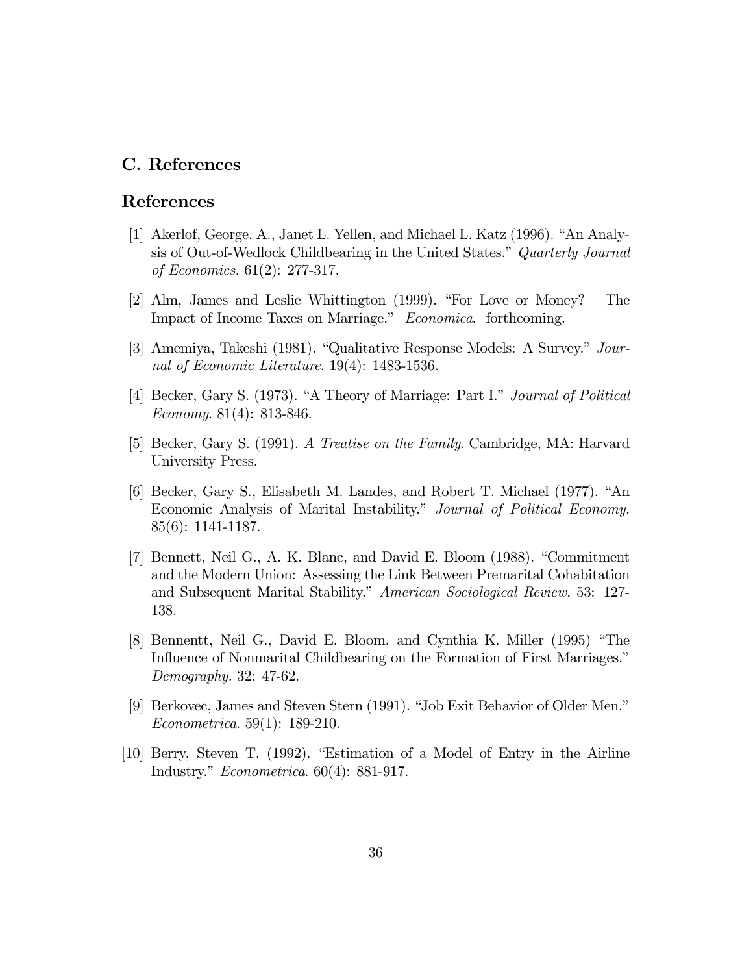# C. References

# References

- [1] Akerlof, George. A., Janet L. Yellen, and Michael L. Katz  $(1996)$ . "An Analysis of Out-of-Wedlock Childbearing in the United States." Quarterly Journal of Economics. 61(2): 277-317.
- [2] Alm, James and Leslie Whittington (1999). "For Love or Money? The Impact of Income Taxes on Marriage." Economica. forthcoming.
- [3] Amemiya, Takeshi (1981). "Qualitative Response Models: A Survey."  $Jour$ nal of Economic Literature. 19(4): 1483-1536.
- [4] Becker, Gary S. (1973). "A Theory of Marriage: Part I." *Journal of Political* Economy. 81(4): 813-846.
- [5] Becker, Gary S. (1991). A Treatise on the Family. Cambridge, MA: Harvard University Press.
- [6] Becker, Gary S., Elisabeth M. Landes, and Robert T. Michael (1977). "An Economic Analysis of Marital Instability." Journal of Political Economy. 85(6): 1141-1187.
- [7] Bennett, Neil G., A. K. Blanc, and David E. Bloom (1988). "Commitment and the Modern Union: Assessing the Link Between Premarital Cohabitation and Subsequent Marital Stability." American Sociological Review. 53: 127-138.
- [8] Bennentt, Neil G., David E. Bloom, and Cynthia K. Miller (1995) "The Influence of Nonmarital Childbearing on the Formation of First Marriages.<sup>"</sup> Demography. 32: 47-62.
- [9] Berkovec, James and Steven Stern (1991). "Job Exit Behavior of Older Men." Econometrica. 59(1): 189-210.
- $[10]$  Berry, Steven T. (1992). "Estimation of a Model of Entry in the Airline Industry." Econometrica.  $60(4)$ : 881-917.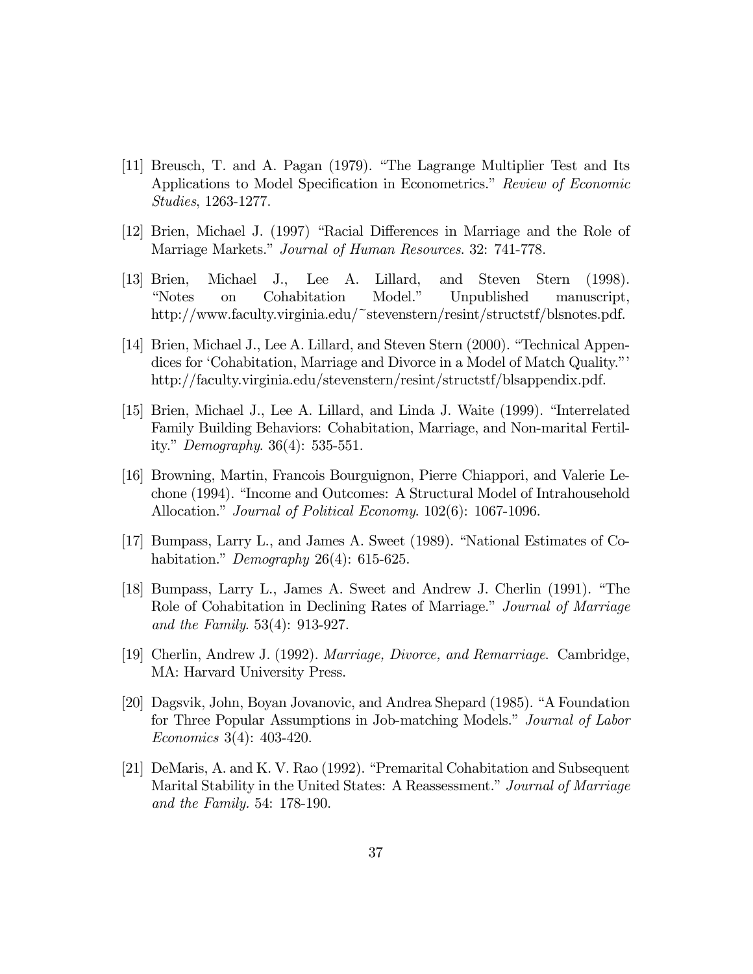- $[11]$  Breusch, T. and A. Pagan  $(1979)$ . "The Lagrange Multiplier Test and Its Applications to Model Specification in Econometrics." Review of Economic Studies, 1263-1277.
- [12] Brien, Michael J. (1997) "Racial Differences in Marriage and the Role of Marriage Markets." Journal of Human Resources. 32: 741-778.
- [13] Brien, Michael J., Lee A. Lillard, and Steven Stern (1998). "Notes on Cohabitation Model." Unpublished manuscript, http://www.faculty.virginia.edu/~stevenstern/resint/structstf/blsnotes.pdf.
- [14] Brien, Michael J., Lee A. Lillard, and Steven Stern (2000). "Technical Appendices for 'Cohabitation, Marriage and Divorce in a Model of Match Quality.<sup>n</sup>' http://faculty.virginia.edu/stevenstern/resint/structstf/blsappendix.pdf.
- [15] Brien, Michael J., Lee A. Lillard, and Linda J. Waite (1999). "Interrelated Family Building Behaviors: Cohabitation, Marriage, and Non-marital Fertility." *Demography.*  $36(4)$ : 535-551.
- [16] Browning, Martin, Francois Bourguignon, Pierre Chiappori, and Valerie Lechone (1994). "Income and Outcomes: A Structural Model of Intrahousehold Allocation." *Journal of Political Economy.* 102(6): 1067-1096.
- [17] Bumpass, Larry L., and James A. Sweet  $(1989)$ . "National Estimates of Cohabitation." Demography  $26(4)$ : 615-625.
- [18] Bumpass, Larry L., James A. Sweet and Andrew J. Cherlin (1991). "The Role of Cohabitation in Declining Rates of Marriage." Journal of Marriage. and the Family. 53(4): 913-927.
- [19] Cherlin, Andrew J. (1992). Marriage, Divorce, and Remarriage. Cambridge, MA: Harvard University Press.
- [20] Dagsvik, John, Boyan Jovanovic, and Andrea Shepard (1985). "A Foundation for Three Popular Assumptions in Job-matching Models." Journal of Labor Economics 3(4): 403-420.
- [21] DeMaris, A. and K. V. Rao (1992). "Premarital Cohabitation and Subsequent Marital Stability in the United States: A Reassessment." Journal of Marriage and the Family. 54: 178-190.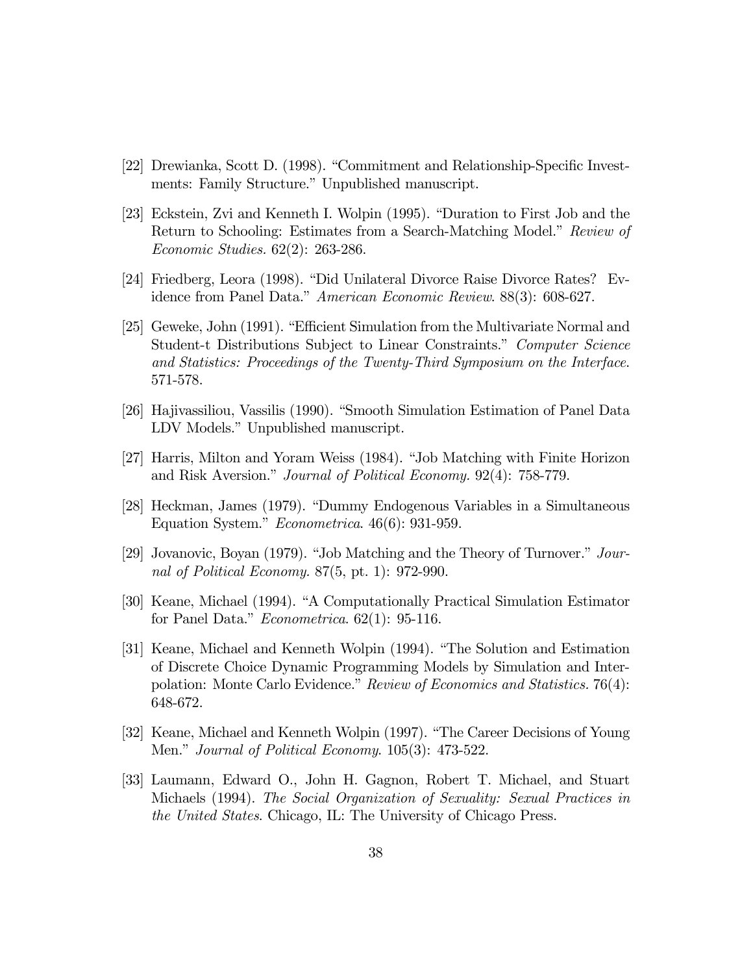- [22] Drewianka, Scott D. (1998). "Commitment and Relationship-Specific Investments: Family Structure." Unpublished manuscript.
- [23] Eckstein, Zvi and Kenneth I. Wolpin (1995). "Duration to First Job and the Return to Schooling: Estimates from a Search-Matching Model." Review of Economic Studies. 62(2): 263-286.
- [24] Friedberg, Leora (1998). "Did Unilateral Divorce Raise Divorce Rates? Evidence from Panel Data." American Economic Review. 88(3): 608-627.
- [25] Geweke, John (1991). "Efficient Simulation from the Multivariate Normal and Student-t Distributions Subject to Linear Constraints." Computer Science and Statistics: Proceedings of the Twenty-Third Symposium on the Interface. 571-578.
- [26] Hajivassiliou, Vassilis (1990). "Smooth Simulation Estimation of Panel Data LDV Models." Unpublished manuscript.
- [27] Harris, Milton and Yoram Weiss (1984). "Job Matching with Finite Horizon and Risk Aversion." Journal of Political Economy. 92(4): 758-779.
- [28] Heckman, James (1979). "Dummy Endogenous Variables in a Simultaneous Equation System." *Econometrica*.  $46(6)$ : 931-959.
- [29] Jovanovic, Boyan (1979). "Job Matching and the Theory of Turnover." Journal of Political Economy. 87(5, pt. 1): 972-990.
- [30] Keane, Michael (1994). "A Computationally Practical Simulation Estimator for Panel Data." *Econometrica*.  $62(1)$ : 95-116.
- [31] Keane, Michael and Kenneth Wolpin (1994). "The Solution and Estimation of Discrete Choice Dynamic Programming Models by Simulation and Interpolation: Monte Carlo Evidence." Review of Economics and Statistics. 76(4): 648-672.
- [32] Keane, Michael and Kenneth Wolpin (1997). "The Career Decisions of Young Men." Journal of Political Economy. 105(3): 473-522.
- [33] Laumann, Edward O., John H. Gagnon, Robert T. Michael, and Stuart Michaels (1994). The Social Organization of Sexuality: Sexual Practices in the United States. Chicago, IL: The University of Chicago Press.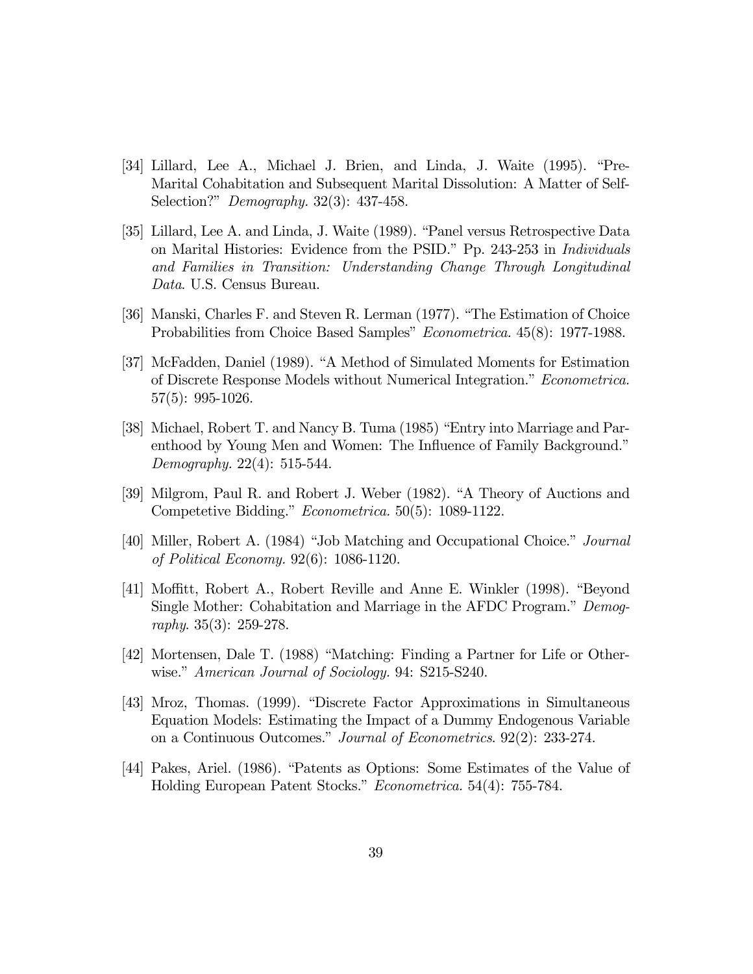- [34] Lillard, Lee A., Michael J. Brien, and Linda, J. Waite (1995). "Pre-Marital Cohabitation and Subsequent Marital Dissolution: A Matter of Self-Selection?" *Demography.* 32(3): 437-458.
- [35] Lillard, Lee A. and Linda, J. Waite (1989). "Panel versus Retrospective Data on Marital Histories: Evidence from the PSID." Pp. 243-253 in *Individuals* and Families in Transition: Understanding Change Through Longitudinal Data. U.S. Census Bureau.
- [36] Manski, Charles F. and Steven R. Lerman (1977). "The Estimation of Choice Probabilities from Choice Based Samples" Econometrica. 45(8): 1977-1988.
- [37] McFadden, Daniel (1989). "A Method of Simulated Moments for Estimation of Discrete Response Models without Numerical Integration.î Econometrica. 57(5): 995-1026.
- [38] Michael, Robert T. and Nancy B. Tuma (1985) "Entry into Marriage and Parenthood by Young Men and Women: The Influence of Family Background.<sup>"</sup> Demography. 22(4): 515-544.
- [39] Milgrom, Paul R. and Robert J. Weber (1982). "A Theory of Auctions and Competetive Bidding." *Econometrica.* 50(5): 1089-1122.
- [40] Miller, Robert A. (1984) "Job Matching and Occupational Choice." Journal of Political Economy. 92(6): 1086-1120.
- [41] Moffitt, Robert A., Robert Reville and Anne E. Winkler (1998). "Beyond Single Mother: Cohabitation and Marriage in the AFDC Program." Demography. 35(3): 259-278.
- [42] Mortensen, Dale T. (1988) "Matching: Finding a Partner for Life or Otherwise." American Journal of Sociology. 94: S215-S240.
- [43] Mroz, Thomas. (1999). "Discrete Factor Approximations in Simultaneous Equation Models: Estimating the Impact of a Dummy Endogenous Variable on a Continuous Outcomes.î Journal of Econometrics. 92(2): 233-274.
- [44] Pakes, Ariel. (1986). "Patents as Options: Some Estimates of the Value of Holding European Patent Stocks." Econometrica. 54(4): 755-784.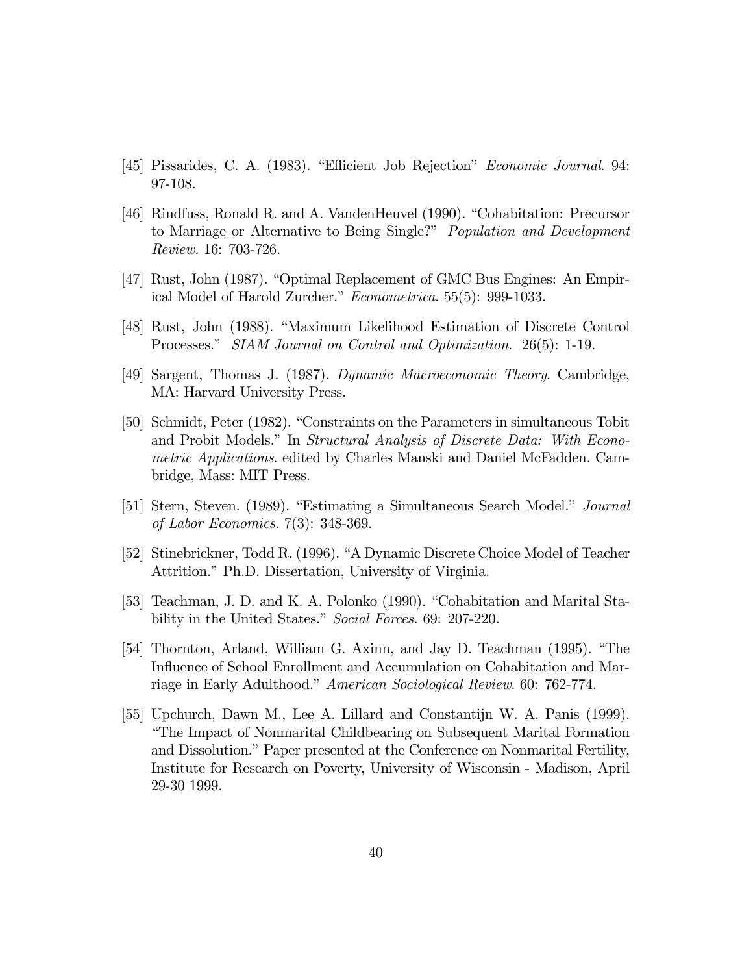- [45] Pissarides, C. A. (1983). "Efficient Job Rejection" Economic Journal. 94: 97-108.
- [46] Rindfuss, Ronald R. and A. VandenHeuvel (1990). "Cohabitation: Precursor to Marriage or Alternative to Being Single?" *Population and Development* Review. 16: 703-726.
- [47] Rust, John (1987). "Optimal Replacement of GMC Bus Engines: An Empirical Model of Harold Zurcher." Econometrica. 55(5): 999-1033.
- [48] Rust, John (1988). "Maximum Likelihood Estimation of Discrete Control Processes." SIAM Journal on Control and Optimization. 26(5): 1-19.
- [49] Sargent, Thomas J. (1987). Dynamic Macroeconomic Theory. Cambridge, MA: Harvard University Press.
- [50] Schmidt, Peter (1982). "Constraints on the Parameters in simultaneous Tobit and Probit Models.î In Structural Analysis of Discrete Data: With Econometric Applications. edited by Charles Manski and Daniel McFadden. Cambridge, Mass: MIT Press.
- [51] Stern, Steven. (1989). "Estimating a Simultaneous Search Model." *Journal* of Labor Economics. 7(3): 348-369.
- [52] Stinebrickner, Todd R. (1996). "A Dynamic Discrete Choice Model of Teacher Attrition." Ph.D. Dissertation, University of Virginia.
- [53] Teachman, J. D. and K. A. Polonko (1990). "Cohabitation and Marital Stability in the United States." Social Forces. 69: 207-220.
- [54] Thornton, Arland, William G. Axinn, and Jay D. Teachman (1995). "The Influence of School Enrollment and Accumulation on Cohabitation and Marriage in Early Adulthood." American Sociological Review. 60: 762-774.
- [55] Upchurch, Dawn M., Lee A. Lillard and Constantijn W. A. Panis (1999). ìThe Impact of Nonmarital Childbearing on Subsequent Marital Formation and Dissolution.î Paper presented at the Conference on Nonmarital Fertility, Institute for Research on Poverty, University of Wisconsin - Madison, April 29-30 1999.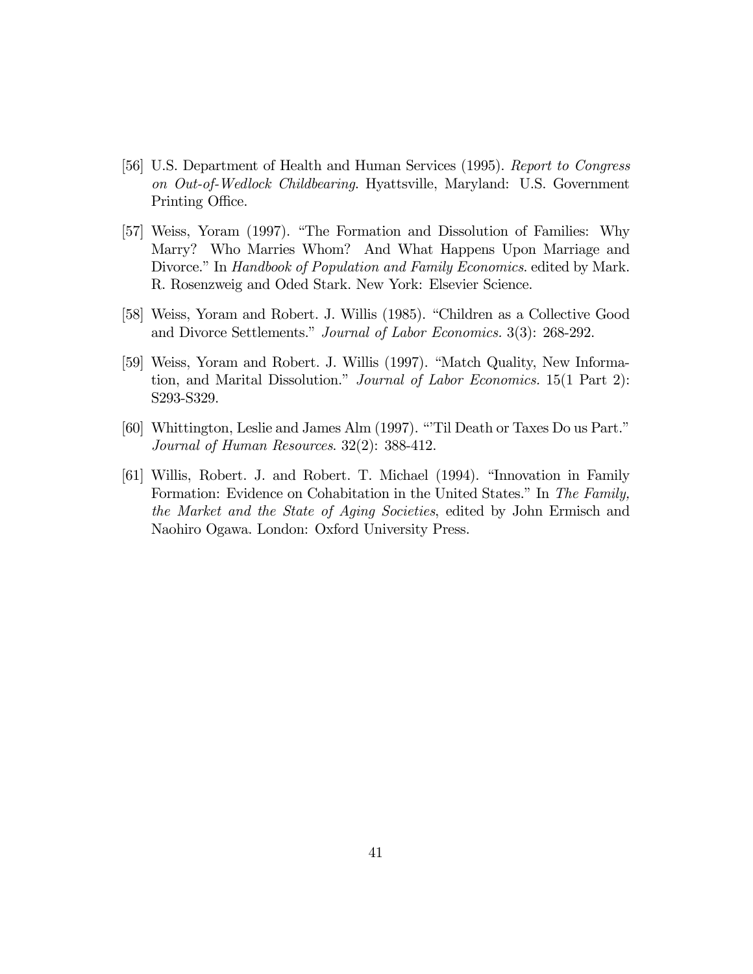- [56] U.S. Department of Health and Human Services (1995). Report to Congress on Out-of-Wedlock Childbearing. Hyattsville, Maryland: U.S. Government Printing Office.
- [57] Weiss, Yoram (1997). "The Formation and Dissolution of Families: Why Marry? Who Marries Whom? And What Happens Upon Marriage and Divorce." In Handbook of Population and Family Economics. edited by Mark. R. Rosenzweig and Oded Stark. New York: Elsevier Science.
- [58] Weiss, Yoram and Robert. J. Willis (1985). "Children as a Collective Good and Divorce Settlements." Journal of Labor Economics. 3(3): 268-292.
- [59] Weiss, Yoram and Robert. J. Willis (1997). "Match Quality, New Information, and Marital Dissolution." Journal of Labor Economics. 15(1 Part 2): S293-S329.
- [60] Whittington, Leslie and James Alm (1997). "Til Death or Taxes Do us Part." Journal of Human Resources. 32(2): 388-412.
- [61] Willis, Robert. J. and Robert. T. Michael (1994). "Innovation in Family Formation: Evidence on Cohabitation in the United States." In The Family, the Market and the State of Aging Societies, edited by John Ermisch and Naohiro Ogawa. London: Oxford University Press.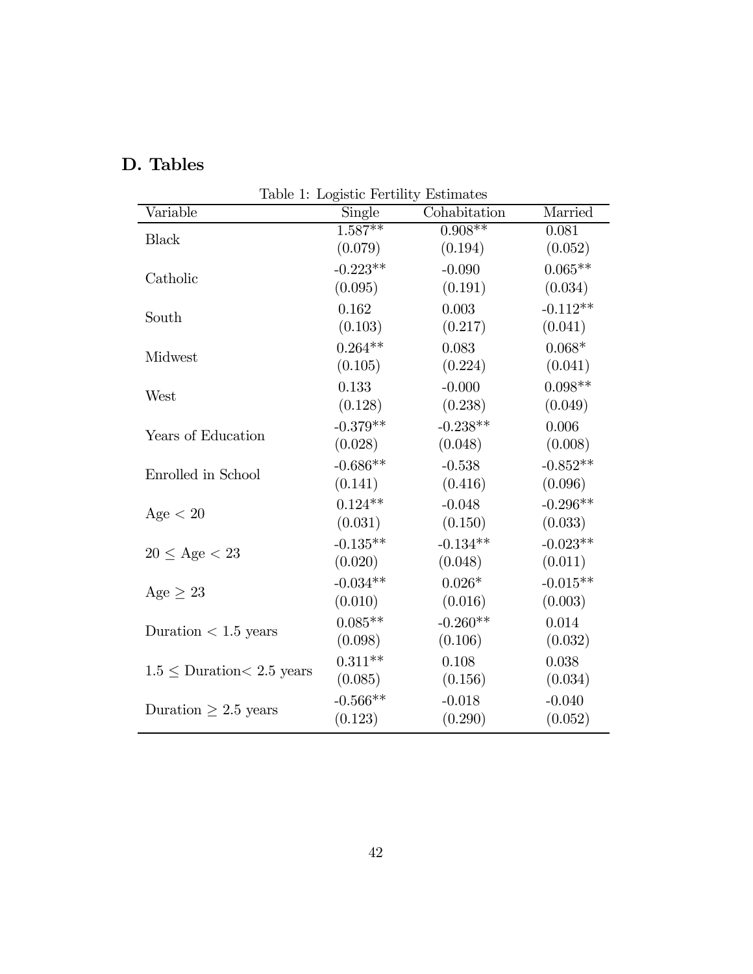| Table 1: Logistic Fertility Estimates |              |            |  |
|---------------------------------------|--------------|------------|--|
| Single                                | Cohabitation | Married    |  |
|                                       |              | 0.081      |  |
| (0.079)                               | (0.194)      | (0.052)    |  |
| $-0.223**$                            | $-0.090$     | $0.065**$  |  |
| (0.095)                               | (0.191)      | (0.034)    |  |
| 0.162                                 | 0.003        | $-0.112**$ |  |
| (0.103)                               | (0.217)      | (0.041)    |  |
| $0.264**$                             | 0.083        | $0.068*$   |  |
| (0.105)                               | (0.224)      | (0.041)    |  |
| 0.133                                 | $-0.000$     | $0.098**$  |  |
| (0.128)                               | (0.238)      | (0.049)    |  |
| $-0.379**$                            | $-0.238**$   | 0.006      |  |
| (0.028)                               | (0.048)      | (0.008)    |  |
| $-0.686**$                            | $-0.538$     | $-0.852**$ |  |
| (0.141)                               | (0.416)      | (0.096)    |  |
| $0.124**$                             | $-0.048$     | $-0.296**$ |  |
| (0.031)                               | (0.150)      | (0.033)    |  |
| $-0.135**$                            | $-0.134**$   | $-0.023**$ |  |
| (0.020)                               | (0.048)      | (0.011)    |  |
| $-0.034**$                            | $0.026*$     | $-0.015**$ |  |
| (0.010)                               | (0.016)      | (0.003)    |  |
| $0.085**$                             | $-0.260**$   | 0.014      |  |
| (0.098)                               | (0.106)      | (0.032)    |  |
| $0.311**$                             | 0.108        | 0.038      |  |
| (0.085)                               | (0.156)      | (0.034)    |  |
| $-0.566**$                            | $-0.018$     | $-0.040$   |  |
| (0.123)                               | (0.290)      | (0.052)    |  |
|                                       | $1.587**$    | $0.908**$  |  |

# D. Tables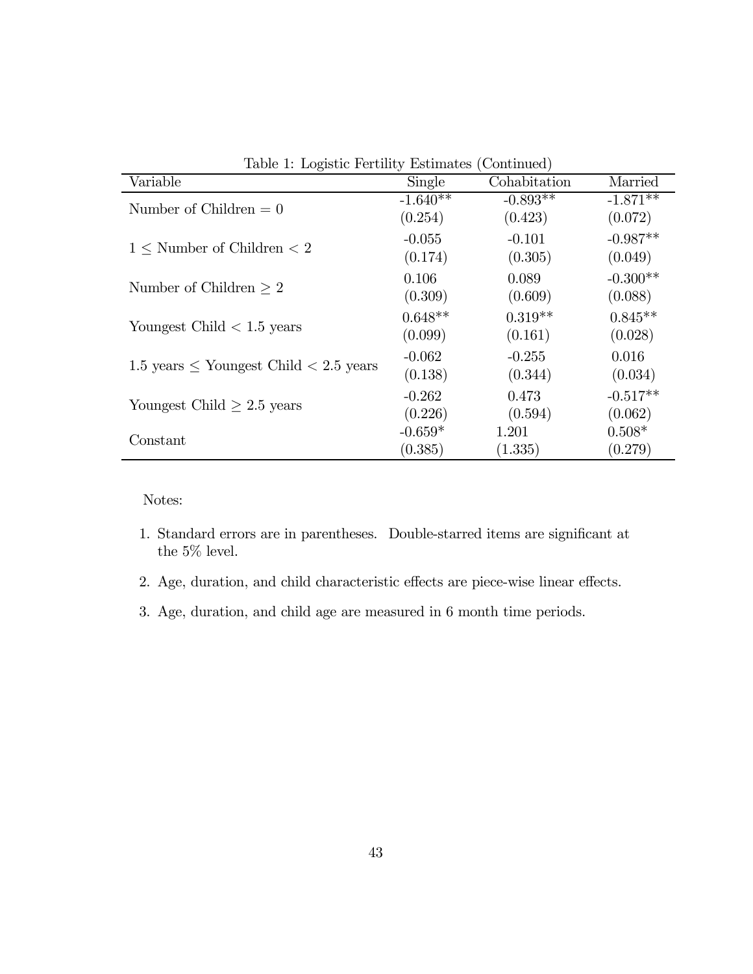| Table 1: Logistic Fertility Estimates (Continued)  |            |              |            |
|----------------------------------------------------|------------|--------------|------------|
| Variable                                           | Single     | Cohabitation | Married    |
|                                                    | $-1.640**$ | $-0.893**$   | $-1.871**$ |
| Number of Children $= 0$                           | (0.254)    | (0.423)      | (0.072)    |
| $1 \leq$ Number of Children $\lt 2$                | $-0.055$   | $-0.101$     | $-0.987**$ |
|                                                    | (0.174)    | (0.305)      | (0.049)    |
| Number of Children $\geq 2$                        | 0.106      | 0.089        | $-0.300**$ |
|                                                    | (0.309)    | (0.609)      | (0.088)    |
|                                                    | $0.648**$  | $0.319**$    | $0.845**$  |
| Youngest Child $< 1.5$ years                       | (0.099)    | (0.161)      | (0.028)    |
| $1.5$ years $\leq$ Youngest Child $\leq$ 2.5 years | $-0.062$   | $-0.255$     | 0.016      |
|                                                    | (0.138)    | (0.344)      | (0.034)    |
| Youngest Child $\geq 2.5$ years                    | $-0.262$   | 0.473        | $-0.517**$ |
|                                                    | (0.226)    | (0.594)      | (0.062)    |
| Constant                                           | $-0.659*$  | 1.201        | $0.508*$   |
|                                                    | (0.385)    | (1.335)      | (0.279)    |

- 1. Standard errors are in parentheses. Double-starred items are significant at the  $5\%$  level.
- 2. Age, duration, and child characteristic effects are piece-wise linear effects.
- 3. Age, duration, and child age are measured in 6 month time periods.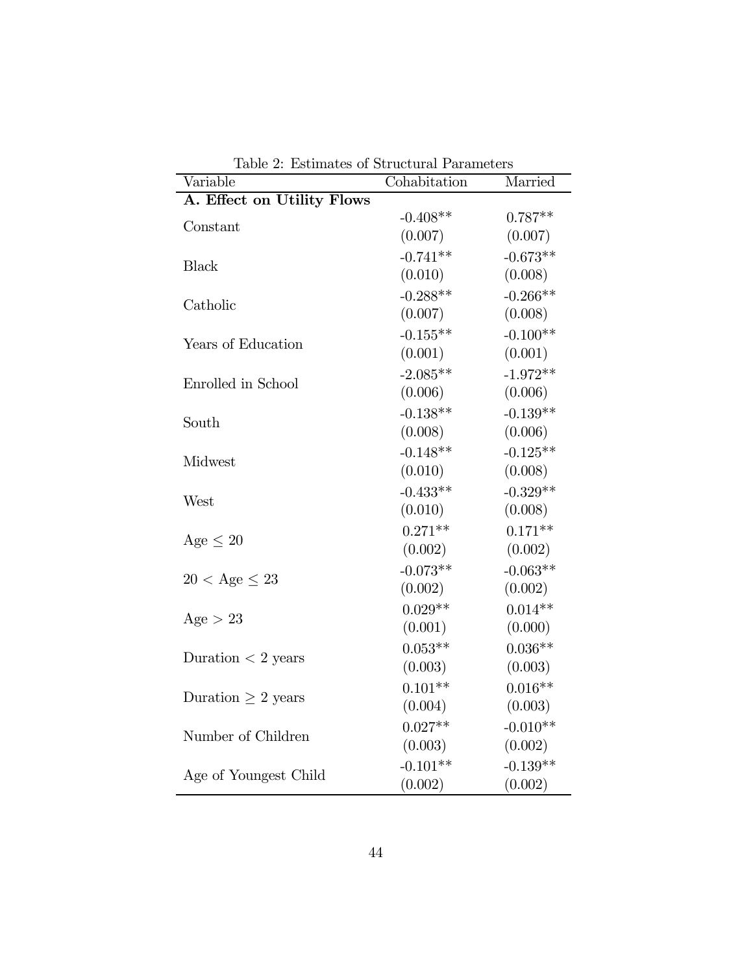| тарке 2. прешисер от<br>Variable | Cohabitation | Married    |
|----------------------------------|--------------|------------|
| A. Effect on Utility Flows       |              |            |
| Constant                         | $-0.408**$   | $0.787**$  |
|                                  | (0.007)      | (0.007)    |
|                                  | $-0.741**$   | $-0.673**$ |
| <b>Black</b>                     | (0.010)      | (0.008)    |
|                                  | $-0.288**$   | $-0.266**$ |
| Catholic                         | (0.007)      | (0.008)    |
|                                  | $-0.155**$   | $-0.100**$ |
| Years of Education               | (0.001)      | (0.001)    |
|                                  | $-2.085**$   | $-1.972**$ |
| Enrolled in School               | (0.006)      | (0.006)    |
|                                  | $-0.138**$   | $-0.139**$ |
| South                            | (0.008)      | (0.006)    |
|                                  | $-0.148**$   | $-0.125**$ |
| Midwest                          | (0.010)      | (0.008)    |
|                                  | $-0.433**$   | $-0.329**$ |
| West                             | (0.010)      | (0.008)    |
|                                  | $0.271**$    | $0.171**$  |
| Age $\leq 20$                    |              |            |
|                                  | (0.002)      | (0.002)    |
| $20 < \text{Age} \leq 23$        | $-0.073**$   | $-0.063**$ |
|                                  | (0.002)      | (0.002)    |
| Age > 23                         | $0.029**$    | $0.014**$  |
|                                  | (0.001)      | (0.000)    |
| Duration $<$ 2 years             | $0.053**$    | $0.036**$  |
|                                  | (0.003)      | (0.003)    |
| Duration $\geq 2$ years          | $0.101**$    | $0.016**$  |
|                                  | (0.004)      | (0.003)    |
| Number of Children               | $0.027**$    | $-0.010**$ |
|                                  | (0.003)      | (0.002)    |
|                                  | $-0.101**$   | $-0.139**$ |
| Age of Youngest Child            | (0.002)      | (0.002)    |

Table 2: Estimates of Structural Parameters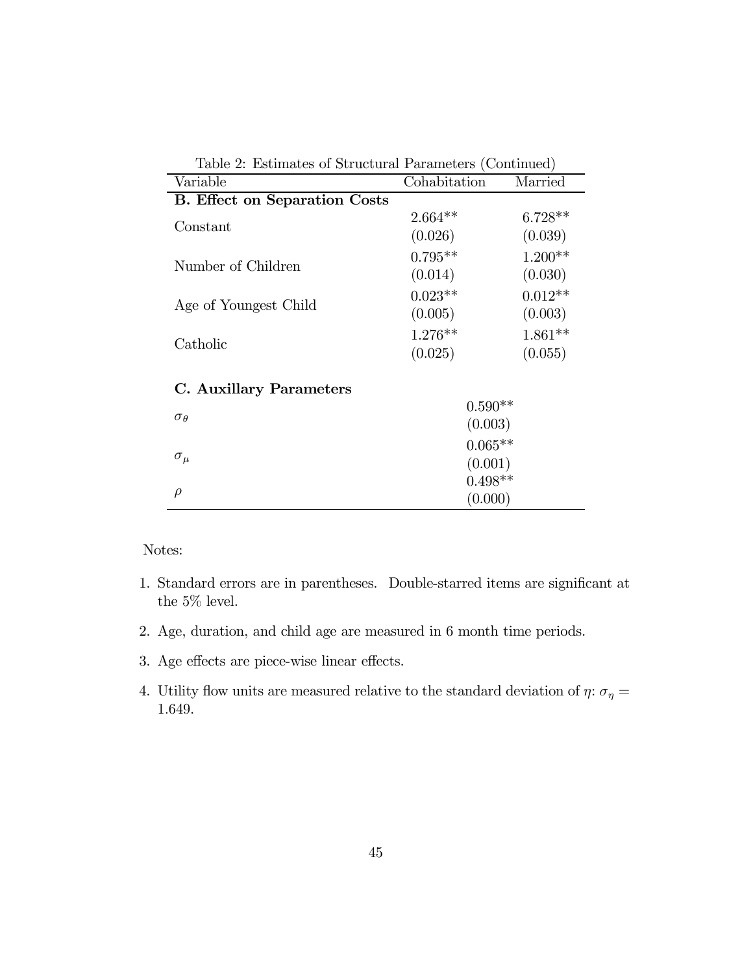| Table 2: Estimates of Structural Parameters (Continued) |              |           |  |
|---------------------------------------------------------|--------------|-----------|--|
| Variable                                                | Cohabitation | Married   |  |
| <b>B.</b> Effect on Separation Costs                    |              |           |  |
|                                                         | $2.664**$    | $6.728**$ |  |
| Constant                                                | (0.026)      | (0.039)   |  |
| Number of Children                                      | $0.795**$    | $1.200**$ |  |
|                                                         | (0.014)      | (0.030)   |  |
|                                                         | $0.023**$    | $0.012**$ |  |
| Age of Youngest Child                                   | (0.005)      | (0.003)   |  |
|                                                         | $1.276**$    | $1.861**$ |  |
| Catholic                                                | (0.025)      | (0.055)   |  |
| C. Auxillary Parameters                                 |              |           |  |
|                                                         | $0.590**$    |           |  |
| $\sigma_{\theta}$                                       | (0.003)      |           |  |
|                                                         | $0.065**$    |           |  |
| $\sigma_{\mu}$                                          | (0.001)      |           |  |
|                                                         | $0.498**$    |           |  |
| $\rho$                                                  | (0.000)      |           |  |

- 1. Standard errors are in parentheses. Double-starred items are significant at the  $5\%$  level.
- 2. Age, duration, and child age are measured in 6 month time periods.
- 3. Age effects are piece-wise linear effects.
- 4. Utility flow units are measured relative to the standard deviation of  $\eta\colon \sigma_\eta =$ 1.649.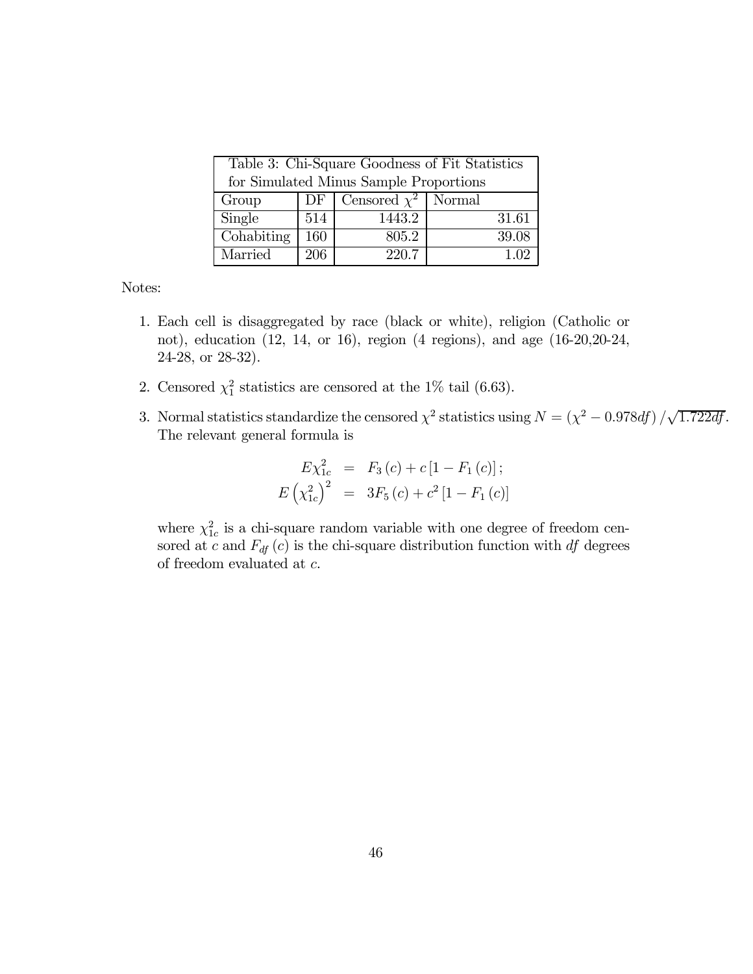| Table 3: Chi-Square Goodness of Fit Statistics |     |                          |       |
|------------------------------------------------|-----|--------------------------|-------|
| for Simulated Minus Sample Proportions         |     |                          |       |
| Group                                          | DF  | Censored $\chi^2$ Normal |       |
| Single                                         | 514 | 1443.2                   | 31.61 |
| Cohabiting                                     | 160 | 805.2                    | 39.08 |
| Married                                        | 206 | 220.7                    | エコワ   |

- 1. Each cell is disaggregated by race (black or white), religion (Catholic or not), education (12, 14, or 16), region (4 regions), and age (16-20,20-24, 24-28, or 28-32).
- 2. Censored  $\chi_1^2$  statistics are censored at the 1% tail (6.63).
- 3. Normal statistics standardize the censored  $\chi^2$  statistics using  $N = (\chi^2 0.978df)/\sqrt{1.722df}$ . The relevant general formula is

$$
E\chi_{1c}^{2} = F_{3}(c) + c[1 - F_{1}(c)];
$$
  

$$
E(\chi_{1c}^{2})^{2} = 3F_{5}(c) + c^{2}[1 - F_{1}(c)]
$$

where  $\chi^2_{1c}$  is a chi-square random variable with one degree of freedom censored at c and  $F_{df}(c)$  is the chi-square distribution function with df degrees of freedom evaluated at c.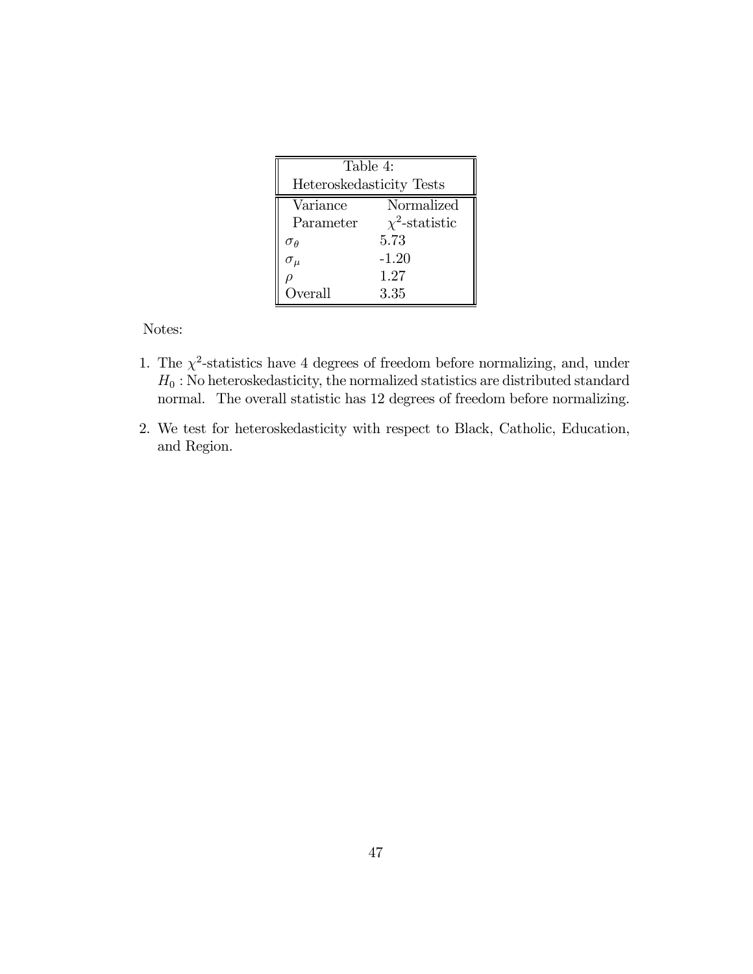| Table 4:                 |                     |  |
|--------------------------|---------------------|--|
| Heteroskedasticity Tests |                     |  |
| Variance                 | Normalized          |  |
| Parameter                | $\chi^2$ -statistic |  |
| $\sigma_{\theta}$        | 5.73                |  |
| $\sigma_{\mu}$           | $-1.20$             |  |
|                          | 1.27                |  |
| Overall                  | 3.35                |  |

- 1. The  $\chi^2$ -statistics have 4 degrees of freedom before normalizing, and, under  $H_0$ : No heteroskedasticity, the normalized statistics are distributed standard normal. The overall statistic has 12 degrees of freedom before normalizing.
- 2. We test for heteroskedasticity with respect to Black, Catholic, Education, and Region.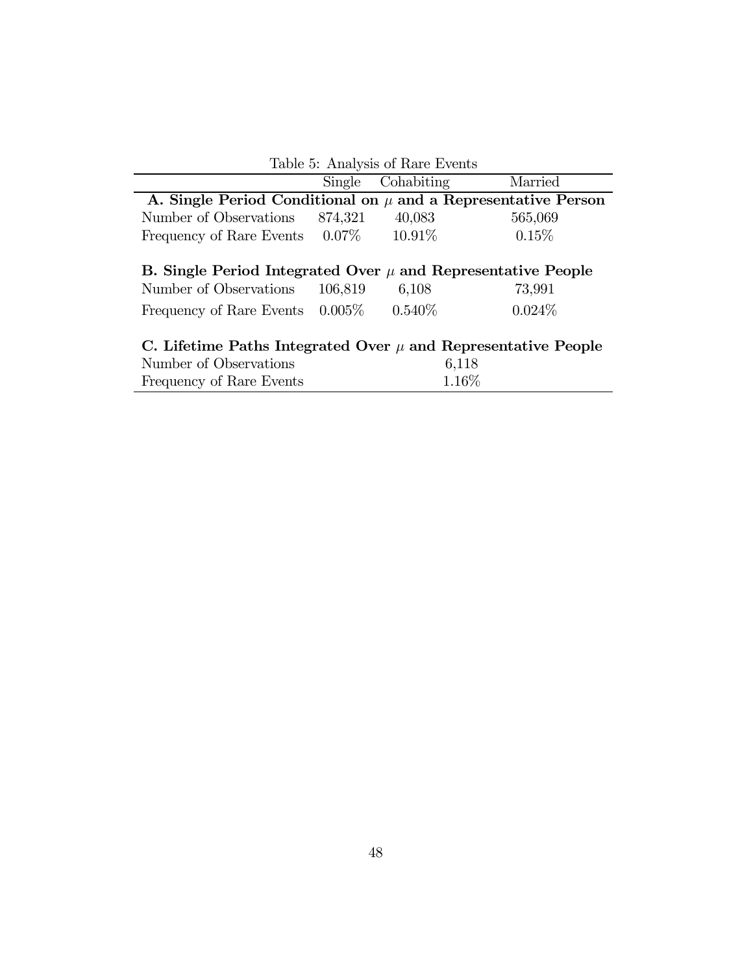| Table 5: Analysis of Rare Events                                  |         |            |           |  |
|-------------------------------------------------------------------|---------|------------|-----------|--|
|                                                                   | Single  | Cohabiting | Married   |  |
| A. Single Period Conditional on $\mu$ and a Representative Person |         |            |           |  |
| Number of Observations                                            | 874,321 | 40,083     | 565,069   |  |
| Frequency of Rare Events 0.07\%                                   |         | $10.91\%$  | 0.15%     |  |
|                                                                   |         |            |           |  |
| B. Single Period Integrated Over $\mu$ and Representative People  |         |            |           |  |
| Number of Observations                                            | 106,819 | 6,108      | 73,991    |  |
| Frequency of Rare Events $0.005\%$                                |         | $0.540\%$  | $0.024\%$ |  |
|                                                                   |         |            |           |  |
| C. Lifetime Paths Integrated Over $\mu$ and Representative People |         |            |           |  |
| Number of Observations                                            |         |            | 6,118     |  |
| Frequency of Rare Events                                          |         |            | 1.16%     |  |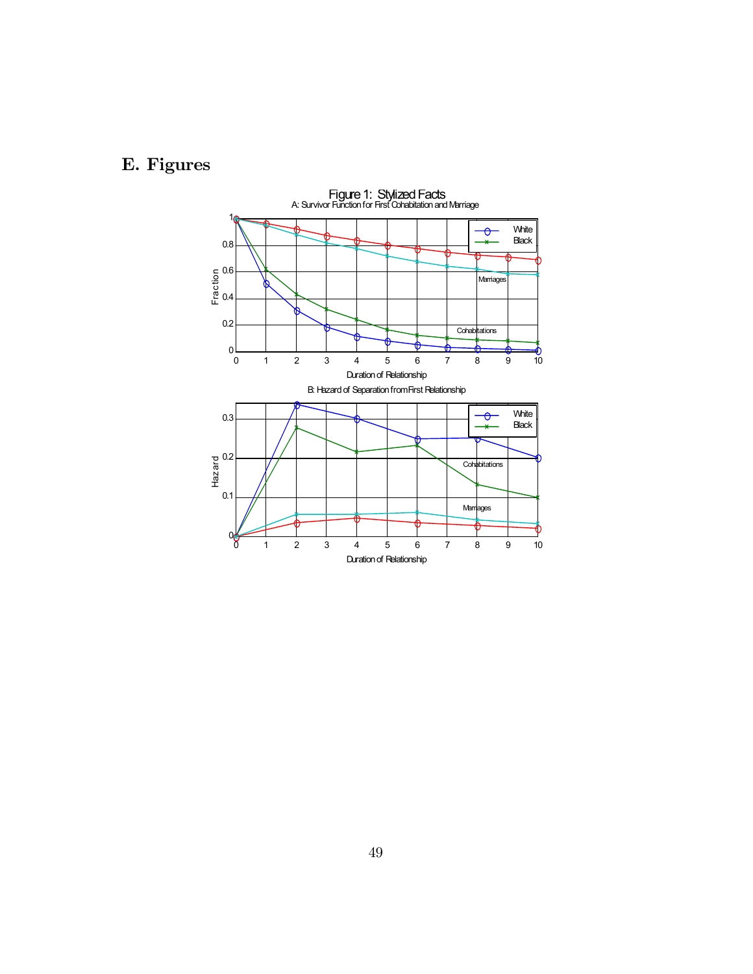# E. Figures

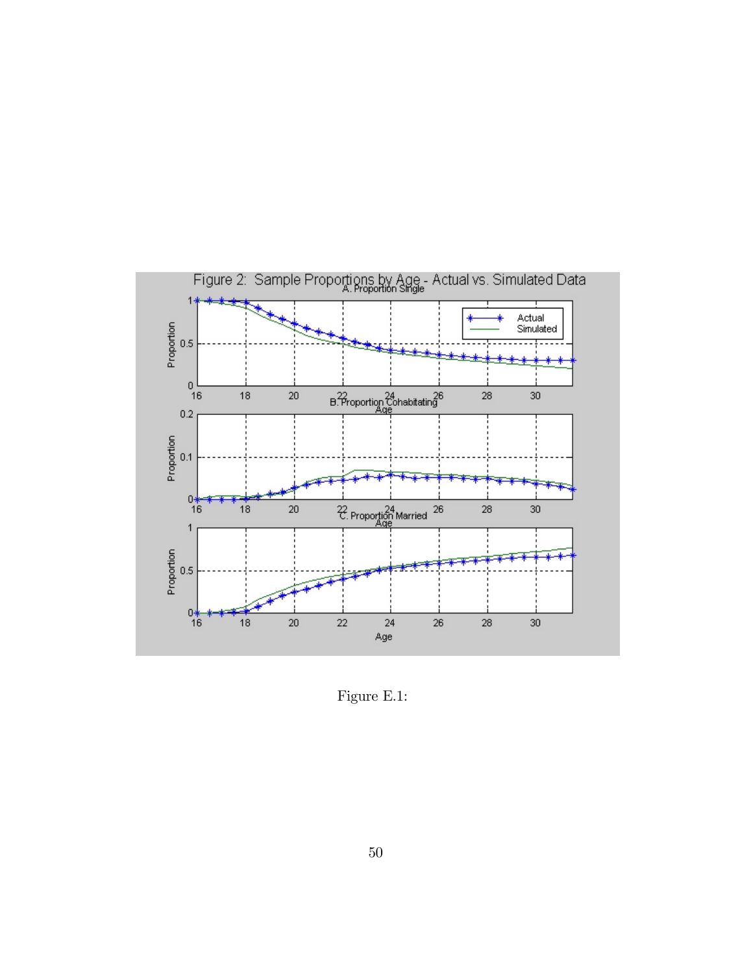

Figure E.1: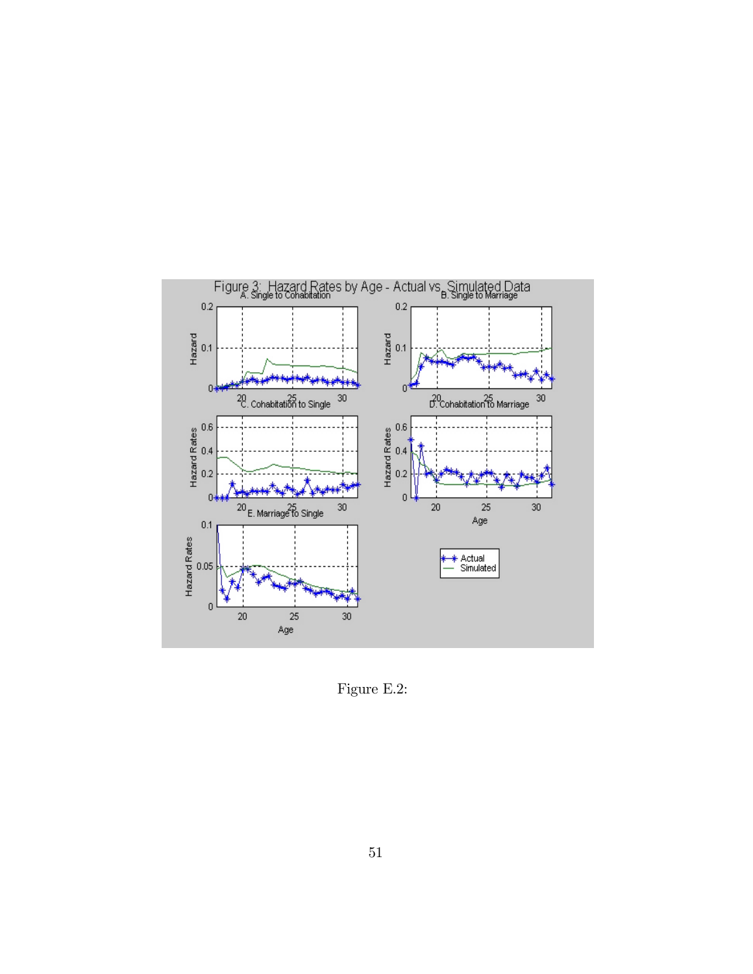

Figure E.2: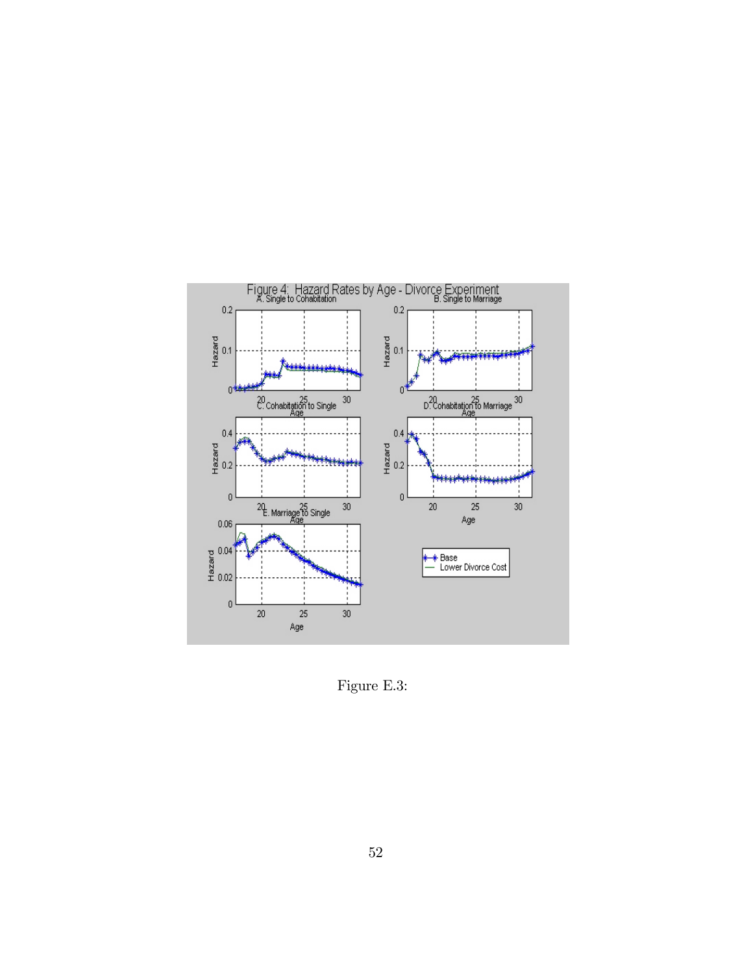

Figure E.3: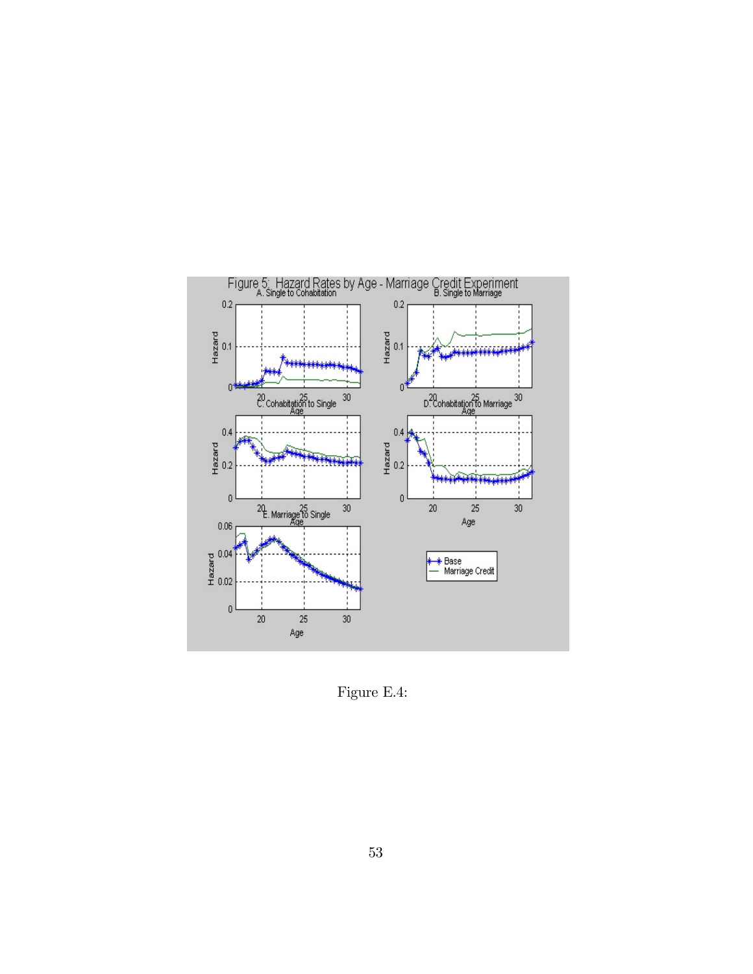

Figure E.4: